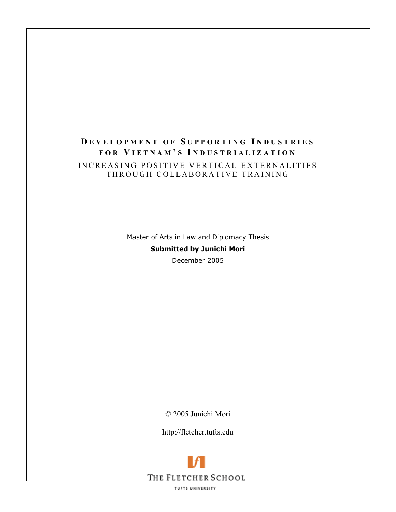# **D EVELOPMENT OF S UPPORTING I NDUSTRIES FOR V IETNAM ' S I NDUSTRIALIZATION** INCREASING POSITIVE VERTICAL EXTERNALITIES THROUGH COLLABORATIVE TRAINING

Master of Arts in Law and Diplomacy Thesis **Submitted by Junichi Mori**  December 2005

© 2005 Junichi Mori

http://fletcher.tufts.edu



**TUFTS UNIVERSITY**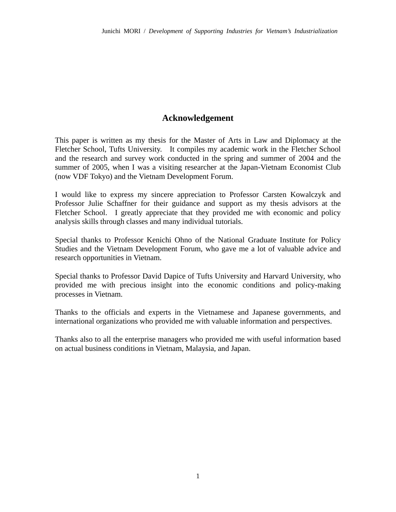## **Acknowledgement**

This paper is written as my thesis for the Master of Arts in Law and Diplomacy at the Fletcher School, Tufts University. It compiles my academic work in the Fletcher School and the research and survey work conducted in the spring and summer of 2004 and the summer of 2005, when I was a visiting researcher at the Japan-Vietnam Economist Club (now VDF Tokyo) and the Vietnam Development Forum.

I would like to express my sincere appreciation to Professor Carsten Kowalczyk and Professor Julie Schaffner for their guidance and support as my thesis advisors at the Fletcher School. I greatly appreciate that they provided me with economic and policy analysis skills through classes and many individual tutorials.

Special thanks to Professor Kenichi Ohno of the National Graduate Institute for Policy Studies and the Vietnam Development Forum, who gave me a lot of valuable advice and research opportunities in Vietnam.

Special thanks to Professor David Dapice of Tufts University and Harvard University, who provided me with precious insight into the economic conditions and policy-making processes in Vietnam.

Thanks to the officials and experts in the Vietnamese and Japanese governments, and international organizations who provided me with valuable information and perspectives.

Thanks also to all the enterprise managers who provided me with useful information based on actual business conditions in Vietnam, Malaysia, and Japan.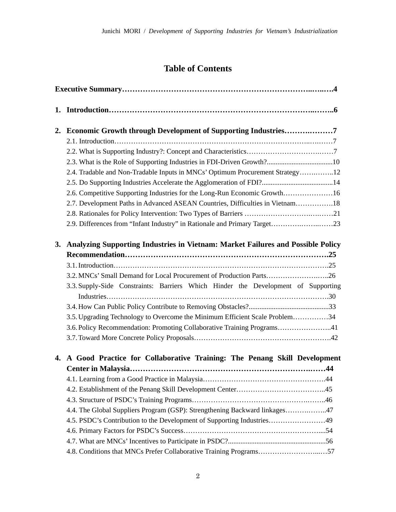# **Table of Contents**

| 2. | Economic Growth through Development of Supporting Industries7                     |
|----|-----------------------------------------------------------------------------------|
|    |                                                                                   |
|    |                                                                                   |
|    |                                                                                   |
|    | 2.4. Tradable and Non-Tradable Inputs in MNCs' Optimum Procurement Strategy12     |
|    |                                                                                   |
|    | 2.6. Competitive Supporting Industries for the Long-Run Economic Growth16         |
|    | 2.7. Development Paths in Advanced ASEAN Countries, Difficulties in Vietnam18     |
|    |                                                                                   |
|    | 2.9. Differences from "Infant Industry" in Rationale and Primary Target23         |
| 3. | Analyzing Supporting Industries in Vietnam: Market Failures and Possible Policy   |
|    |                                                                                   |
|    |                                                                                   |
|    | 3.2. MNCs' Small Demand for Local Procurement of Production Parts26               |
|    | 3.3. Supply-Side Constraints: Barriers Which Hinder the Development of Supporting |
|    |                                                                                   |
|    | 3.5. Upgrading Technology to Overcome the Minimum Efficient Scale Problem34       |
|    | 3.6. Policy Recommendation: Promoting Collaborative Training Programs41           |
|    |                                                                                   |
| 4. | A Good Practice for Collaborative Training: The Penang Skill Development          |
|    |                                                                                   |
|    |                                                                                   |
|    |                                                                                   |
|    |                                                                                   |
|    | 4.4. The Global Suppliers Program (GSP): Strengthening Backward linkages47        |
|    | 4.5. PSDC's Contribution to the Development of Supporting Industries49            |
|    |                                                                                   |
|    |                                                                                   |
|    | 4.8. Conditions that MNCs Prefer Collaborative Training Programs57                |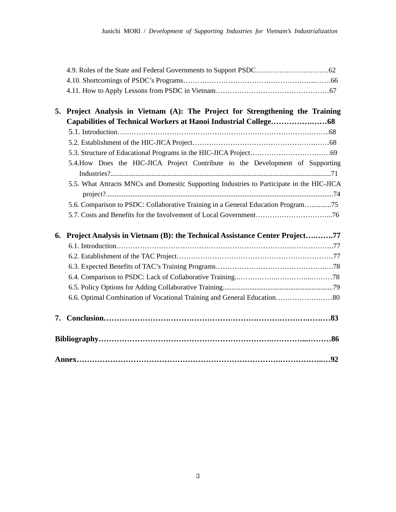| 5. Project Analysis in Vietnam (A): The Project for Strengthening the Training            |  |
|-------------------------------------------------------------------------------------------|--|
|                                                                                           |  |
|                                                                                           |  |
|                                                                                           |  |
|                                                                                           |  |
| 5.4. How Does the HIC-JICA Project Contribute to the Development of Supporting            |  |
|                                                                                           |  |
| 5.5. What Attracts MNCs and Domestic Supporting Industries to Participate in the HIC-JICA |  |
|                                                                                           |  |
| 5.6. Comparison to PSDC: Collaborative Training in a General Education Program            |  |
|                                                                                           |  |

| 6. Project Analysis in Vietnam (B): the Technical Assistance Center Project77 |  |    |  |  |
|-------------------------------------------------------------------------------|--|----|--|--|
|                                                                               |  |    |  |  |
|                                                                               |  |    |  |  |
|                                                                               |  |    |  |  |
|                                                                               |  |    |  |  |
|                                                                               |  |    |  |  |
|                                                                               |  |    |  |  |
|                                                                               |  |    |  |  |
|                                                                               |  |    |  |  |
|                                                                               |  | 92 |  |  |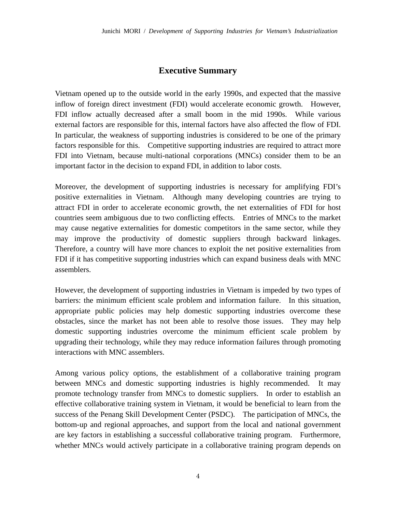## **Executive Summary**

Vietnam opened up to the outside world in the early 1990s, and expected that the massive inflow of foreign direct investment (FDI) would accelerate economic growth. However, FDI inflow actually decreased after a small boom in the mid 1990s. While various external factors are responsible for this, internal factors have also affected the flow of FDI. In particular, the weakness of supporting industries is considered to be one of the primary factors responsible for this. Competitive supporting industries are required to attract more FDI into Vietnam, because multi-national corporations (MNCs) consider them to be an important factor in the decision to expand FDI, in addition to labor costs.

Moreover, the development of supporting industries is necessary for amplifying FDI's positive externalities in Vietnam. Although many developing countries are trying to attract FDI in order to accelerate economic growth, the net externalities of FDI for host countries seem ambiguous due to two conflicting effects. Entries of MNCs to the market may cause negative externalities for domestic competitors in the same sector, while they may improve the productivity of domestic suppliers through backward linkages. Therefore, a country will have more chances to exploit the net positive externalities from FDI if it has competitive supporting industries which can expand business deals with MNC assemblers.

However, the development of supporting industries in Vietnam is impeded by two types of barriers: the minimum efficient scale problem and information failure. In this situation, appropriate public policies may help domestic supporting industries overcome these obstacles, since the market has not been able to resolve those issues. They may help domestic supporting industries overcome the minimum efficient scale problem by upgrading their technology, while they may reduce information failures through promoting interactions with MNC assemblers.

Among various policy options, the establishment of a collaborative training program between MNCs and domestic supporting industries is highly recommended. It may promote technology transfer from MNCs to domestic suppliers. In order to establish an effective collaborative training system in Vietnam, it would be beneficial to learn from the success of the Penang Skill Development Center (PSDC). The participation of MNCs, the bottom-up and regional approaches, and support from the local and national government are key factors in establishing a successful collaborative training program. Furthermore, whether MNCs would actively participate in a collaborative training program depends on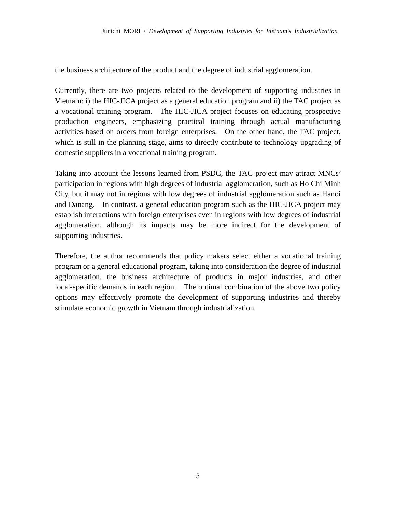the business architecture of the product and the degree of industrial agglomeration.

Currently, there are two projects related to the development of supporting industries in Vietnam: i) the HIC-JICA project as a general education program and ii) the TAC project as a vocational training program. The HIC-JICA project focuses on educating prospective production engineers, emphasizing practical training through actual manufacturing activities based on orders from foreign enterprises. On the other hand, the TAC project, which is still in the planning stage, aims to directly contribute to technology upgrading of domestic suppliers in a vocational training program.

Taking into account the lessons learned from PSDC, the TAC project may attract MNCs' participation in regions with high degrees of industrial agglomeration, such as Ho Chi Minh City, but it may not in regions with low degrees of industrial agglomeration such as Hanoi and Danang. In contrast, a general education program such as the HIC-JICA project may establish interactions with foreign enterprises even in regions with low degrees of industrial agglomeration, although its impacts may be more indirect for the development of supporting industries.

Therefore, the author recommends that policy makers select either a vocational training program or a general educational program, taking into consideration the degree of industrial agglomeration, the business architecture of products in major industries, and other local-specific demands in each region. The optimal combination of the above two policy options may effectively promote the development of supporting industries and thereby stimulate economic growth in Vietnam through industrialization.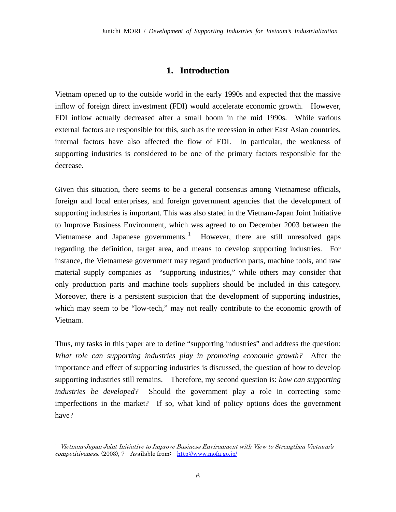## **1. Introduction**

Vietnam opened up to the outside world in the early 1990s and expected that the massive inflow of foreign direct investment (FDI) would accelerate economic growth. However, FDI inflow actually decreased after a small boom in the mid 1990s. While various external factors are responsible for this, such as the recession in other East Asian countries, internal factors have also affected the flow of FDI. In particular, the weakness of supporting industries is considered to be one of the primary factors responsible for the decrease.

Given this situation, there seems to be a general consensus among Vietnamese officials, foreign and local enterprises, and foreign government agencies that the development of supporting industries is important. This was also stated in the Vietnam-Japan Joint Initiative to Improve Business Environment, which was agreed to on December 2003 between the Vietnamese and Japanese governments.<sup>1</sup> However, there are still unresolved gaps regarding the definition, target area, and means to develop supporting industries. For instance, the Vietnamese government may regard production parts, machine tools, and raw material supply companies as "supporting industries," while others may consider that only production parts and machine tools suppliers should be included in this category. Moreover, there is a persistent suspicion that the development of supporting industries, which may seem to be "low-tech," may not really contribute to the economic growth of Vietnam.

Thus, my tasks in this paper are to define "supporting industries" and address the question: *What role can supporting industries play in promoting economic growth?* After the importance and effect of supporting industries is discussed, the question of how to develop supporting industries still remains. Therefore, my second question is: *how can supporting industries be developed?* Should the government play a role in correcting some imperfections in the market? If so, what kind of policy options does the government have?

 $1$  Vietnam-Japan Joint Initiative to Improve Business Environment with View to Strengthen Vietnam's competitiveness. (2003), 7 Available from: http://www.mofa.go.jp/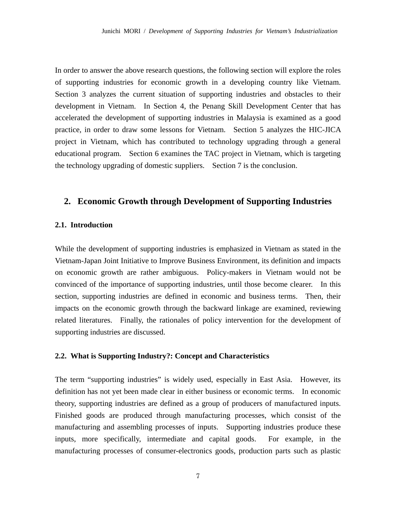In order to answer the above research questions, the following section will explore the roles of supporting industries for economic growth in a developing country like Vietnam. Section 3 analyzes the current situation of supporting industries and obstacles to their development in Vietnam. In Section 4, the Penang Skill Development Center that has accelerated the development of supporting industries in Malaysia is examined as a good practice, in order to draw some lessons for Vietnam. Section 5 analyzes the HIC-JICA project in Vietnam, which has contributed to technology upgrading through a general educational program. Section 6 examines the TAC project in Vietnam, which is targeting the technology upgrading of domestic suppliers. Section 7 is the conclusion.

## **2. Economic Growth through Development of Supporting Industries**

#### **2.1. Introduction**

While the development of supporting industries is emphasized in Vietnam as stated in the Vietnam-Japan Joint Initiative to Improve Business Environment, its definition and impacts on economic growth are rather ambiguous. Policy-makers in Vietnam would not be convinced of the importance of supporting industries, until those become clearer. In this section, supporting industries are defined in economic and business terms. Then, their impacts on the economic growth through the backward linkage are examined, reviewing related literatures. Finally, the rationales of policy intervention for the development of supporting industries are discussed.

## **2.2. What is Supporting Industry?: Concept and Characteristics**

The term "supporting industries" is widely used, especially in East Asia. However, its definition has not yet been made clear in either business or economic terms. In economic theory, supporting industries are defined as a group of producers of manufactured inputs. Finished goods are produced through manufacturing processes, which consist of the manufacturing and assembling processes of inputs. Supporting industries produce these inputs, more specifically, intermediate and capital goods. For example, in the manufacturing processes of consumer-electronics goods, production parts such as plastic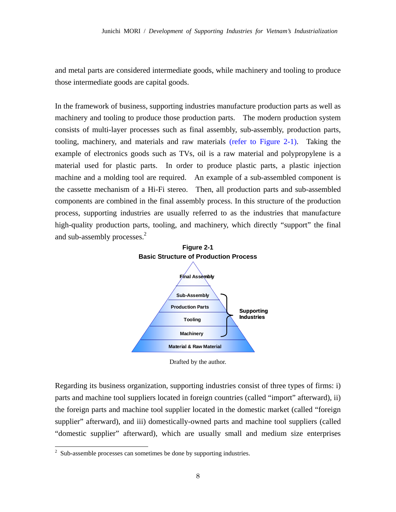and metal parts are considered intermediate goods, while machinery and tooling to produce those intermediate goods are capital goods.

In the framework of business, supporting industries manufacture production parts as well as machinery and tooling to produce those production parts. The modern production system consists of multi-layer processes such as final assembly, sub-assembly, production parts, tooling, machinery, and materials and raw materials (refer to Figure 2-1). Taking the example of electronics goods such as TVs, oil is a raw material and polypropylene is a material used for plastic parts. In order to produce plastic parts, a plastic injection machine and a molding tool are required. An example of a sub-assembled component is the cassette mechanism of a Hi-Fi stereo. Then, all production parts and sub-assembled components are combined in the final assembly process. In this structure of the production process, supporting industries are usually referred to as the industries that manufacture high-quality production parts, tooling, and machinery, which directly "support" the final and sub-assembly processes.<sup>2</sup>



Drafted by the author.

Regarding its business organization, supporting industries consist of three types of firms: i) parts and machine tool suppliers located in foreign countries (called "import" afterward), ii) the foreign parts and machine tool supplier located in the domestic market (called "foreign supplier" afterward), and iii) domestically-owned parts and machine tool suppliers (called "domestic supplier" afterward), which are usually small and medium size enterprises

<sup>&</sup>lt;sup>2</sup> Sub-assemble processes can sometimes be done by supporting industries.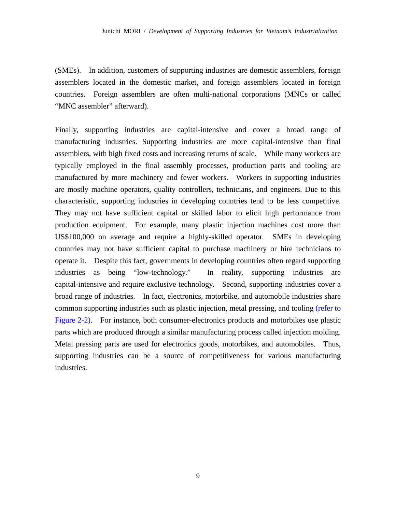(SMEs). In addition, customers of supporting industries are domestic assemblers, foreign assemblers located in the domestic market, and foreign assemblers located in foreign countries. Foreign assemblers are often multi-national corporations (MNCs or called "MNC assembler" afterward).

Finally, supporting industries are capital-intensive and cover a broad range of manufacturing industries. Supporting industries are more capital-intensive than final assemblers, with high fixed costs and increasing returns of scale. While many workers are typically employed in the final assembly processes, production parts and tooling are manufactured by more machinery and fewer workers. Workers in supporting industries are mostly machine operators, quality controllers, technicians, and engineers. Due to this characteristic, supporting industries in developing countries tend to be less competitive. They may not have sufficient capital or skilled labor to elicit high performance from production equipment. For example, many plastic injection machines cost more than US\$100,000 on average and require a highly-skilled operator. SMEs in developing countries may not have sufficient capital to purchase machinery or hire technicians to operate it. Despite this fact, governments in developing countries often regard supporting industries as being "low-technology." In reality, supporting industries are capital-intensive and require exclusive technology. Second, supporting industries cover a broad range of industries. In fact, electronics, motorbike, and automobile industries share common supporting industries such as plastic injection, metal pressing, and tooling (refer to Figure 2-2). For instance, both consumer-electronics products and motorbikes use plastic parts which are produced through a similar manufacturing process called injection molding. Metal pressing parts are used for electronics goods, motorbikes, and automobiles. Thus, supporting industries can be a source of competitiveness for various manufacturing industries.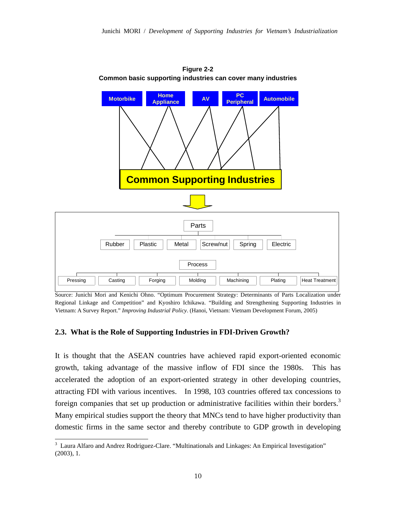

**Figure 2-2 Common basic supporting industries can cover many industries** 

Source: Junichi Mori and Kenichi Ohno. "Optimum Procurement Strategy: Determinants of Parts Localization under Regional Linkage and Competition" and Kyoshiro Ichikawa. "Building and Strengthening Supporting Industries in Vietnam: A Survey Report." *Improving Industrial Policy*. (Hanoi, Vietnam: Vietnam Development Forum, 2005)

#### **2.3. What is the Role of Supporting Industries in FDI-Driven Growth?**

It is thought that the ASEAN countries have achieved rapid export-oriented economic growth, taking advantage of the massive inflow of FDI since the 1980s. This has accelerated the adoption of an export-oriented strategy in other developing countries, attracting FDI with various incentives. In 1998, 103 countries offered tax concessions to foreign companies that set up production or administrative facilities within their borders.<sup>3</sup> Many empirical studies support the theory that MNCs tend to have higher productivity than domestic firms in the same sector and thereby contribute to GDP growth in developing

<sup>&</sup>lt;sup>3</sup> Laura Alfaro and Andrez Rodriguez-Clare. "Multinationals and Linkages: An Empirical Investigation" (2003), 1.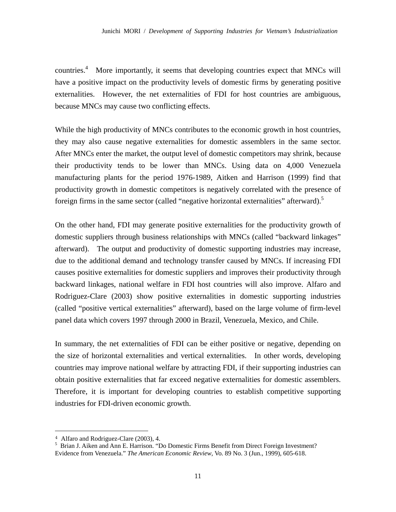countries.<sup>4</sup> More importantly, it seems that developing countries expect that MNCs will have a positive impact on the productivity levels of domestic firms by generating positive externalities. However, the net externalities of FDI for host countries are ambiguous, because MNCs may cause two conflicting effects.

While the high productivity of MNCs contributes to the economic growth in host countries, they may also cause negative externalities for domestic assemblers in the same sector. After MNCs enter the market, the output level of domestic competitors may shrink, because their productivity tends to be lower than MNCs. Using data on 4,000 Venezuela manufacturing plants for the period 1976-1989, Aitken and Harrison (1999) find that productivity growth in domestic competitors is negatively correlated with the presence of foreign firms in the same sector (called "negative horizontal externalities" afterward).<sup>5</sup>

On the other hand, FDI may generate positive externalities for the productivity growth of domestic suppliers through business relationships with MNCs (called "backward linkages" afterward). The output and productivity of domestic supporting industries may increase, due to the additional demand and technology transfer caused by MNCs. If increasing FDI causes positive externalities for domestic suppliers and improves their productivity through backward linkages, national welfare in FDI host countries will also improve. Alfaro and Rodriguez-Clare (2003) show positive externalities in domestic supporting industries (called "positive vertical externalities" afterward), based on the large volume of firm-level panel data which covers 1997 through 2000 in Brazil, Venezuela, Mexico, and Chile.

In summary, the net externalities of FDI can be either positive or negative, depending on the size of horizontal externalities and vertical externalities. In other words, developing countries may improve national welfare by attracting FDI, if their supporting industries can obtain positive externalities that far exceed negative externalities for domestic assemblers. Therefore, it is important for developing countries to establish competitive supporting industries for FDI-driven economic growth.

<sup>&</sup>lt;sup>4</sup> Alfaro and Rodriguez-Clare (2003), 4.

<sup>&</sup>lt;sup>5</sup> Brian J. Aiken and Ann E. Harrison. "Do Domestic Firms Benefit from Direct Foreign Investment? Evidence from Venezuela." *The American Economic Review*, Vo. 89 No. 3 (Jun., 1999), 605-618.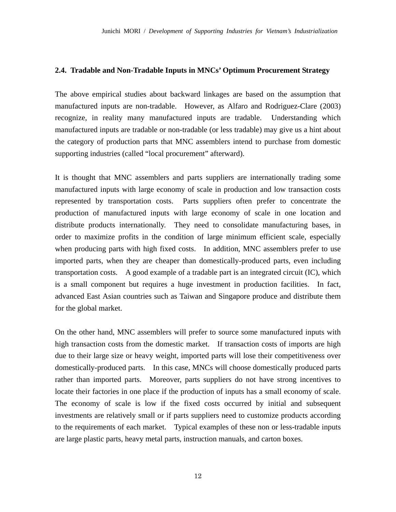#### **2.4. Tradable and Non-Tradable Inputs in MNCs' Optimum Procurement Strategy**

The above empirical studies about backward linkages are based on the assumption that manufactured inputs are non-tradable. However, as Alfaro and Rodriguez-Clare (2003) recognize, in reality many manufactured inputs are tradable. Understanding which manufactured inputs are tradable or non-tradable (or less tradable) may give us a hint about the category of production parts that MNC assemblers intend to purchase from domestic supporting industries (called "local procurement" afterward).

It is thought that MNC assemblers and parts suppliers are internationally trading some manufactured inputs with large economy of scale in production and low transaction costs represented by transportation costs. Parts suppliers often prefer to concentrate the production of manufactured inputs with large economy of scale in one location and distribute products internationally. They need to consolidate manufacturing bases, in order to maximize profits in the condition of large minimum efficient scale, especially when producing parts with high fixed costs. In addition, MNC assemblers prefer to use imported parts, when they are cheaper than domestically-produced parts, even including transportation costs. A good example of a tradable part is an integrated circuit (IC), which is a small component but requires a huge investment in production facilities. In fact, advanced East Asian countries such as Taiwan and Singapore produce and distribute them for the global market.

On the other hand, MNC assemblers will prefer to source some manufactured inputs with high transaction costs from the domestic market. If transaction costs of imports are high due to their large size or heavy weight, imported parts will lose their competitiveness over domestically-produced parts. In this case, MNCs will choose domestically produced parts rather than imported parts. Moreover, parts suppliers do not have strong incentives to locate their factories in one place if the production of inputs has a small economy of scale. The economy of scale is low if the fixed costs occurred by initial and subsequent investments are relatively small or if parts suppliers need to customize products according to the requirements of each market. Typical examples of these non or less-tradable inputs are large plastic parts, heavy metal parts, instruction manuals, and carton boxes.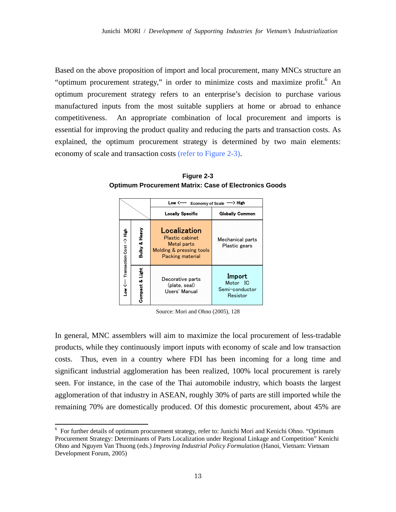Based on the above proposition of import and local procurement, many MNCs structure an "optimum procurement strategy," in order to minimize costs and maximize profit.<sup>6</sup> An optimum procurement strategy refers to an enterprise's decision to purchase various manufactured inputs from the most suitable suppliers at home or abroad to enhance competitiveness. An appropriate combination of local procurement and imports is essential for improving the product quality and reducing the parts and transaction costs. As explained, the optimum procurement strategy is determined by two main elements: economy of scale and transaction costs (refer to Figure 2-3).

**Figure 2-3 Optimum Procurement Matrix: Case of Electronics Goods** 

|                          |                              | Low <-<br>Economy of Scale ---> High                                                           |                                                  |  |  |
|--------------------------|------------------------------|------------------------------------------------------------------------------------------------|--------------------------------------------------|--|--|
|                          |                              | <b>Locally Specific</b>                                                                        | <b>Globally Common</b>                           |  |  |
| Transaction Cost -> High | Heavy<br>oð<br><b>Bulky</b>  | Localization<br>Plastic cabinet<br>Metal parts<br>Molding & pressing tools<br>Packing material | Mechanical parts<br>Plastic gears                |  |  |
| $-w \leftarrow$          | ار<br>تاریخ<br>٥ð<br>Compact | Decorative parts<br>(plate, seal)<br>Users' Manual                                             | Import<br>Motor IC<br>Semi-conductor<br>Resistor |  |  |

Source: Mori and Ohno (2005), 128

In general, MNC assemblers will aim to maximize the local procurement of less-tradable products, while they continuously import inputs with economy of scale and low transaction costs. Thus, even in a country where FDI has been incoming for a long time and significant industrial agglomeration has been realized, 100% local procurement is rarely seen. For instance, in the case of the Thai automobile industry, which boasts the largest agglomeration of that industry in ASEAN, roughly 30% of parts are still imported while the remaining 70% are domestically produced. Of this domestic procurement, about 45% are

<sup>&</sup>lt;sup>6</sup> For further details of optimum procurement strategy, refer to: Junichi Mori and Kenichi Ohno. "Optimum Procurement Strategy: Determinants of Parts Localization under Regional Linkage and Competition" Kenichi Ohno and Nguyen Van Thuong (eds.) *Improving Industrial Policy Formulation* (Hanoi, Vietnam: Vietnam Development Forum, 2005)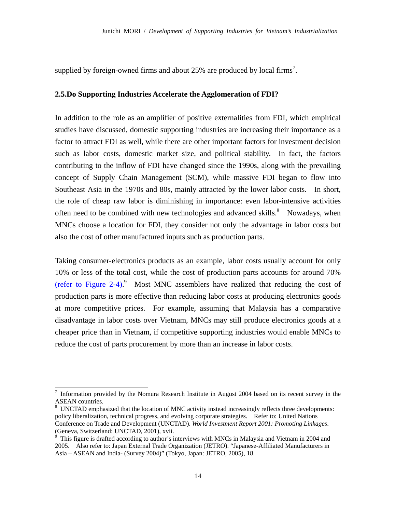supplied by foreign-owned firms and about 25% are produced by local firms<sup>7</sup>.

#### **2.5.Do Supporting Industries Accelerate the Agglomeration of FDI?**

In addition to the role as an amplifier of positive externalities from FDI, which empirical studies have discussed, domestic supporting industries are increasing their importance as a factor to attract FDI as well, while there are other important factors for investment decision such as labor costs, domestic market size, and political stability. In fact, the factors contributing to the inflow of FDI have changed since the 1990s, along with the prevailing concept of Supply Chain Management (SCM), while massive FDI began to flow into Southeast Asia in the 1970s and 80s, mainly attracted by the lower labor costs. In short, the role of cheap raw labor is diminishing in importance: even labor-intensive activities often need to be combined with new technologies and advanced skills. $8$  Nowadays, when MNCs choose a location for FDI, they consider not only the advantage in labor costs but also the cost of other manufactured inputs such as production parts.

Taking consumer-electronics products as an example, labor costs usually account for only 10% or less of the total cost, while the cost of production parts accounts for around 70% (refer to Figure 2-4).<sup>9</sup> Most MNC assemblers have realized that reducing the cost of production parts is more effective than reducing labor costs at producing electronics goods at more competitive prices. For example, assuming that Malaysia has a comparative disadvantage in labor costs over Vietnam, MNCs may still produce electronics goods at a cheaper price than in Vietnam, if competitive supporting industries would enable MNCs to reduce the cost of parts procurement by more than an increase in labor costs.

<sup>7</sup> Information provided by the Nomura Research Institute in August 2004 based on its recent survey in the ASEAN countries.

<sup>8</sup> UNCTAD emphasized that the location of MNC activity instead increasingly reflects three developments: policy liberalization, technical progress, and evolving corporate strategies. Refer to: United Nations Conference on Trade and Development (UNCTAD). *World Investment Report 2001: Promoting Linkages*. (Geneva, Switzerland: UNCTAD, 2001), xvii.

<sup>9</sup> This figure is drafted according to author's interviews with MNCs in Malaysia and Vietnam in 2004 and 2005. Also refer to: Japan External Trade Organization (JETRO). "Japanese-Affiliated Manufacturers in Asia – ASEAN and India- (Survey 2004)" (Tokyo, Japan: JETRO, 2005), 18.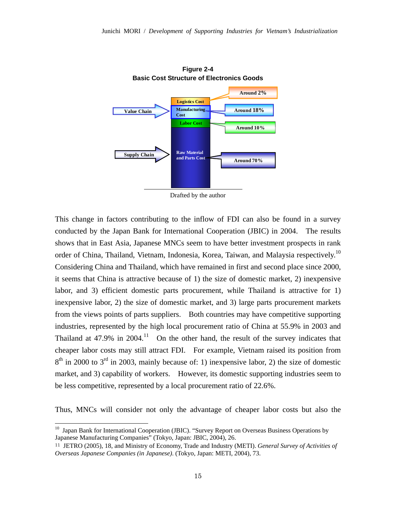

**Figure 2-4** 

Drafted by the author

This change in factors contributing to the inflow of FDI can also be found in a survey conducted by the Japan Bank for International Cooperation (JBIC) in 2004. The results shows that in East Asia, Japanese MNCs seem to have better investment prospects in rank order of China, Thailand, Vietnam, Indonesia, Korea, Taiwan, and Malaysia respectively.<sup>10</sup> Considering China and Thailand, which have remained in first and second place since 2000, it seems that China is attractive because of 1) the size of domestic market, 2) inexpensive labor, and 3) efficient domestic parts procurement, while Thailand is attractive for 1) inexpensive labor, 2) the size of domestic market, and 3) large parts procurement markets from the views points of parts suppliers. Both countries may have competitive supporting industries, represented by the high local procurement ratio of China at 55.9% in 2003 and Thailand at  $47.9\%$  in  $2004$ .<sup>11</sup> On the other hand, the result of the survey indicates that cheaper labor costs may still attract FDI. For example, Vietnam raised its position from  $8<sup>th</sup>$  in 2000 to  $3<sup>rd</sup>$  in 2003, mainly because of: 1) inexpensive labor, 2) the size of domestic market, and 3) capability of workers. However, its domestic supporting industries seem to be less competitive, represented by a local procurement ratio of 22.6%.

Thus, MNCs will consider not only the advantage of cheaper labor costs but also the

<sup>&</sup>lt;sup>10</sup> Japan Bank for International Cooperation (JBIC). "Survey Report on Overseas Business Operations by Japanese Manufacturing Companies" (Tokyo, Japan: JBIC, 2004), 26.

<sup>11</sup> JETRO (2005), 18, and Ministry of Economy, Trade and Industry (METI). *General Survey of Activities of Overseas Japanese Companies (in Japanese)*. (Tokyo, Japan: METI, 2004), 73.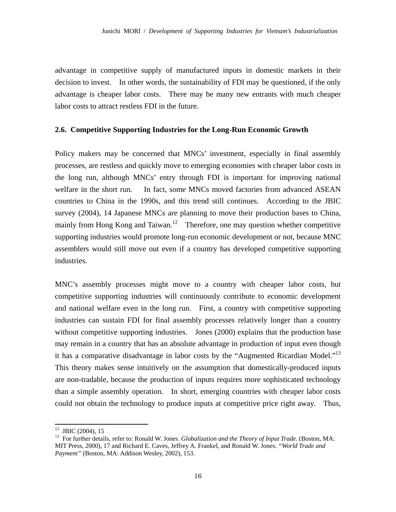advantage in competitive supply of manufactured inputs in domestic markets in their decision to invest. In other words, the sustainability of FDI may be questioned, if the only advantage is cheaper labor costs. There may be many new entrants with much cheaper labor costs to attract restless FDI in the future.

## **2.6. Competitive Supporting Industries for the Long-Run Economic Growth**

Policy makers may be concerned that MNCs' investment, especially in final assembly processes, are restless and quickly move to emerging economies with cheaper labor costs in the long run, although MNCs' entry through FDI is important for improving national welfare in the short run. In fact, some MNCs moved factories from advanced ASEAN countries to China in the 1990s, and this trend still continues. According to the JBIC survey (2004), 14 Japanese MNCs are planning to move their production bases to China, mainly from Hong Kong and Taiwan.<sup>12</sup> Therefore, one may question whether competitive supporting industries would promote long-run economic development or not, because MNC assemblers would still move out even if a country has developed competitive supporting industries.

MNC's assembly processes might move to a country with cheaper labor costs, but competitive supporting industries will continuously contribute to economic development and national welfare even in the long run. First, a country with competitive supporting industries can sustain FDI for final assembly processes relatively longer than a country without competitive supporting industries. Jones (2000) explains that the production base may remain in a country that has an absolute advantage in production of input even though it has a comparative disadvantage in labor costs by the "Augmented Ricardian Model."13 This theory makes sense intuitively on the assumption that domestically-produced inputs are non-tradable, because the production of inputs requires more sophisticated technology than a simple assembly operation. In short, emerging countries with cheaper labor costs could not obtain the technology to produce inputs at competitive price right away. Thus,

 $12$  JBIC (2004), 15

<sup>&</sup>lt;sup>13</sup> For further details, refer to: Ronald W. Jones. *Globalization and the Theory of Input Trade*. (Boston, MA: MIT Press, 2000), 17 and Richard E. Caves, Jeffrey A. Frankel, and Ronald W. Jones. *"World Trade and Payment"* (Boston, MA: Addison Wesley, 2002), 153.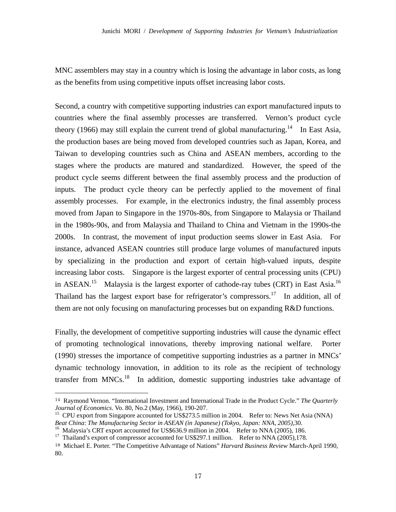MNC assemblers may stay in a country which is losing the advantage in labor costs, as long as the benefits from using competitive inputs offset increasing labor costs.

Second, a country with competitive supporting industries can export manufactured inputs to countries where the final assembly processes are transferred. Vernon's product cycle theory (1966) may still explain the current trend of global manufacturing.<sup>14</sup> In East Asia, the production bases are being moved from developed countries such as Japan, Korea, and Taiwan to developing countries such as China and ASEAN members, according to the stages where the products are matured and standardized. However, the speed of the product cycle seems different between the final assembly process and the production of inputs. The product cycle theory can be perfectly applied to the movement of final assembly processes. For example, in the electronics industry, the final assembly process moved from Japan to Singapore in the 1970s-80s, from Singapore to Malaysia or Thailand in the 1980s-90s, and from Malaysia and Thailand to China and Vietnam in the 1990s-the 2000s. In contrast, the movement of input production seems slower in East Asia. For instance, advanced ASEAN countries still produce large volumes of manufactured inputs by specializing in the production and export of certain high-valued inputs, despite increasing labor costs. Singapore is the largest exporter of central processing units (CPU) in ASEAN.<sup>15</sup> Malaysia is the largest exporter of cathode-ray tubes (CRT) in East Asia.<sup>16</sup> Thailand has the largest export base for refrigerator's compressors.<sup>17</sup> In addition, all of them are not only focusing on manufacturing processes but on expanding R&D functions.

Finally, the development of competitive supporting industries will cause the dynamic effect of promoting technological innovations, thereby improving national welfare. Porter (1990) stresses the importance of competitive supporting industries as a partner in MNCs' dynamic technology innovation, in addition to its role as the recipient of technology transfer from MNCs.18 In addition, domestic supporting industries take advantage of

<sup>14</sup> Raymond Vernon. "International Investment and International Trade in the Product Cycle." *The Quarterly* 

*Journal of Economics*. Vo. 80, No.2 (May, 1966), 190-207.<br><sup>15</sup> CPU export from Singapore accounted for US\$273.5 million in 2004. Refer to: News Net Asia (NNA)<br>*Beat China: The Manufacturing Sector in ASEAN (in Japanese) (* 

<sup>&</sup>lt;sup>16</sup> Malaysia's CRT export accounted for US\$636.9 million in 2004. Refer to NNA (2005), 186.

<sup>&</sup>lt;sup>17</sup> Thailand's export of compressor accounted for US\$297.1 million. Refer to NNA (2005),178.

<sup>18</sup> Michael E. Porter. "The Competitive Advantage of Nations" *Harvard Business Review* March-April 1990, 80.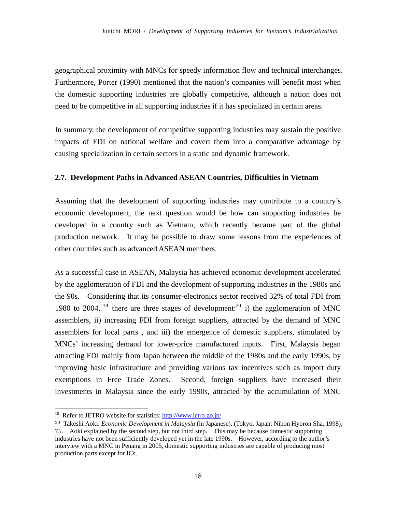geographical proximity with MNCs for speedy information flow and technical interchanges. Furthermore, Porter (1990) mentioned that the nation's companies will benefit most when the domestic supporting industries are globally competitive, although a nation does not need to be competitive in all supporting industries if it has specialized in certain areas.

In summary, the development of competitive supporting industries may sustain the positive impacts of FDI on national welfare and covert them into a comparative advantage by causing specialization in certain sectors in a static and dynamic framework.

## **2.7. Development Paths in Advanced ASEAN Countries, Difficulties in Vietnam**

Assuming that the development of supporting industries may contribute to a country's economic development, the next question would be how can supporting industries be developed in a country such as Vietnam, which recently became part of the global production network. It may be possible to draw some lessons from the experiences of other countries such as advanced ASEAN members.

As a successful case in ASEAN, Malaysia has achieved economic development accelerated by the agglomeration of FDI and the development of supporting industries in the 1980s and the 90s. Considering that its consumer-electronics sector received 32% of total FDI from 1980 to 2004, <sup>19</sup> there are three stages of development:<sup>20</sup> i) the agglomeration of MNC assemblers, ii) increasing FDI from foreign suppliers, attracted by the demand of MNC assemblers for local parts , and iii) the emergence of domestic suppliers, stimulated by MNCs' increasing demand for lower-price manufactured inputs. First, Malaysia began attracting FDI mainly from Japan between the middle of the 1980s and the early 1990s, by improving basic infrastructure and providing various tax incentives such as import duty exemptions in Free Trade Zones. Second, foreign suppliers have increased their investments in Malaysia since the early 1990s, attracted by the accumulation of MNC

<sup>&</sup>lt;sup>19</sup> Refer to JETRO website for statistics: http://www.jetro.go.jp/

<sup>20</sup> Takeshi Aoki. *Economic Development in Malaysia* (in Japanese). (Tokyo, Japan: Nihon Hyoron Sha, 1998), 75. Aoki explained by the second step, but not third step. This may be because domestic supporting industries have not been sufficiently developed yet in the late 1990s. However, according to the author's interview with a MNC in Penang in 2005, domestic supporting industries are capable of producing most production parts except for ICs.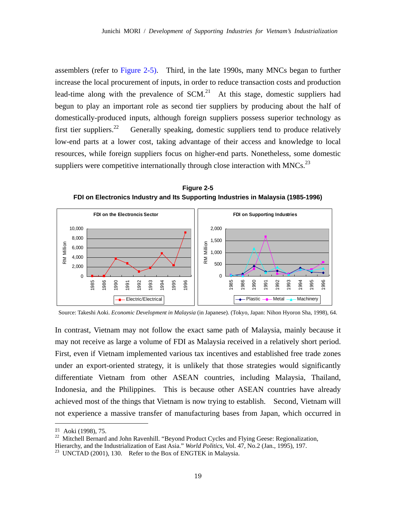assemblers (refer to Figure 2-5). Third, in the late 1990s, many MNCs began to further increase the local procurement of inputs, in order to reduce transaction costs and production lead-time along with the prevalence of  $SCM<sup>21</sup>$ . At this stage, domestic suppliers had begun to play an important role as second tier suppliers by producing about the half of domestically-produced inputs, although foreign suppliers possess superior technology as first tier suppliers.<sup>22</sup> Generally speaking, domestic suppliers tend to produce relatively low-end parts at a lower cost, taking advantage of their access and knowledge to local resources, while foreign suppliers focus on higher-end parts. Nonetheless, some domestic suppliers were competitive internationally through close interaction with MNCs. $^{23}$ 

**Figure 2-5 FDI on Electronics Industry and Its Supporting Industries in Malaysia (1985-1996)** 



Source: Takeshi Aoki. *Economic Development in Malaysia* (in Japanese). (Tokyo, Japan: Nihon Hyoron Sha, 1998), 64.

In contrast, Vietnam may not follow the exact same path of Malaysia, mainly because it may not receive as large a volume of FDI as Malaysia received in a relatively short period. First, even if Vietnam implemented various tax incentives and established free trade zones under an export-oriented strategy, it is unlikely that those strategies would significantly differentiate Vietnam from other ASEAN countries, including Malaysia, Thailand, Indonesia, and the Philippines. This is because other ASEAN countries have already achieved most of the things that Vietnam is now trying to establish. Second, Vietnam will not experience a massive transfer of manufacturing bases from Japan, which occurred in

<sup>&</sup>lt;sup>21</sup> Aoki (1998), 75.<br><sup>22</sup> Mitchell Bernard and John Ravenhill. "Beyond Product Cycles and Flying Geese: Regionalization,

Hierarchy, and the Industrialization of East Asia." *World Politics*, Vol. 47, No.2 (Jan., 1995), 197.<br><sup>23</sup> UNCTAD (2001), 130. Refer to the Box of ENGTEK in Malaysia.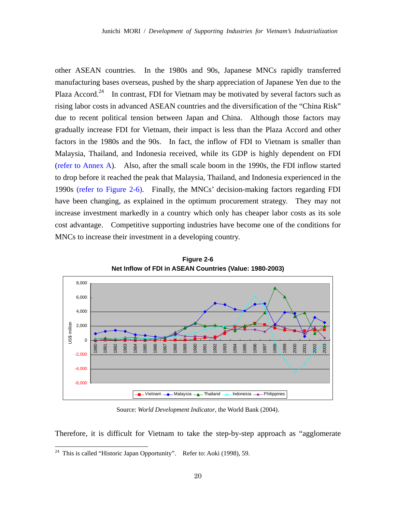other ASEAN countries. In the 1980s and 90s, Japanese MNCs rapidly transferred manufacturing bases overseas, pushed by the sharp appreciation of Japanese Yen due to the Plaza Accord.<sup>24</sup> In contrast, FDI for Vietnam may be motivated by several factors such as rising labor costs in advanced ASEAN countries and the diversification of the "China Risk" due to recent political tension between Japan and China. Although those factors may gradually increase FDI for Vietnam, their impact is less than the Plaza Accord and other factors in the 1980s and the 90s. In fact, the inflow of FDI to Vietnam is smaller than Malaysia, Thailand, and Indonesia received, while its GDP is highly dependent on FDI (refer to Annex A). Also, after the small scale boom in the 1990s, the FDI inflow started to drop before it reached the peak that Malaysia, Thailand, and Indonesia experienced in the 1990s (refer to Figure 2-6). Finally, the MNCs' decision-making factors regarding FDI have been changing, as explained in the optimum procurement strategy. They may not increase investment markedly in a country which only has cheaper labor costs as its sole cost advantage. Competitive supporting industries have become one of the conditions for MNCs to increase their investment in a developing country.



**Figure 2-6 Net Inflow of FDI in ASEAN Countries (Value: 1980-2003)** 

Source: *World Development Indicator*, the World Bank (2004).

Therefore, it is difficult for Vietnam to take the step-by-step approach as "agglomerate

<sup>&</sup>lt;sup>24</sup> This is called "Historic Japan Opportunity". Refer to: Aoki (1998), 59.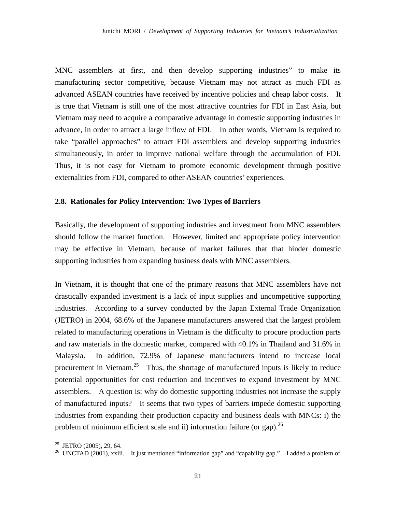MNC assemblers at first, and then develop supporting industries" to make its manufacturing sector competitive, because Vietnam may not attract as much FDI as advanced ASEAN countries have received by incentive policies and cheap labor costs. It is true that Vietnam is still one of the most attractive countries for FDI in East Asia, but Vietnam may need to acquire a comparative advantage in domestic supporting industries in advance, in order to attract a large inflow of FDI. In other words, Vietnam is required to take "parallel approaches" to attract FDI assemblers and develop supporting industries simultaneously, in order to improve national welfare through the accumulation of FDI. Thus, it is not easy for Vietnam to promote economic development through positive externalities from FDI, compared to other ASEAN countries' experiences.

#### **2.8. Rationales for Policy Intervention: Two Types of Barriers**

Basically, the development of supporting industries and investment from MNC assemblers should follow the market function. However, limited and appropriate policy intervention may be effective in Vietnam, because of market failures that that hinder domestic supporting industries from expanding business deals with MNC assemblers.

In Vietnam, it is thought that one of the primary reasons that MNC assemblers have not drastically expanded investment is a lack of input supplies and uncompetitive supporting industries. According to a survey conducted by the Japan External Trade Organization (JETRO) in 2004, 68.6% of the Japanese manufacturers answered that the largest problem related to manufacturing operations in Vietnam is the difficulty to procure production parts and raw materials in the domestic market, compared with 40.1% in Thailand and 31.6% in Malaysia. In addition, 72.9% of Japanese manufacturers intend to increase local procurement in Vietnam.<sup>25</sup> Thus, the shortage of manufactured inputs is likely to reduce potential opportunities for cost reduction and incentives to expand investment by MNC assemblers. A question is: why do domestic supporting industries not increase the supply of manufactured inputs? It seems that two types of barriers impede domestic supporting industries from expanding their production capacity and business deals with MNCs: i) the problem of minimum efficient scale and ii) information failure (or gap).  $^{26}$ 

<sup>&</sup>lt;sup>25</sup> JETRO (2005), 29, 64.

<sup>&</sup>lt;sup>26</sup> UNCTAD (2001), xxiii. It just mentioned "information gap" and "capability gap." I added a problem of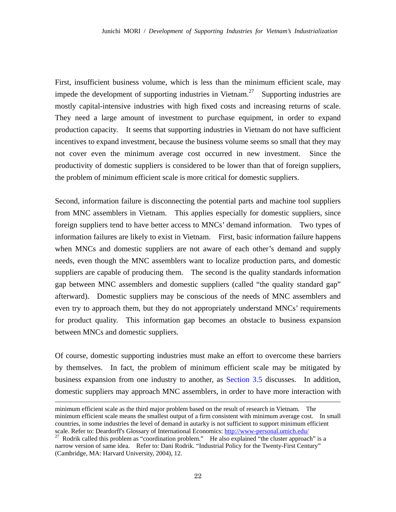First, insufficient business volume, which is less than the minimum efficient scale, may impede the development of supporting industries in Vietnam.<sup>27</sup> Supporting industries are mostly capital-intensive industries with high fixed costs and increasing returns of scale. They need a large amount of investment to purchase equipment, in order to expand production capacity. It seems that supporting industries in Vietnam do not have sufficient incentives to expand investment, because the business volume seems so small that they may not cover even the minimum average cost occurred in new investment. Since the productivity of domestic suppliers is considered to be lower than that of foreign suppliers, the problem of minimum efficient scale is more critical for domestic suppliers.

Second, information failure is disconnecting the potential parts and machine tool suppliers from MNC assemblers in Vietnam. This applies especially for domestic suppliers, since foreign suppliers tend to have better access to MNCs' demand information. Two types of information failures are likely to exist in Vietnam. First, basic information failure happens when MNCs and domestic suppliers are not aware of each other's demand and supply needs, even though the MNC assemblers want to localize production parts, and domestic suppliers are capable of producing them. The second is the quality standards information gap between MNC assemblers and domestic suppliers (called "the quality standard gap" afterward). Domestic suppliers may be conscious of the needs of MNC assemblers and even try to approach them, but they do not appropriately understand MNCs' requirements for product quality. This information gap becomes an obstacle to business expansion between MNCs and domestic suppliers.

Of course, domestic supporting industries must make an effort to overcome these barriers by themselves. In fact, the problem of minimum efficient scale may be mitigated by business expansion from one industry to another, as Section 3.5 discusses. In addition, domestic suppliers may approach MNC assemblers, in order to have more interaction with

minimum efficient scale as the third major problem based on the result of research in Vietnam. The minimum efficient scale means the smallest output of a firm consistent with minimum average cost. In small countries, in some industries the level of demand in autarky is not sufficient to support minimum efficient scale. Refer to: Deardorff's Glossary of International Economics: http://www-personal.umich.edu/<br><sup>27</sup> Rodrik called this problem as "coordination problem." He also explained "the cluster approach" is a

narrow version of same idea. Refer to: Dani Rodrik. "Industrial Policy for the Twenty-First Century" (Cambridge, MA: Harvard University, 2004), 12.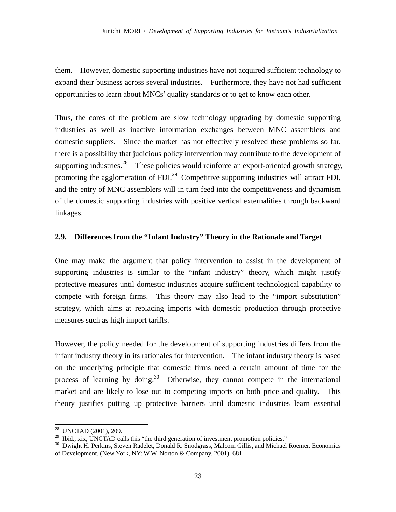them. However, domestic supporting industries have not acquired sufficient technology to expand their business across several industries. Furthermore, they have not had sufficient opportunities to learn about MNCs' quality standards or to get to know each other.

Thus, the cores of the problem are slow technology upgrading by domestic supporting industries as well as inactive information exchanges between MNC assemblers and domestic suppliers. Since the market has not effectively resolved these problems so far, there is a possibility that judicious policy intervention may contribute to the development of supporting industries.<sup>28</sup> These policies would reinforce an export-oriented growth strategy, promoting the agglomeration of FDI.<sup>29</sup> Competitive supporting industries will attract FDI, and the entry of MNC assemblers will in turn feed into the competitiveness and dynamism of the domestic supporting industries with positive vertical externalities through backward linkages.

## **2.9. Differences from the "Infant Industry" Theory in the Rationale and Target**

One may make the argument that policy intervention to assist in the development of supporting industries is similar to the "infant industry" theory, which might justify protective measures until domestic industries acquire sufficient technological capability to compete with foreign firms. This theory may also lead to the "import substitution" strategy, which aims at replacing imports with domestic production through protective measures such as high import tariffs.

However, the policy needed for the development of supporting industries differs from the infant industry theory in its rationales for intervention. The infant industry theory is based on the underlying principle that domestic firms need a certain amount of time for the process of learning by doing.<sup>30</sup> Otherwise, they cannot compete in the international market and are likely to lose out to competing imports on both price and quality. This theory justifies putting up protective barriers until domestic industries learn essential

<sup>&</sup>lt;sup>28</sup> UNCTAD (2001), 209.

<sup>&</sup>lt;sup>29</sup> Ibid., xix, UNCTAD calls this "the third generation of investment promotion policies."<br><sup>30</sup> Dwight H. Perkins, Steven Radelet, Donald R. Snodgrass, Malcom Gillis, and Michael Roemer. Economics of Development. (New York, NY: W.W. Norton & Company, 2001), 681.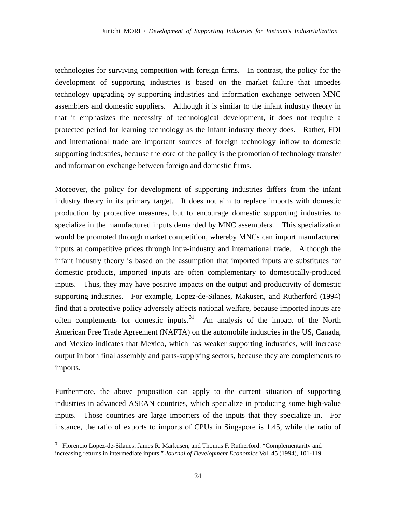technologies for surviving competition with foreign firms. In contrast, the policy for the development of supporting industries is based on the market failure that impedes technology upgrading by supporting industries and information exchange between MNC assemblers and domestic suppliers. Although it is similar to the infant industry theory in that it emphasizes the necessity of technological development, it does not require a protected period for learning technology as the infant industry theory does. Rather, FDI and international trade are important sources of foreign technology inflow to domestic supporting industries, because the core of the policy is the promotion of technology transfer and information exchange between foreign and domestic firms.

Moreover, the policy for development of supporting industries differs from the infant industry theory in its primary target. It does not aim to replace imports with domestic production by protective measures, but to encourage domestic supporting industries to specialize in the manufactured inputs demanded by MNC assemblers. This specialization would be promoted through market competition, whereby MNCs can import manufactured inputs at competitive prices through intra-industry and international trade. Although the infant industry theory is based on the assumption that imported inputs are substitutes for domestic products, imported inputs are often complementary to domestically-produced inputs. Thus, they may have positive impacts on the output and productivity of domestic supporting industries. For example, Lopez-de-Silanes, Makusen, and Rutherford (1994) find that a protective policy adversely affects national welfare, because imported inputs are often complements for domestic inputs.<sup>31</sup> An analysis of the impact of the North American Free Trade Agreement (NAFTA) on the automobile industries in the US, Canada, and Mexico indicates that Mexico, which has weaker supporting industries, will increase output in both final assembly and parts-supplying sectors, because they are complements to imports.

Furthermore, the above proposition can apply to the current situation of supporting industries in advanced ASEAN countries, which specialize in producing some high-value inputs. Those countries are large importers of the inputs that they specialize in. For instance, the ratio of exports to imports of CPUs in Singapore is 1.45, while the ratio of

<sup>&</sup>lt;sup>31</sup> Florencio Lopez-de-Silanes, James R. Markusen, and Thomas F. Rutherford. "Complementarity and increasing returns in intermediate inputs." *Journal of Development Economics* Vol. 45 (1994), 101-119.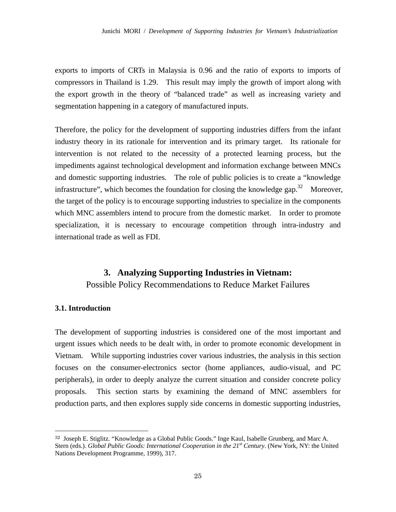exports to imports of CRTs in Malaysia is 0.96 and the ratio of exports to imports of compressors in Thailand is 1.29. This result may imply the growth of import along with the export growth in the theory of "balanced trade" as well as increasing variety and segmentation happening in a category of manufactured inputs.

Therefore, the policy for the development of supporting industries differs from the infant industry theory in its rationale for intervention and its primary target. Its rationale for intervention is not related to the necessity of a protected learning process, but the impediments against technological development and information exchange between MNCs and domestic supporting industries. The role of public policies is to create a "knowledge infrastructure", which becomes the foundation for closing the knowledge gap.<sup>32</sup> Moreover, the target of the policy is to encourage supporting industries to specialize in the components which MNC assemblers intend to procure from the domestic market. In order to promote specialization, it is necessary to encourage competition through intra-industry and international trade as well as FDI.

## **3. Analyzing Supporting Industries in Vietnam:**  Possible Policy Recommendations to Reduce Market Failures

#### **3.1. Introduction**

-

The development of supporting industries is considered one of the most important and urgent issues which needs to be dealt with, in order to promote economic development in Vietnam. While supporting industries cover various industries, the analysis in this section focuses on the consumer-electronics sector (home appliances, audio-visual, and PC peripherals), in order to deeply analyze the current situation and consider concrete policy proposals. This section starts by examining the demand of MNC assemblers for production parts, and then explores supply side concerns in domestic supporting industries,

<sup>32</sup> Joseph E. Stiglitz. "Knowledge as a Global Public Goods." Inge Kaul, Isabelle Grunberg, and Marc A. Stern (eds.). *Global Public Goods: International Cooperation in the 21st Century*. (New York, NY: the United Nations Development Programme, 1999), 317.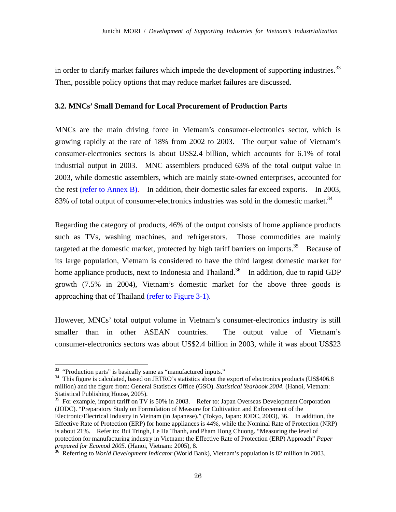in order to clarify market failures which impede the development of supporting industries.<sup>33</sup> Then, possible policy options that may reduce market failures are discussed.

#### **3.2. MNCs' Small Demand for Local Procurement of Production Parts**

MNCs are the main driving force in Vietnam's consumer-electronics sector, which is growing rapidly at the rate of 18% from 2002 to 2003. The output value of Vietnam's consumer-electronics sectors is about US\$2.4 billion, which accounts for 6.1% of total industrial output in 2003. MNC assemblers produced 63% of the total output value in 2003, while domestic assemblers, which are mainly state-owned enterprises, accounted for the rest (refer to Annex B). In addition, their domestic sales far exceed exports. In 2003, 83% of total output of consumer-electronics industries was sold in the domestic market.<sup>34</sup>

Regarding the category of products, 46% of the output consists of home appliance products such as TVs, washing machines, and refrigerators. Those commodities are mainly targeted at the domestic market, protected by high tariff barriers on imports.<sup>35</sup> Because of its large population, Vietnam is considered to have the third largest domestic market for home appliance products, next to Indonesia and Thailand.<sup>36</sup> In addition, due to rapid GDP growth (7.5% in 2004), Vietnam's domestic market for the above three goods is approaching that of Thailand (refer to Figure 3-1).

However, MNCs' total output volume in Vietnam's consumer-electronics industry is still smaller than in other ASEAN countries. The output value of Vietnam's consumer-electronics sectors was about US\$2.4 billion in 2003, while it was about US\$23

-

<sup>35</sup> For example, import tariff on TV is 50% in 2003. Refer to: Japan Overseas Development Corporation (JODC). "Preparatory Study on Formulation of Measure for Cultivation and Enforcement of the Electronic/Electrical Industry in Vietnam (in Japanese)." (Tokyo, Japan: JODC, 2003), 36. In addition, the Effective Rate of Protection (ERP) for home appliances is 44%, while the Nominal Rate of Protection (NRP) is about 21%. Refer to: Bui Tringh, Le Ha Thanh, and Pham Hong Chuong. "Measuring the level of protection for manufacturing industry in Vietnam: the Effective Rate of Protection (ERP) Approach" *Paper prepared for Ecomod 2005.* (Hanoi, Vietnam: 2005), 8. 36 Referring to *World Development Indicator* (World Bank), Vietnam's population is 82 million in 2003.

<sup>&</sup>lt;sup>33</sup> "Production parts" is basically same as "manufactured inputs."

<sup>&</sup>lt;sup>34</sup> This figure is calculated, based on JETRO's statistics about the export of electronics products (US\$406.8 million) and the figure from: General Statistics Office (GSO). *Statistical Yearbook 2004*. (Hanoi, Vietnam: Statistical Publishing House, 2005).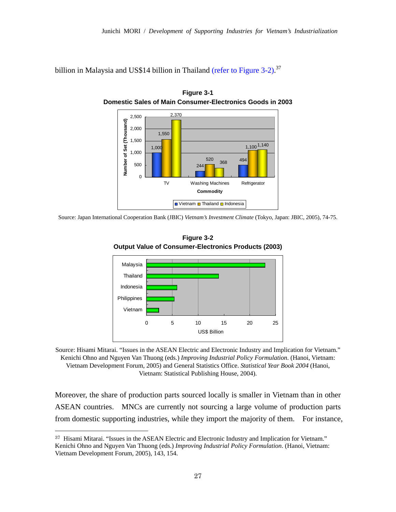billion in Malaysia and US\$14 billion in Thailand (refer to Figure 3-2).<sup>37</sup>



**Figure 3-1 Domestic Sales of Main Consumer-Electronics Goods in 2003** 

Source: Japan International Cooperation Bank (JBIC) *Vietnam's Investment Climate* (Tokyo, Japan: JBIC, 2005), 74-75.



**Figure 3-2 Output Value of Consumer-Electronics Products (2003)**

Source: Hisami Mitarai. "Issues in the ASEAN Electric and Electronic Industry and Implication for Vietnam." Kenichi Ohno and Nguyen Van Thuong (eds.) *Improving Industrial Policy Formulation*. (Hanoi, Vietnam: Vietnam Development Forum, 2005) and General Statistics Office. *Statistical Year Book 2004* (Hanoi, Vietnam: Statistical Publishing House, 2004).

Moreover, the share of production parts sourced locally is smaller in Vietnam than in other ASEAN countries. MNCs are currently not sourcing a large volume of production parts from domestic supporting industries, while they import the majority of them. For instance,

<sup>37</sup> Hisami Mitarai. "Issues in the ASEAN Electric and Electronic Industry and Implication for Vietnam." Kenichi Ohno and Nguyen Van Thuong (eds.) *Improving Industrial Policy Formulation*. (Hanoi, Vietnam: Vietnam Development Forum, 2005), 143, 154.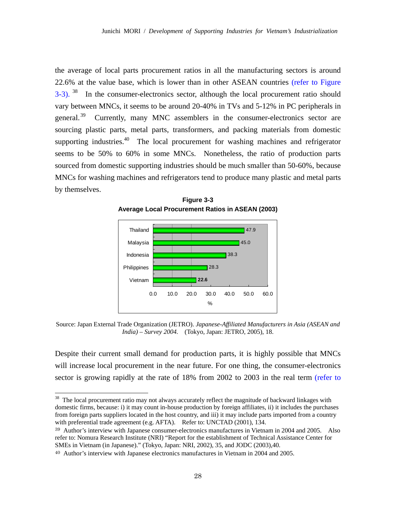the average of local parts procurement ratios in all the manufacturing sectors is around 22.6% at the value base, which is lower than in other ASEAN countries (refer to Figure 3-3). <sup>38</sup> In the consumer-electronics sector, although the local procurement ratio should vary between MNCs, it seems to be around 20-40% in TVs and 5-12% in PC peripherals in general.<sup>39</sup> Currently, many MNC assemblers in the consumer-electronics sector are sourcing plastic parts, metal parts, transformers, and packing materials from domestic supporting industries.<sup>40</sup> The local procurement for washing machines and refrigerator seems to be 50% to 60% in some MNCs. Nonetheless, the ratio of production parts sourced from domestic supporting industries should be much smaller than 50-60%, because MNCs for washing machines and refrigerators tend to produce many plastic and metal parts by themselves.

**Figure 3-3 Average Local Procurement Ratios in ASEAN (2003)**

![](_page_28_Figure_3.jpeg)

Source: Japan External Trade Organization (JETRO). *Japanese-Affiliated Manufacturers in Asia (ASEAN and India) – Survey 2004.* (Tokyo, Japan: JETRO, 2005), 18.

Despite their current small demand for production parts, it is highly possible that MNCs will increase local procurement in the near future. For one thing, the consumer-electronics sector is growing rapidly at the rate of 18% from 2002 to 2003 in the real term (refer to

 $38$  The local procurement ratio may not always accurately reflect the magnitude of backward linkages with domestic firms, because: i) it may count in-house production by foreign affiliates, ii) it includes the purchases from foreign parts suppliers located in the host country, and iii) it may include parts imported from a country with preferential trade agreement (e.g. AFTA). Refer to: UNCTAD (2001), 134.

<sup>39</sup> Author's interview with Japanese consumer-electronics manufactures in Vietnam in 2004 and 2005. Also refer to: Nomura Research Institute (NRI) "Report for the establishment of Technical Assistance Center for SMEs in Vietnam (in Japanese)." (Tokyo, Japan: NRI, 2002), 35, and JODC (2003),40.

<sup>40</sup> Author's interview with Japanese electronics manufactures in Vietnam in 2004 and 2005.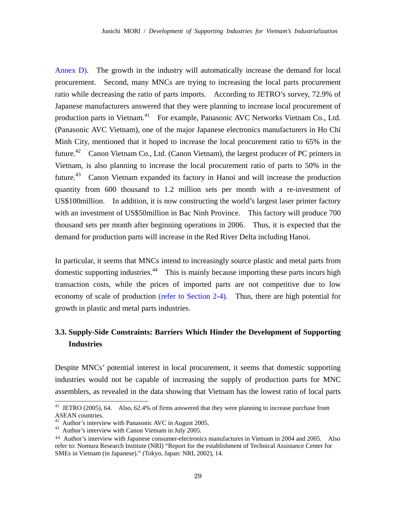Annex D). The growth in the industry will automatically increase the demand for local procurement. Second, many MNCs are trying to increasing the local parts procurement ratio while decreasing the ratio of parts imports. According to JETRO's survey, 72.9% of Japanese manufacturers answered that they were planning to increase local procurement of production parts in Vietnam.<sup>41</sup> For example, Panasonic AVC Networks Vietnam Co., Ltd. (Panasonic AVC Vietnam), one of the major Japanese electronics manufacturers in Ho Chi Minh City, mentioned that it hoped to increase the local procurement ratio to 65% in the future.<sup>42</sup> Canon Vietnam Co., Ltd. (Canon Vietnam), the largest producer of PC printers in Vietnam, is also planning to increase the local procurement ratio of parts to 50% in the future.<sup>43</sup> Canon Vietnam expanded its factory in Hanoi and will increase the production quantity from 600 thousand to 1.2 million sets per month with a re-investment of US\$100million. In addition, it is now constructing the world's largest laser printer factory with an investment of US\$50million in Bac Ninh Province. This factory will produce 700 thousand sets per month after beginning operations in 2006. Thus, it is expected that the demand for production parts will increase in the Red River Delta including Hanoi.

In particular, it seems that MNCs intend to increasingly source plastic and metal parts from domestic supporting industries.<sup>44</sup> This is mainly because importing these parts incurs high transaction costs, while the prices of imported parts are not competitive due to low economy of scale of production (refer to Section 2-4). Thus, there are high potential for growth in plastic and metal parts industries.

## **3.3. Supply-Side Constraints: Barriers Which Hinder the Development of Supporting Industries**

Despite MNCs' potential interest in local procurement, it seems that domestic supporting industries would not be capable of increasing the supply of production parts for MNC assemblers, as revealed in the data showing that Vietnam has the lowest ratio of local parts

<sup>&</sup>lt;sup>41</sup> JETRO (2005), 64. Also, 62.4% of firms answered that they were planning to increase purchase from ASEAN countries.

Author's interview with Panasonic AVC in August 2005.

<sup>&</sup>lt;sup>43</sup> Author's interview with Canon Vietnam in July 2005.

<sup>44</sup> Author's interview with Japanese consumer-electronics manufactures in Vietnam in 2004 and 2005. Also refer to: Nomura Research Institute (NRI) "Report for the establishment of Technical Assistance Center for SMEs in Vietnam (in Japanese)." (Tokyo, Japan: NRI, 2002), 14.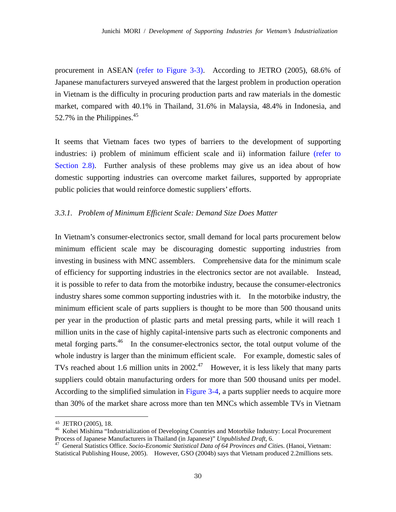procurement in ASEAN (refer to Figure 3-3). According to JETRO (2005), 68.6% of Japanese manufacturers surveyed answered that the largest problem in production operation in Vietnam is the difficulty in procuring production parts and raw materials in the domestic market, compared with 40.1% in Thailand, 31.6% in Malaysia, 48.4% in Indonesia, and 52.7% in the Philippines. $45$ 

It seems that Vietnam faces two types of barriers to the development of supporting industries: i) problem of minimum efficient scale and ii) information failure (refer to Section 2.8). Further analysis of these problems may give us an idea about of how domestic supporting industries can overcome market failures, supported by appropriate public policies that would reinforce domestic suppliers' efforts.

#### *3.3.1. Problem of Minimum Efficient Scale: Demand Size Does Matter*

In Vietnam's consumer-electronics sector, small demand for local parts procurement below minimum efficient scale may be discouraging domestic supporting industries from investing in business with MNC assemblers. Comprehensive data for the minimum scale of efficiency for supporting industries in the electronics sector are not available. Instead, it is possible to refer to data from the motorbike industry, because the consumer-electronics industry shares some common supporting industries with it. In the motorbike industry, the minimum efficient scale of parts suppliers is thought to be more than 500 thousand units per year in the production of plastic parts and metal pressing parts, while it will reach 1 million units in the case of highly capital-intensive parts such as electronic components and metal forging parts.<sup>46</sup> In the consumer-electronics sector, the total output volume of the whole industry is larger than the minimum efficient scale. For example, domestic sales of TVs reached about 1.6 million units in  $2002<sup>47</sup>$  However, it is less likely that many parts suppliers could obtain manufacturing orders for more than 500 thousand units per model. According to the simplified simulation in Figure 3-4, a parts supplier needs to acquire more than 30% of the market share across more than ten MNCs which assemble TVs in Vietnam

<sup>45</sup> JETRO (2005), 18. 46 Kohei Mishima "Industrialization of Developing Countries and Motorbike Industry: Local Procurement Process of Japanese Manufacturers in Thailand (in Japanese)" *Unpublished Draft*, 6. 47 General Statistics Office. *Socio-Economic Statistical Data of 64 Provinces and Citie*s. (Hanoi, Vietnam:

Statistical Publishing House, 2005). However, GSO (2004b) says that Vietnam produced 2.2millions sets.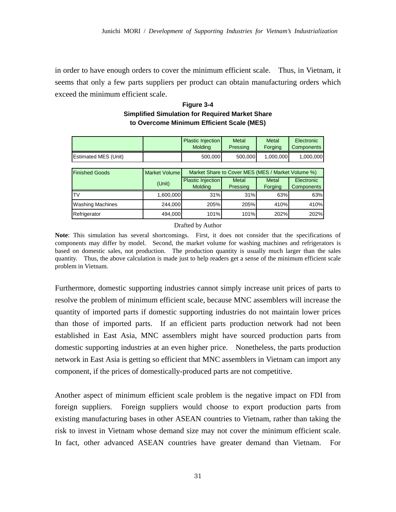in order to have enough orders to cover the minimum efficient scale. Thus, in Vietnam, it seems that only a few parts suppliers per product can obtain manufacturing orders which exceed the minimum efficient scale.

|                               |               | <b>Plastic Injection</b><br><b>Molding</b>        | Metal<br>Pressing | Metal<br>Forging | Electronic<br>Components |
|-------------------------------|---------------|---------------------------------------------------|-------------------|------------------|--------------------------|
| <b>Estimated MES (Unit)</b>   |               | 500,000                                           | 500,000           | 1,000,000        | 1,000,000                |
|                               |               |                                                   |                   |                  |                          |
| <b>Finished Goods</b>         | Market Volume | Market Share to Cover MES (MES / Market Volume %) |                   |                  |                          |
|                               | (Unit)        | Plastic Injection<br><b>Molding</b>               | Metal<br>Pressing | Metal<br>Forging | Electronic<br>Components |
|                               |               |                                                   |                   |                  |                          |
|                               | 1,600,000     | 31%                                               | 31%               | 63%              | 63%                      |
| TV<br><b>Washing Machines</b> | 244,000       | 205%                                              | 205%              | 410%             | 410%                     |

## **Figure 3-4 Simplified Simulation for Required Market Share to Overcome Minimum Efficient Scale (MES)**

#### Drafted by Author

**Note**: This simulation has several shortcomings. First, it does not consider that the specifications of components may differ by model. Second, the market volume for washing machines and refrigerators is based on domestic sales, not production. The production quantity is usually much larger than the sales quantity. Thus, the above calculation is made just to help readers get a sense of the minimum efficient scale problem in Vietnam.

Furthermore, domestic supporting industries cannot simply increase unit prices of parts to resolve the problem of minimum efficient scale, because MNC assemblers will increase the quantity of imported parts if domestic supporting industries do not maintain lower prices than those of imported parts. If an efficient parts production network had not been established in East Asia, MNC assemblers might have sourced production parts from domestic supporting industries at an even higher price. Nonetheless, the parts production network in East Asia is getting so efficient that MNC assemblers in Vietnam can import any component, if the prices of domestically-produced parts are not competitive.

Another aspect of minimum efficient scale problem is the negative impact on FDI from foreign suppliers. Foreign suppliers would choose to export production parts from existing manufacturing bases in other ASEAN countries to Vietnam, rather than taking the risk to invest in Vietnam whose demand size may not cover the minimum efficient scale. In fact, other advanced ASEAN countries have greater demand than Vietnam. For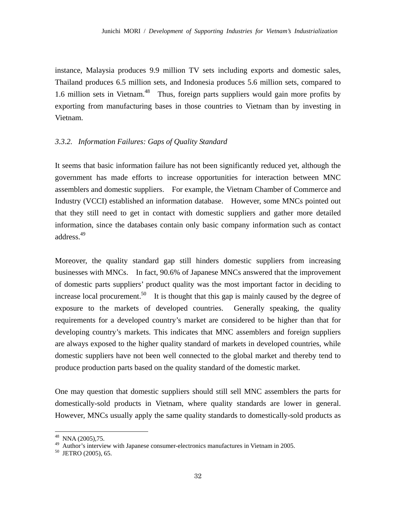instance, Malaysia produces 9.9 million TV sets including exports and domestic sales, Thailand produces 6.5 million sets, and Indonesia produces 5.6 million sets, compared to 1.6 million sets in Vietnam.<sup>48</sup> Thus, foreign parts suppliers would gain more profits by exporting from manufacturing bases in those countries to Vietnam than by investing in Vietnam.

#### *3.3.2. Information Failures: Gaps of Quality Standard*

It seems that basic information failure has not been significantly reduced yet, although the government has made efforts to increase opportunities for interaction between MNC assemblers and domestic suppliers. For example, the Vietnam Chamber of Commerce and Industry (VCCI) established an information database. However, some MNCs pointed out that they still need to get in contact with domestic suppliers and gather more detailed information, since the databases contain only basic company information such as contact address.49

Moreover, the quality standard gap still hinders domestic suppliers from increasing businesses with MNCs. In fact, 90.6% of Japanese MNCs answered that the improvement of domestic parts suppliers' product quality was the most important factor in deciding to increase local procurement.<sup>50</sup> It is thought that this gap is mainly caused by the degree of exposure to the markets of developed countries. Generally speaking, the quality requirements for a developed country's market are considered to be higher than that for developing country's markets. This indicates that MNC assemblers and foreign suppliers are always exposed to the higher quality standard of markets in developed countries, while domestic suppliers have not been well connected to the global market and thereby tend to produce production parts based on the quality standard of the domestic market.

One may question that domestic suppliers should still sell MNC assemblers the parts for domestically-sold products in Vietnam, where quality standards are lower in general. However, MNCs usually apply the same quality standards to domestically-sold products as

<sup>48</sup> NNA (2005),75.

<sup>49</sup> Author's interview with Japanese consumer-electronics manufactures in Vietnam in 2005.

<sup>50</sup> JETRO (2005), 65.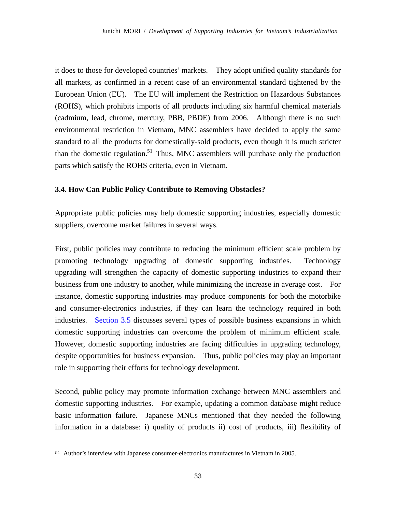it does to those for developed countries' markets. They adopt unified quality standards for all markets, as confirmed in a recent case of an environmental standard tightened by the European Union (EU). The EU will implement the Restriction on Hazardous Substances (ROHS), which prohibits imports of all products including six harmful chemical materials (cadmium, lead, chrome, mercury, PBB, PBDE) from 2006. Although there is no such environmental restriction in Vietnam, MNC assemblers have decided to apply the same standard to all the products for domestically-sold products, even though it is much stricter than the domestic regulation.<sup>51</sup> Thus, MNC assemblers will purchase only the production parts which satisfy the ROHS criteria, even in Vietnam.

#### **3.4. How Can Public Policy Contribute to Removing Obstacles?**

Appropriate public policies may help domestic supporting industries, especially domestic suppliers, overcome market failures in several ways.

First, public policies may contribute to reducing the minimum efficient scale problem by promoting technology upgrading of domestic supporting industries. Technology upgrading will strengthen the capacity of domestic supporting industries to expand their business from one industry to another, while minimizing the increase in average cost. For instance, domestic supporting industries may produce components for both the motorbike and consumer-electronics industries, if they can learn the technology required in both industries. Section 3.5 discusses several types of possible business expansions in which domestic supporting industries can overcome the problem of minimum efficient scale. However, domestic supporting industries are facing difficulties in upgrading technology, despite opportunities for business expansion. Thus, public policies may play an important role in supporting their efforts for technology development.

Second, public policy may promote information exchange between MNC assemblers and domestic supporting industries. For example, updating a common database might reduce basic information failure. Japanese MNCs mentioned that they needed the following information in a database: i) quality of products ii) cost of products, iii) flexibility of

<sup>51</sup> Author's interview with Japanese consumer-electronics manufactures in Vietnam in 2005.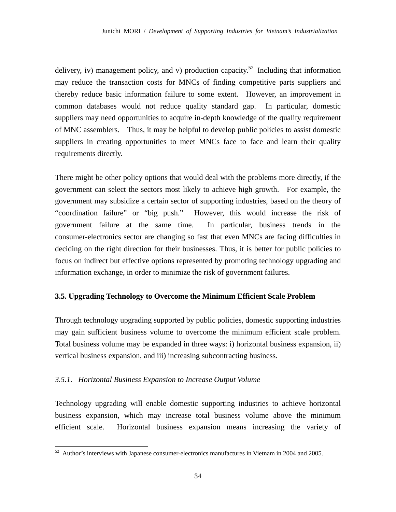delivery, iv) management policy, and v) production capacity.<sup>52</sup> Including that information may reduce the transaction costs for MNCs of finding competitive parts suppliers and thereby reduce basic information failure to some extent. However, an improvement in common databases would not reduce quality standard gap. In particular, domestic suppliers may need opportunities to acquire in-depth knowledge of the quality requirement of MNC assemblers. Thus, it may be helpful to develop public policies to assist domestic suppliers in creating opportunities to meet MNCs face to face and learn their quality requirements directly.

There might be other policy options that would deal with the problems more directly, if the government can select the sectors most likely to achieve high growth. For example, the government may subsidize a certain sector of supporting industries, based on the theory of "coordination failure" or "big push." However, this would increase the risk of government failure at the same time. In particular, business trends in the consumer-electronics sector are changing so fast that even MNCs are facing difficulties in deciding on the right direction for their businesses. Thus, it is better for public policies to focus on indirect but effective options represented by promoting technology upgrading and information exchange, in order to minimize the risk of government failures.

#### **3.5. Upgrading Technology to Overcome the Minimum Efficient Scale Problem**

Through technology upgrading supported by public policies, domestic supporting industries may gain sufficient business volume to overcome the minimum efficient scale problem. Total business volume may be expanded in three ways: i) horizontal business expansion, ii) vertical business expansion, and iii) increasing subcontracting business.

#### *3.5.1. Horizontal Business Expansion to Increase Output Volume*

-

Technology upgrading will enable domestic supporting industries to achieve horizontal business expansion, which may increase total business volume above the minimum efficient scale. Horizontal business expansion means increasing the variety of

 $52$  Author's interviews with Japanese consumer-electronics manufactures in Vietnam in 2004 and 2005.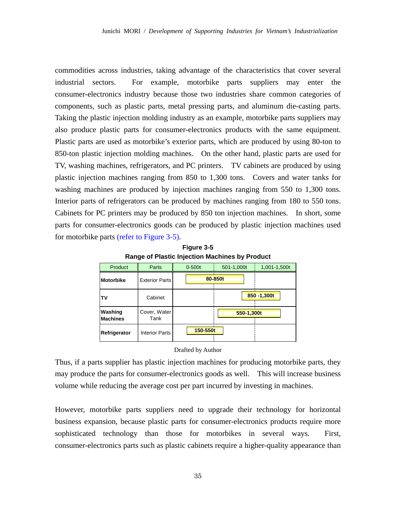commodities across industries, taking advantage of the characteristics that cover several industrial sectors. For example, motorbike parts suppliers may enter the consumer-electronics industry because those two industries share common categories of components, such as plastic parts, metal pressing parts, and aluminum die-casting parts. Taking the plastic injection molding industry as an example, motorbike parts suppliers may also produce plastic parts for consumer-electronics products with the same equipment. Plastic parts are used as motorbike's exterior parts, which are produced by using 80-ton to 850-ton plastic injection molding machines. On the other hand, plastic parts are used for TV, washing machines, refrigerators, and PC printers. TV cabinets are produced by using plastic injection machines ranging from 850 to 1,300 tons. Covers and water tanks for washing machines are produced by injection machines ranging from 550 to 1,300 tons. Interior parts of refrigerators can be produced by machines ranging from 180 to 550 tons. Cabinets for PC printers may be produced by 850 ton injection machines. In short, some parts for consumer-electronics goods can be produced by plastic injection machines used for motorbike parts (refer to Figure 3-5).

| .                          |                       |            |            |                |  |
|----------------------------|-----------------------|------------|------------|----------------|--|
| Product                    | Parts                 | $0 - 500t$ | 501-1,000t | 1,001-1,500t   |  |
| <b>Motorbike</b>           | <b>Exterior Parts</b> |            | 80-850t    |                |  |
| <b>TV</b>                  | Cabinet               |            |            | $850 - 1,300t$ |  |
| Washing<br><b>Machines</b> | Cover, Water<br>Tank  |            | 550-1,300t |                |  |
| Refrigerator               | <b>Interior Parts</b> | 150-550t   |            |                |  |

**Figure 3-5 Range of Plastic Injection Machines by Product**

#### Drafted by Author

Thus, if a parts supplier has plastic injection machines for producing motorbike parts, they may produce the parts for consumer-electronics goods as well. This will increase business volume while reducing the average cost per part incurred by investing in machines.

However, motorbike parts suppliers need to upgrade their technology for horizontal business expansion, because plastic parts for consumer-electronics products require more sophisticated technology than those for motorbikes in several ways. First, consumer-electronics parts such as plastic cabinets require a higher-quality appearance than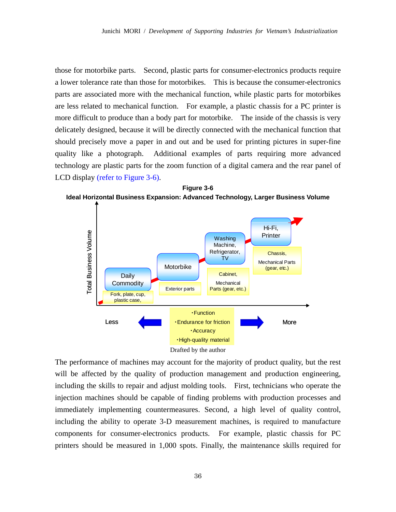those for motorbike parts. Second, plastic parts for consumer-electronics products require a lower tolerance rate than those for motorbikes. This is because the consumer-electronics parts are associated more with the mechanical function, while plastic parts for motorbikes are less related to mechanical function. For example, a plastic chassis for a PC printer is more difficult to produce than a body part for motorbike. The inside of the chassis is very delicately designed, because it will be directly connected with the mechanical function that should precisely move a paper in and out and be used for printing pictures in super-fine quality like a photograph. Additional examples of parts requiring more advanced technology are plastic parts for the zoom function of a digital camera and the rear panel of LCD display (refer to Figure 3-6).



**Figure 3-6** 

The performance of machines may account for the majority of product quality, but the rest will be affected by the quality of production management and production engineering, including the skills to repair and adjust molding tools. First, technicians who operate the injection machines should be capable of finding problems with production processes and immediately implementing countermeasures. Second, a high level of quality control, including the ability to operate 3-D measurement machines, is required to manufacture components for consumer-electronics products. For example, plastic chassis for PC printers should be measured in 1,000 spots. Finally, the maintenance skills required for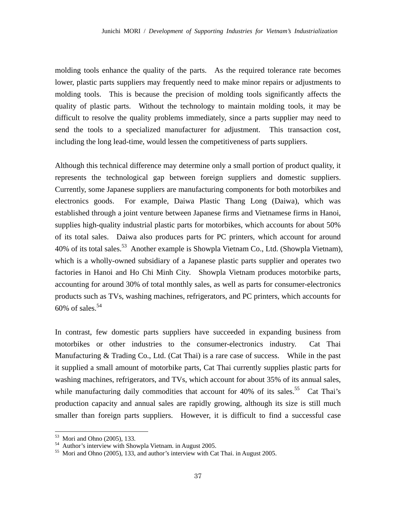molding tools enhance the quality of the parts. As the required tolerance rate becomes lower, plastic parts suppliers may frequently need to make minor repairs or adjustments to molding tools. This is because the precision of molding tools significantly affects the quality of plastic parts. Without the technology to maintain molding tools, it may be difficult to resolve the quality problems immediately, since a parts supplier may need to send the tools to a specialized manufacturer for adjustment. This transaction cost, including the long lead-time, would lessen the competitiveness of parts suppliers.

Although this technical difference may determine only a small portion of product quality, it represents the technological gap between foreign suppliers and domestic suppliers. Currently, some Japanese suppliers are manufacturing components for both motorbikes and electronics goods. For example, Daiwa Plastic Thang Long (Daiwa), which was established through a joint venture between Japanese firms and Vietnamese firms in Hanoi, supplies high-quality industrial plastic parts for motorbikes, which accounts for about 50% of its total sales. Daiwa also produces parts for PC printers, which account for around 40% of its total sales.<sup>53</sup> Another example is Showpla Vietnam Co., Ltd. (Showpla Vietnam), which is a wholly-owned subsidiary of a Japanese plastic parts supplier and operates two factories in Hanoi and Ho Chi Minh City. Showpla Vietnam produces motorbike parts, accounting for around 30% of total monthly sales, as well as parts for consumer-electronics products such as TVs, washing machines, refrigerators, and PC printers, which accounts for 60% of sales. $54$ 

In contrast, few domestic parts suppliers have succeeded in expanding business from motorbikes or other industries to the consumer-electronics industry. Cat Thai Manufacturing & Trading Co., Ltd. (Cat Thai) is a rare case of success. While in the past it supplied a small amount of motorbike parts, Cat Thai currently supplies plastic parts for washing machines, refrigerators, and TVs, which account for about 35% of its annual sales, while manufacturing daily commodities that account for 40% of its sales.<sup>55</sup> Cat Thai's production capacity and annual sales are rapidly growing, although its size is still much smaller than foreign parts suppliers. However, it is difficult to find a successful case

<sup>53</sup> Mori and Ohno (2005), 133.

<sup>54</sup> Author's interview with Showpla Vietnam. in August 2005.

<sup>55</sup> Mori and Ohno (2005), 133, and author's interview with Cat Thai. in August 2005.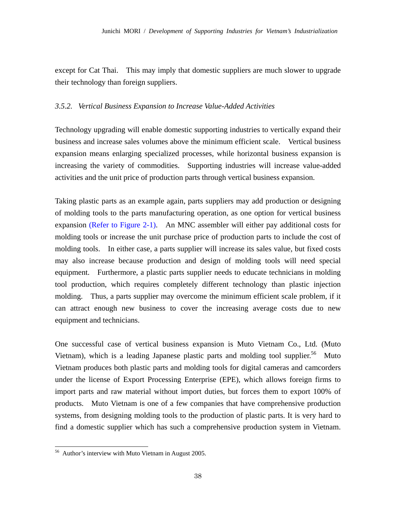except for Cat Thai. This may imply that domestic suppliers are much slower to upgrade their technology than foreign suppliers.

### *3.5.2. Vertical Business Expansion to Increase Value-Added Activities*

Technology upgrading will enable domestic supporting industries to vertically expand their business and increase sales volumes above the minimum efficient scale. Vertical business expansion means enlarging specialized processes, while horizontal business expansion is increasing the variety of commodities. Supporting industries will increase value-added activities and the unit price of production parts through vertical business expansion.

Taking plastic parts as an example again, parts suppliers may add production or designing of molding tools to the parts manufacturing operation, as one option for vertical business expansion (Refer to Figure 2-1). An MNC assembler will either pay additional costs for molding tools or increase the unit purchase price of production parts to include the cost of molding tools. In either case, a parts supplier will increase its sales value, but fixed costs may also increase because production and design of molding tools will need special equipment. Furthermore, a plastic parts supplier needs to educate technicians in molding tool production, which requires completely different technology than plastic injection molding. Thus, a parts supplier may overcome the minimum efficient scale problem, if it can attract enough new business to cover the increasing average costs due to new equipment and technicians.

One successful case of vertical business expansion is Muto Vietnam Co., Ltd. (Muto Vietnam), which is a leading Japanese plastic parts and molding tool supplier.<sup>56</sup> Muto Vietnam produces both plastic parts and molding tools for digital cameras and camcorders under the license of Export Processing Enterprise (EPE), which allows foreign firms to import parts and raw material without import duties, but forces them to export 100% of products. Muto Vietnam is one of a few companies that have comprehensive production systems, from designing molding tools to the production of plastic parts. It is very hard to find a domestic supplier which has such a comprehensive production system in Vietnam.

<sup>&</sup>lt;sup>56</sup> Author's interview with Muto Vietnam in August 2005.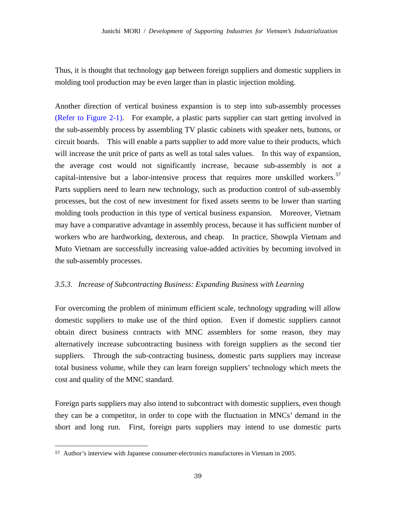Thus, it is thought that technology gap between foreign suppliers and domestic suppliers in molding tool production may be even larger than in plastic injection molding.

Another direction of vertical business expansion is to step into sub-assembly processes (Refer to Figure 2-1). For example, a plastic parts supplier can start getting involved in the sub-assembly process by assembling TV plastic cabinets with speaker nets, buttons, or circuit boards. This will enable a parts supplier to add more value to their products, which will increase the unit price of parts as well as total sales values. In this way of expansion, the average cost would not significantly increase, because sub-assembly is not a capital-intensive but a labor-intensive process that requires more unskilled workers.<sup>57</sup> Parts suppliers need to learn new technology, such as production control of sub-assembly processes, but the cost of new investment for fixed assets seems to be lower than starting molding tools production in this type of vertical business expansion. Moreover, Vietnam may have a comparative advantage in assembly process, because it has sufficient number of workers who are hardworking, dexterous, and cheap. In practice, Showpla Vietnam and Muto Vietnam are successfully increasing value-added activities by becoming involved in the sub-assembly processes.

# *3.5.3. Increase of Subcontracting Business: Expanding Business with Learning*

For overcoming the problem of minimum efficient scale, technology upgrading will allow domestic suppliers to make use of the third option. Even if domestic suppliers cannot obtain direct business contracts with MNC assemblers for some reason, they may alternatively increase subcontracting business with foreign suppliers as the second tier suppliers. Through the sub-contracting business, domestic parts suppliers may increase total business volume, while they can learn foreign suppliers' technology which meets the cost and quality of the MNC standard.

Foreign parts suppliers may also intend to subcontract with domestic suppliers, even though they can be a competitor, in order to cope with the fluctuation in MNCs' demand in the short and long run. First, foreign parts suppliers may intend to use domestic parts

<sup>57</sup> Author's interview with Japanese consumer-electronics manufactures in Vietnam in 2005.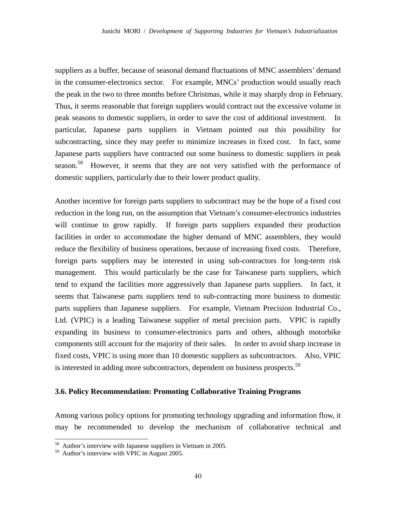suppliers as a buffer, because of seasonal demand fluctuations of MNC assemblers' demand in the consumer-electronics sector. For example, MNCs' production would usually reach the peak in the two to three months before Christmas, while it may sharply drop in February. Thus, it seems reasonable that foreign suppliers would contract out the excessive volume in peak seasons to domestic suppliers, in order to save the cost of additional investment. In particular, Japanese parts suppliers in Vietnam pointed out this possibility for subcontracting, since they may prefer to minimize increases in fixed cost. In fact, some Japanese parts suppliers have contracted out some business to domestic suppliers in peak season.<sup>58</sup> However, it seems that they are not very satisfied with the performance of domestic suppliers, particularly due to their lower product quality.

Another incentive for foreign parts suppliers to subcontract may be the hope of a fixed cost reduction in the long run, on the assumption that Vietnam's consumer-electronics industries will continue to grow rapidly. If foreign parts suppliers expanded their production facilities in order to accommodate the higher demand of MNC assemblers, they would reduce the flexibility of business operations, because of increasing fixed costs. Therefore, foreign parts suppliers may be interested in using sub-contractors for long-term risk management. This would particularly be the case for Taiwanese parts suppliers, which tend to expand the facilities more aggressively than Japanese parts suppliers. In fact, it seems that Taiwanese parts suppliers tend to sub-contracting more business to domestic parts suppliers than Japanese suppliers. For example, Vietnam Precision Industrial Co., Ltd. (VPIC) is a leading Taiwanese supplier of metal precision parts. VPIC is rapidly expanding its business to consumer-electronics parts and others, although motorbike components still account for the majority of their sales. In order to avoid sharp increase in fixed costs, VPIC is using more than 10 domestic suppliers as subcontractors. Also, VPIC is interested in adding more subcontractors, dependent on business prospects.<sup>59</sup>

# **3.6. Policy Recommendation: Promoting Collaborative Training Programs**

Among various policy options for promoting technology upgrading and information flow, it may be recommended to develop the mechanism of collaborative technical and

<sup>&</sup>lt;sup>58</sup> Author's interview with Japanese suppliers in Vietnam in 2005.

<sup>59</sup> Author's interview with VPIC in August 2005.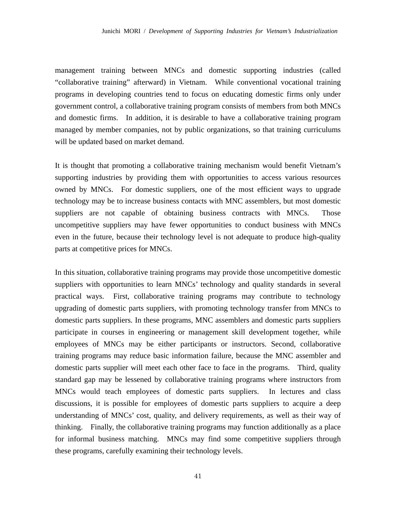management training between MNCs and domestic supporting industries (called "collaborative training" afterward) in Vietnam. While conventional vocational training programs in developing countries tend to focus on educating domestic firms only under government control, a collaborative training program consists of members from both MNCs and domestic firms. In addition, it is desirable to have a collaborative training program managed by member companies, not by public organizations, so that training curriculums will be updated based on market demand.

It is thought that promoting a collaborative training mechanism would benefit Vietnam's supporting industries by providing them with opportunities to access various resources owned by MNCs. For domestic suppliers, one of the most efficient ways to upgrade technology may be to increase business contacts with MNC assemblers, but most domestic suppliers are not capable of obtaining business contracts with MNCs. Those uncompetitive suppliers may have fewer opportunities to conduct business with MNCs even in the future, because their technology level is not adequate to produce high-quality parts at competitive prices for MNCs.

In this situation, collaborative training programs may provide those uncompetitive domestic suppliers with opportunities to learn MNCs' technology and quality standards in several practical ways. First, collaborative training programs may contribute to technology upgrading of domestic parts suppliers, with promoting technology transfer from MNCs to domestic parts suppliers. In these programs, MNC assemblers and domestic parts suppliers participate in courses in engineering or management skill development together, while employees of MNCs may be either participants or instructors. Second, collaborative training programs may reduce basic information failure, because the MNC assembler and domestic parts supplier will meet each other face to face in the programs. Third, quality standard gap may be lessened by collaborative training programs where instructors from MNCs would teach employees of domestic parts suppliers. In lectures and class discussions, it is possible for employees of domestic parts suppliers to acquire a deep understanding of MNCs' cost, quality, and delivery requirements, as well as their way of thinking. Finally, the collaborative training programs may function additionally as a place for informal business matching. MNCs may find some competitive suppliers through these programs, carefully examining their technology levels.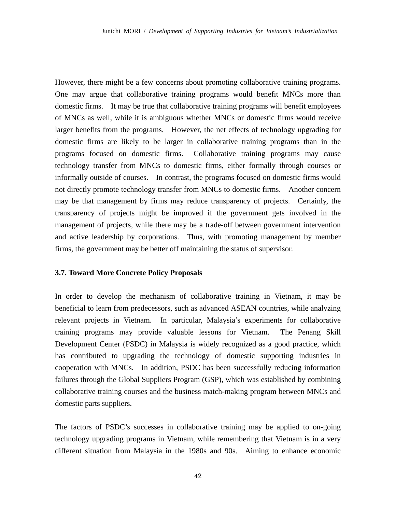However, there might be a few concerns about promoting collaborative training programs. One may argue that collaborative training programs would benefit MNCs more than domestic firms. It may be true that collaborative training programs will benefit employees of MNCs as well, while it is ambiguous whether MNCs or domestic firms would receive larger benefits from the programs. However, the net effects of technology upgrading for domestic firms are likely to be larger in collaborative training programs than in the programs focused on domestic firms. Collaborative training programs may cause technology transfer from MNCs to domestic firms, either formally through courses or informally outside of courses. In contrast, the programs focused on domestic firms would not directly promote technology transfer from MNCs to domestic firms. Another concern may be that management by firms may reduce transparency of projects. Certainly, the transparency of projects might be improved if the government gets involved in the management of projects, while there may be a trade-off between government intervention and active leadership by corporations. Thus, with promoting management by member firms, the government may be better off maintaining the status of supervisor.

#### **3.7. Toward More Concrete Policy Proposals**

In order to develop the mechanism of collaborative training in Vietnam, it may be beneficial to learn from predecessors, such as advanced ASEAN countries, while analyzing relevant projects in Vietnam. In particular, Malaysia's experiments for collaborative training programs may provide valuable lessons for Vietnam. The Penang Skill Development Center (PSDC) in Malaysia is widely recognized as a good practice, which has contributed to upgrading the technology of domestic supporting industries in cooperation with MNCs. In addition, PSDC has been successfully reducing information failures through the Global Suppliers Program (GSP), which was established by combining collaborative training courses and the business match-making program between MNCs and domestic parts suppliers.

The factors of PSDC's successes in collaborative training may be applied to on-going technology upgrading programs in Vietnam, while remembering that Vietnam is in a very different situation from Malaysia in the 1980s and 90s. Aiming to enhance economic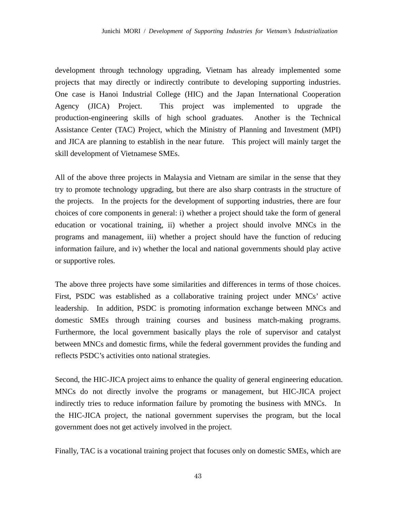development through technology upgrading, Vietnam has already implemented some projects that may directly or indirectly contribute to developing supporting industries. One case is Hanoi Industrial College (HIC) and the Japan International Cooperation Agency (JICA) Project. This project was implemented to upgrade the production-engineering skills of high school graduates. Another is the Technical Assistance Center (TAC) Project, which the Ministry of Planning and Investment (MPI) and JICA are planning to establish in the near future. This project will mainly target the skill development of Vietnamese SMEs.

All of the above three projects in Malaysia and Vietnam are similar in the sense that they try to promote technology upgrading, but there are also sharp contrasts in the structure of the projects. In the projects for the development of supporting industries, there are four choices of core components in general: i) whether a project should take the form of general education or vocational training, ii) whether a project should involve MNCs in the programs and management, iii) whether a project should have the function of reducing information failure, and iv) whether the local and national governments should play active or supportive roles.

The above three projects have some similarities and differences in terms of those choices. First, PSDC was established as a collaborative training project under MNCs' active leadership. In addition, PSDC is promoting information exchange between MNCs and domestic SMEs through training courses and business match-making programs. Furthermore, the local government basically plays the role of supervisor and catalyst between MNCs and domestic firms, while the federal government provides the funding and reflects PSDC's activities onto national strategies.

Second, the HIC-JICA project aims to enhance the quality of general engineering education. MNCs do not directly involve the programs or management, but HIC-JICA project indirectly tries to reduce information failure by promoting the business with MNCs. In the HIC-JICA project, the national government supervises the program, but the local government does not get actively involved in the project.

Finally, TAC is a vocational training project that focuses only on domestic SMEs, which are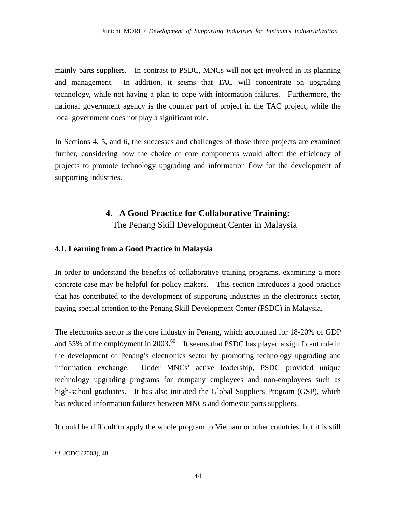mainly parts suppliers. In contrast to PSDC, MNCs will not get involved in its planning and management. In addition, it seems that TAC will concentrate on upgrading technology, while not having a plan to cope with information failures. Furthermore, the national government agency is the counter part of project in the TAC project, while the local government does not play a significant role.

In Sections 4, 5, and 6, the successes and challenges of those three projects are examined further, considering how the choice of core components would affect the efficiency of projects to promote technology upgrading and information flow for the development of supporting industries.

# **4. A Good Practice for Collaborative Training:**

The Penang Skill Development Center in Malaysia

# **4.1. Learning from a Good Practice in Malaysia**

In order to understand the benefits of collaborative training programs, examining a more concrete case may be helpful for policy makers. This section introduces a good practice that has contributed to the development of supporting industries in the electronics sector, paying special attention to the Penang Skill Development Center (PSDC) in Malaysia.

The electronics sector is the core industry in Penang, which accounted for 18-20% of GDP and 55% of the employment in 2003.<sup>60</sup> It seems that PSDC has played a significant role in the development of Penang's electronics sector by promoting technology upgrading and information exchange. Under MNCs' active leadership, PSDC provided unique technology upgrading programs for company employees and non-employees such as high-school graduates. It has also initiated the Global Suppliers Program (GSP), which has reduced information failures between MNCs and domestic parts suppliers.

It could be difficult to apply the whole program to Vietnam or other countries, but it is still

<sup>60</sup> JODC (2003), 48.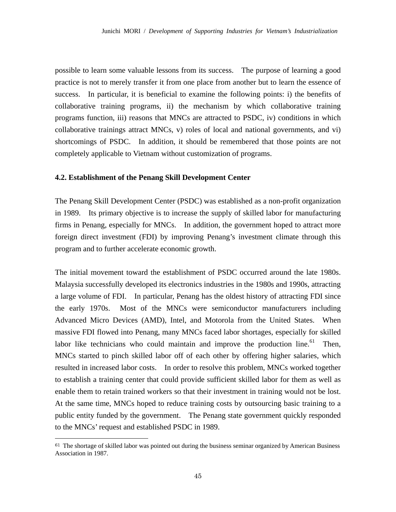possible to learn some valuable lessons from its success. The purpose of learning a good practice is not to merely transfer it from one place from another but to learn the essence of success. In particular, it is beneficial to examine the following points: i) the benefits of collaborative training programs, ii) the mechanism by which collaborative training programs function, iii) reasons that MNCs are attracted to PSDC, iv) conditions in which collaborative trainings attract MNCs, v) roles of local and national governments, and vi) shortcomings of PSDC. In addition, it should be remembered that those points are not completely applicable to Vietnam without customization of programs.

## **4.2. Establishment of the Penang Skill Development Center**

The Penang Skill Development Center (PSDC) was established as a non-profit organization in 1989. Its primary objective is to increase the supply of skilled labor for manufacturing firms in Penang, especially for MNCs. In addition, the government hoped to attract more foreign direct investment (FDI) by improving Penang's investment climate through this program and to further accelerate economic growth.

The initial movement toward the establishment of PSDC occurred around the late 1980s. Malaysia successfully developed its electronics industries in the 1980s and 1990s, attracting a large volume of FDI. In particular, Penang has the oldest history of attracting FDI since the early 1970s. Most of the MNCs were semiconductor manufacturers including Advanced Micro Devices (AMD), Intel, and Motorola from the United States. When massive FDI flowed into Penang, many MNCs faced labor shortages, especially for skilled labor like technicians who could maintain and improve the production line.<sup>61</sup> Then, MNCs started to pinch skilled labor off of each other by offering higher salaries, which resulted in increased labor costs. In order to resolve this problem, MNCs worked together to establish a training center that could provide sufficient skilled labor for them as well as enable them to retain trained workers so that their investment in training would not be lost. At the same time, MNCs hoped to reduce training costs by outsourcing basic training to a public entity funded by the government. The Penang state government quickly responded to the MNCs' request and established PSDC in 1989.

 $61$  The shortage of skilled labor was pointed out during the business seminar organized by American Business Association in 1987.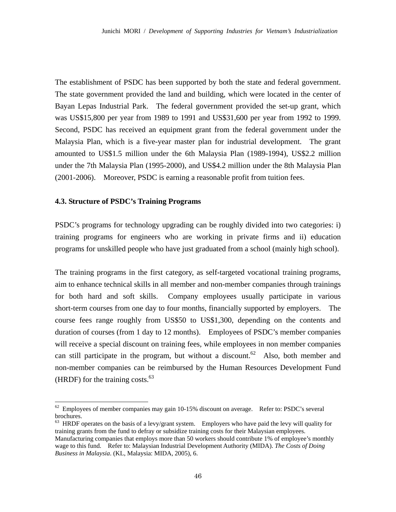The establishment of PSDC has been supported by both the state and federal government. The state government provided the land and building, which were located in the center of Bayan Lepas Industrial Park. The federal government provided the set-up grant, which was US\$15,800 per year from 1989 to 1991 and US\$31,600 per year from 1992 to 1999. Second, PSDC has received an equipment grant from the federal government under the Malaysia Plan, which is a five-year master plan for industrial development. The grant amounted to US\$1.5 million under the 6th Malaysia Plan (1989-1994), US\$2.2 million under the 7th Malaysia Plan (1995-2000), and US\$4.2 million under the 8th Malaysia Plan (2001-2006). Moreover, PSDC is earning a reasonable profit from tuition fees.

## **4.3. Structure of PSDC's Training Programs**

-

PSDC's programs for technology upgrading can be roughly divided into two categories: i) training programs for engineers who are working in private firms and ii) education programs for unskilled people who have just graduated from a school (mainly high school).

The training programs in the first category, as self-targeted vocational training programs, aim to enhance technical skills in all member and non-member companies through trainings for both hard and soft skills. Company employees usually participate in various short-term courses from one day to four months, financially supported by employers. The course fees range roughly from US\$50 to US\$1,300, depending on the contents and duration of courses (from 1 day to 12 months). Employees of PSDC's member companies will receive a special discount on training fees, while employees in non member companies can still participate in the program, but without a discount.<sup>62</sup> Also, both member and non-member companies can be reimbursed by the Human Resources Development Fund (HRDF) for the training costs. $^{63}$ 

 $62$  Employees of member companies may gain 10-15% discount on average. Refer to: PSDC's several brochures.

<sup>&</sup>lt;sup>63</sup> HRDF operates on the basis of a levy/grant system. Employers who have paid the levy will quality for training grants from the fund to defray or subsidize training costs for their Malaysian employees. Manufacturing companies that employs more than 50 workers should contribute 1% of employee's monthly wage to this fund. Refer to: Malaysian Industrial Development Authority (MIDA). *The Costs of Doing Business in Malaysia*. (KL, Malaysia: MIDA, 2005), 6.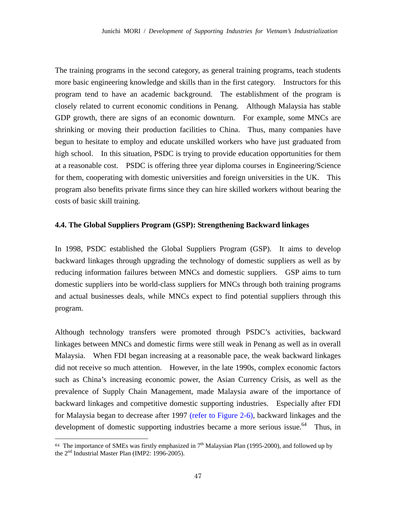The training programs in the second category, as general training programs, teach students more basic engineering knowledge and skills than in the first category. Instructors for this program tend to have an academic background. The establishment of the program is closely related to current economic conditions in Penang. Although Malaysia has stable GDP growth, there are signs of an economic downturn. For example, some MNCs are shrinking or moving their production facilities to China. Thus, many companies have begun to hesitate to employ and educate unskilled workers who have just graduated from high school. In this situation, PSDC is trying to provide education opportunities for them at a reasonable cost. PSDC is offering three year diploma courses in Engineering/Science for them, cooperating with domestic universities and foreign universities in the UK. This program also benefits private firms since they can hire skilled workers without bearing the costs of basic skill training.

### **4.4. The Global Suppliers Program (GSP): Strengthening Backward linkages**

In 1998, PSDC established the Global Suppliers Program (GSP). It aims to develop backward linkages through upgrading the technology of domestic suppliers as well as by reducing information failures between MNCs and domestic suppliers. GSP aims to turn domestic suppliers into be world-class suppliers for MNCs through both training programs and actual businesses deals, while MNCs expect to find potential suppliers through this program.

Although technology transfers were promoted through PSDC's activities, backward linkages between MNCs and domestic firms were still weak in Penang as well as in overall Malaysia. When FDI began increasing at a reasonable pace, the weak backward linkages did not receive so much attention. However, in the late 1990s, complex economic factors such as China's increasing economic power, the Asian Currency Crisis, as well as the prevalence of Supply Chain Management, made Malaysia aware of the importance of backward linkages and competitive domestic supporting industries. Especially after FDI for Malaysia began to decrease after 1997 (refer to Figure 2-6), backward linkages and the development of domestic supporting industries became a more serious issue.<sup> $64$ </sup> Thus, in

 $64$  The importance of SMEs was firstly emphasized in  $7<sup>th</sup>$  Malaysian Plan (1995-2000), and followed up by the 2nd Industrial Master Plan (IMP2: 1996-2005).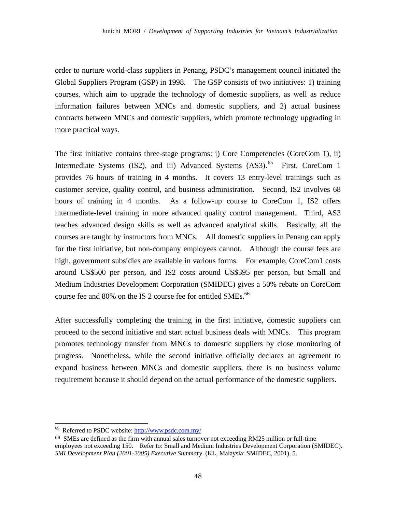order to nurture world-class suppliers in Penang, PSDC's management council initiated the Global Suppliers Program (GSP) in 1998. The GSP consists of two initiatives: 1) training courses, which aim to upgrade the technology of domestic suppliers, as well as reduce information failures between MNCs and domestic suppliers, and 2) actual business contracts between MNCs and domestic suppliers, which promote technology upgrading in more practical ways.

The first initiative contains three-stage programs: i) Core Competencies (CoreCom 1), ii) Intermediate Systems (IS2), and iii) Advanced Systems  $(AS3)$ .<sup>65</sup> First, CoreCom 1 provides 76 hours of training in 4 months. It covers 13 entry-level trainings such as customer service, quality control, and business administration. Second, IS2 involves 68 hours of training in 4 months. As a follow-up course to CoreCom 1, IS2 offers intermediate-level training in more advanced quality control management. Third, AS3 teaches advanced design skills as well as advanced analytical skills. Basically, all the courses are taught by instructors from MNCs. All domestic suppliers in Penang can apply for the first initiative, but non-company employees cannot. Although the course fees are high, government subsidies are available in various forms. For example, CoreCom1 costs around US\$500 per person, and IS2 costs around US\$395 per person, but Small and Medium Industries Development Corporation (SMIDEC) gives a 50% rebate on CoreCom course fee and 80% on the IS 2 course fee for entitled SMEs. $^{66}$ 

After successfully completing the training in the first initiative, domestic suppliers can proceed to the second initiative and start actual business deals with MNCs. This program promotes technology transfer from MNCs to domestic suppliers by close monitoring of progress. Nonetheless, while the second initiative officially declares an agreement to expand business between MNCs and domestic suppliers, there is no business volume requirement because it should depend on the actual performance of the domestic suppliers.

<sup>65</sup> Referred to PSDC website: http://www.psdc.com.my/

<sup>66</sup> SMEs are defined as the firm with annual sales turnover not exceeding RM25 million or full-time employees not exceeding 150. Refer to: Small and Medium Industries Development Corporation (SMIDEC). *SMI Development Plan (2001-2005) Executive Summary*. (KL, Malaysia: SMIDEC, 2001), 5.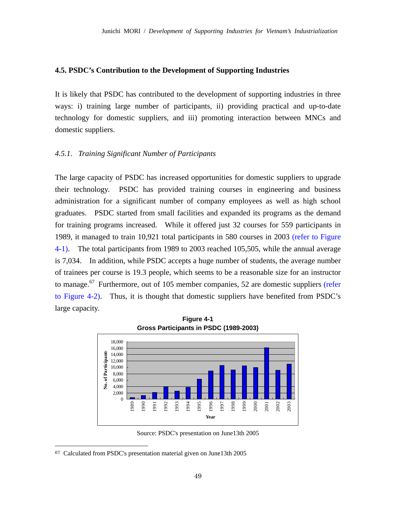#### **4.5. PSDC's Contribution to the Development of Supporting Industries**

It is likely that PSDC has contributed to the development of supporting industries in three ways: i) training large number of participants, ii) providing practical and up-to-date technology for domestic suppliers, and iii) promoting interaction between MNCs and domestic suppliers.

## *4.5.1. Training Significant Number of Participants*

The large capacity of PSDC has increased opportunities for domestic suppliers to upgrade their technology. PSDC has provided training courses in engineering and business administration for a significant number of company employees as well as high school graduates. PSDC started from small facilities and expanded its programs as the demand for training programs increased. While it offered just 32 courses for 559 participants in 1989, it managed to train 10,921 total participants in 580 courses in 2003 (refer to Figure 4-1). The total participants from 1989 to 2003 reached 105,505, while the annual average is 7,034. In addition, while PSDC accepts a huge number of students, the average number of trainees per course is 19.3 people, which seems to be a reasonable size for an instructor to manage.<sup>67</sup> Furthermore, out of 105 member companies, 52 are domestic suppliers (refer to Figure 4-2). Thus, it is thought that domestic suppliers have benefited from PSDC's large capacity.



Source: PSDC's presentation on June13th 2005

<sup>67</sup> Calculated from PSDC's presentation material given on June13th 2005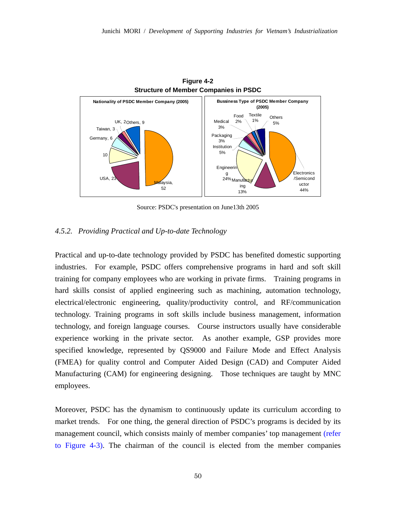

**Figure 4-2** 

Source: PSDC's presentation on June13th 2005

## *4.5.2. Providing Practical and Up-to-date Technology*

Practical and up-to-date technology provided by PSDC has benefited domestic supporting industries. For example, PSDC offers comprehensive programs in hard and soft skill training for company employees who are working in private firms. Training programs in hard skills consist of applied engineering such as machining, automation technology, electrical/electronic engineering, quality/productivity control, and RF/communication technology. Training programs in soft skills include business management, information technology, and foreign language courses. Course instructors usually have considerable experience working in the private sector. As another example, GSP provides more specified knowledge, represented by QS9000 and Failure Mode and Effect Analysis (FMEA) for quality control and Computer Aided Design (CAD) and Computer Aided Manufacturing (CAM) for engineering designing. Those techniques are taught by MNC employees.

Moreover, PSDC has the dynamism to continuously update its curriculum according to market trends. For one thing, the general direction of PSDC's programs is decided by its management council, which consists mainly of member companies' top management (refer to Figure 4-3). The chairman of the council is elected from the member companies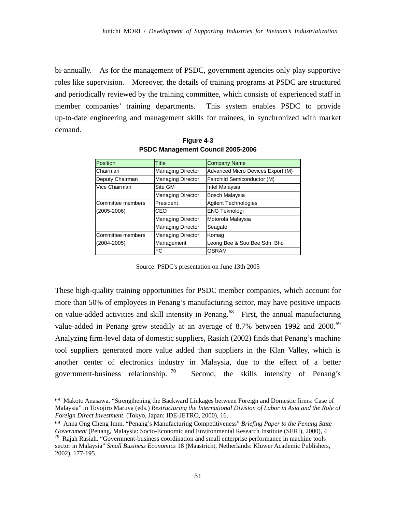bi-annually. As for the management of PSDC, government agencies only play supportive roles like supervision. Moreover, the details of training programs at PSDC are structured and periodically reviewed by the training committee, which consists of experienced staff in member companies' training departments. This system enables PSDC to provide up-to-date engineering and management skills for trainees, in synchronized with market demand.

| Position          | Title                    | <b>Company Name</b>               |  |  |
|-------------------|--------------------------|-----------------------------------|--|--|
| Chairman          | <b>Managing Director</b> | Advanced Micro Devices Export (M) |  |  |
| Deputy Chairman   | <b>Managing Director</b> | Fairchild Semiconductor (M)       |  |  |
| Vice Chairman     | Site GM                  | <b>Intel Malaysia</b>             |  |  |
|                   | <b>Managing Director</b> | Bosch Malaysia                    |  |  |
| Committee members | President                | <b>Agilent Technologies</b>       |  |  |
| $(2005 - 2006)$   | CFO                      | <b>ENG Teknologi</b>              |  |  |
|                   | <b>Managing Director</b> | Motorola Malaysia                 |  |  |
|                   | <b>Managing Director</b> | Seagate                           |  |  |
| Committee members | <b>Managing Director</b> | Komag                             |  |  |
| $(2004 - 2005)$   | Management               | Leong Bee & Soo Bee Sdn. Bhd      |  |  |
|                   | FC                       | <b>OSRAM</b>                      |  |  |

**Figure 4-3 PSDC Management Council 2005-2006** 

Source: PSDC's presentation on June 13th 2005

These high-quality training opportunities for PSDC member companies, which account for more than 50% of employees in Penang's manufacturing sector, may have positive impacts on value-added activities and skill intensity in Penang.<sup>68</sup> First, the annual manufacturing value-added in Penang grew steadily at an average of 8.7% between 1992 and 2000.<sup>69</sup> Analyzing firm-level data of domestic suppliers, Rasiah (2002) finds that Penang's machine tool suppliers generated more value added than suppliers in the Klan Valley, which is another center of electronics industry in Malaysia, due to the effect of a better government-business relationship.  $70$  Second, the skills intensity of Penang's

<sup>68</sup> Makoto Anasawa. "Strengthening the Backward Linkages between Foreign and Domestic firms: Case of Malaysia" in Toyojiro Maruya (eds.) *Restructuring the International Division of Labor in Asia and the Role of Foreign Direct Investment*. (Tokyo, Japan: IDE-JETRO, 2000), 16.

<sup>69</sup> Anna Ong Cheng Imm. "Penang's Manufacturing Competitiveness" *Briefing Paper to the Penang State Government* (Penang, Malaysia: Socio-Economic and Environmental Research Institute (SERI), 2000), 4<sup>70</sup> Rajah Rasiah. "Government-business coordination and small enterprise performance in machine tools

sector in Malaysia" *Small Business Economics* 18 (Maastricht, Netherlands: Kluwer Academic Publishers, 2002), 177-195.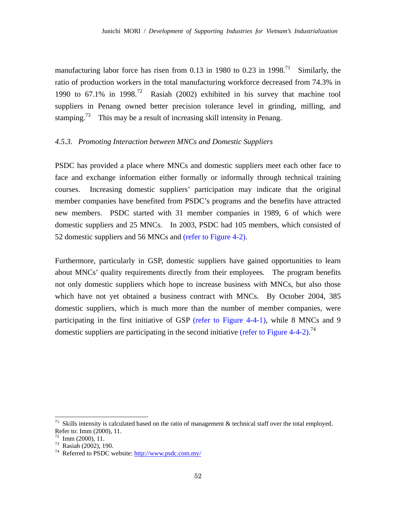manufacturing labor force has risen from 0.13 in 1980 to 0.23 in 1998.<sup>71</sup> Similarly, the ratio of production workers in the total manufacturing workforce decreased from 74.3% in 1990 to  $67.1\%$  in 1998.<sup>72</sup> Rasiah (2002) exhibited in his survey that machine tool suppliers in Penang owned better precision tolerance level in grinding, milling, and stamping.<sup>73</sup> This may be a result of increasing skill intensity in Penang.

## *4.5.3. Promoting Interaction between MNCs and Domestic Suppliers*

PSDC has provided a place where MNCs and domestic suppliers meet each other face to face and exchange information either formally or informally through technical training courses. Increasing domestic suppliers' participation may indicate that the original member companies have benefited from PSDC's programs and the benefits have attracted new members. PSDC started with 31 member companies in 1989, 6 of which were domestic suppliers and 25 MNCs. In 2003, PSDC had 105 members, which consisted of 52 domestic suppliers and 56 MNCs and (refer to Figure 4-2).

Furthermore, particularly in GSP, domestic suppliers have gained opportunities to learn about MNCs' quality requirements directly from their employees. The program benefits not only domestic suppliers which hope to increase business with MNCs, but also those which have not yet obtained a business contract with MNCs. By October 2004, 385 domestic suppliers, which is much more than the number of member companies, were participating in the first initiative of GSP (refer to Figure 4-4-1), while 8 MNCs and 9 domestic suppliers are participating in the second initiative (refer to Figure 4-4-2).<sup>74</sup>

Skills intensity is calculated based on the ratio of management & technical staff over the total employed. Refer to: Imm (2000), 11.

 $72$  Imm (2000), 11.

<sup>73</sup> Rasiah (2002), 190.

<sup>74</sup> Referred to PSDC website: http://www.psdc.com.my/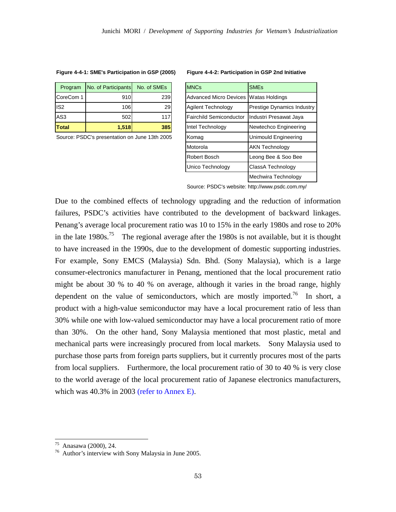| Program      | No. of Participants No. of SMEs |     | <b>IMNCs</b>                          | <b>SME<sub>s</sub></b> |
|--------------|---------------------------------|-----|---------------------------------------|------------------------|
| CoreCom 1    | 910                             | 239 | Advanced Micro Devices Watas Holdings |                        |
| lis2         | 106I                            | 29  | Agilent Technology                    | Prestige Dynam         |
| <b>AS3</b>   | 502                             | 117 | <b>Fairchild Semiconductor</b>        | Industri Presawa       |
| <b>Total</b> | <b>1.518</b>                    | 385 | Intel Technology                      | Newtechco Eng          |
|              |                                 |     |                                       |                        |

#### **Figure 4-4-1: SME's Participation in GSP (2005) Figure 4-4-2: Participation in GSP 2nd Initiative**

| Program                                       | No. of Participants | No. of SMEs | <b>MNCs</b>                                  | <b>SME<sub>s</sub></b>     |
|-----------------------------------------------|---------------------|-------------|----------------------------------------------|----------------------------|
| CoreCom 1                                     | 910                 | 239         | <b>Advanced Micro Devices Watas Holdings</b> |                            |
| IS <sub>2</sub>                               | 106                 | 29          | Agilent Technology                           | Prestige Dynamics Industry |
| AS3                                           | 502                 | 117         | <b>Fairchild Semiconductor</b>               | Industri Presawat Jaya     |
| Total                                         | 1,518               | 385         | Intel Technology                             | Newtechco Engineering      |
| Source: PSDC's presentation on June 13th 2005 |                     |             | Komag                                        | Unimould Engineering       |
|                                               |                     |             | Motorola                                     | <b>AKN Technology</b>      |
|                                               |                     |             | Robert Bosch                                 | Leong Bee & Soo Bee        |
|                                               |                     |             | Unico Technology                             | ClassA Technology          |
|                                               |                     |             |                                              | Mechwira Technology        |

Source: PSDC's website: http://www.psdc.com.my/

Due to the combined effects of technology upgrading and the reduction of information failures, PSDC's activities have contributed to the development of backward linkages. Penang's average local procurement ratio was 10 to 15% in the early 1980s and rose to 20% in the late  $1980s$ <sup>75</sup> The regional average after the 1980s is not available, but it is thought to have increased in the 1990s, due to the development of domestic supporting industries. For example, Sony EMCS (Malaysia) Sdn. Bhd. (Sony Malaysia), which is a large consumer-electronics manufacturer in Penang, mentioned that the local procurement ratio might be about 30 % to 40 % on average, although it varies in the broad range, highly dependent on the value of semiconductors, which are mostly imported.<sup>76</sup> In short, a product with a high-value semiconductor may have a local procurement ratio of less than 30% while one with low-valued semiconductor may have a local procurement ratio of more than 30%. On the other hand, Sony Malaysia mentioned that most plastic, metal and mechanical parts were increasingly procured from local markets. Sony Malaysia used to purchase those parts from foreign parts suppliers, but it currently procures most of the parts from local suppliers. Furthermore, the local procurement ratio of 30 to 40 % is very close to the world average of the local procurement ratio of Japanese electronics manufacturers, which was 40.3% in 2003 (refer to Annex E).

<sup>75</sup> Anasawa (2000), 24.

<sup>76</sup> Author's interview with Sony Malaysia in June 2005.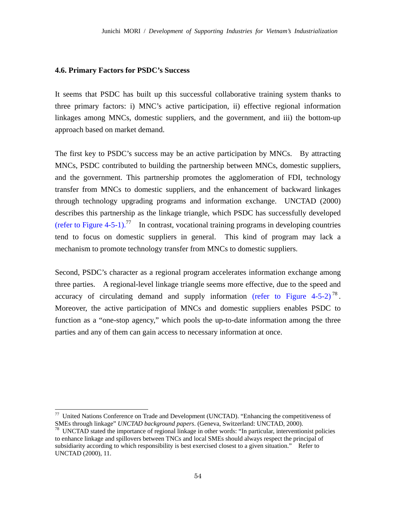#### **4.6. Primary Factors for PSDC's Success**

-

It seems that PSDC has built up this successful collaborative training system thanks to three primary factors: i) MNC's active participation, ii) effective regional information linkages among MNCs, domestic suppliers, and the government, and iii) the bottom-up approach based on market demand.

The first key to PSDC's success may be an active participation by MNCs. By attracting MNCs, PSDC contributed to building the partnership between MNCs, domestic suppliers, and the government. This partnership promotes the agglomeration of FDI, technology transfer from MNCs to domestic suppliers, and the enhancement of backward linkages through technology upgrading programs and information exchange. UNCTAD (2000) describes this partnership as the linkage triangle, which PSDC has successfully developed (refer to Figure 4-5-1).<sup>77</sup> In contrast, vocational training programs in developing countries tend to focus on domestic suppliers in general. This kind of program may lack a mechanism to promote technology transfer from MNCs to domestic suppliers.

Second, PSDC's character as a regional program accelerates information exchange among three parties. A regional-level linkage triangle seems more effective, due to the speed and accuracy of circulating demand and supply information (refer to Figure  $4-5-2$ )<sup>78</sup>. Moreover, the active participation of MNCs and domestic suppliers enables PSDC to function as a "one-stop agency," which pools the up-to-date information among the three parties and any of them can gain access to necessary information at once.

<sup>&</sup>lt;sup>77</sup> United Nations Conference on Trade and Development (UNCTAD). "Enhancing the competitiveness of SMEs through linkage" *UNCTAD background papers*. (Geneva, Switzerland: UNCTAD, 2000).<br><sup>78</sup> UNCTAD stated the importance of regional linkage in other words: "In particular, interventionist policies

to enhance linkage and spillovers between TNCs and local SMEs should always respect the principal of subsidiarity according to which responsibility is best exercised closest to a given situation." Refer to UNCTAD (2000), 11.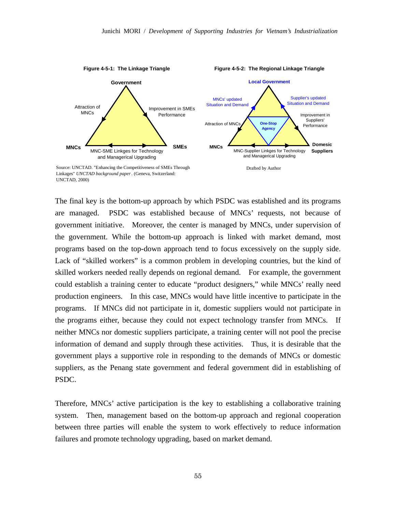

Linkages" *UNCTAD background paper*. (Geneva, Switzerland: UNCTAD, 2000)

The final key is the bottom-up approach by which PSDC was established and its programs are managed. PSDC was established because of MNCs' requests, not because of government initiative. Moreover, the center is managed by MNCs, under supervision of the government. While the bottom-up approach is linked with market demand, most programs based on the top-down approach tend to focus excessively on the supply side. Lack of "skilled workers" is a common problem in developing countries, but the kind of skilled workers needed really depends on regional demand. For example, the government could establish a training center to educate "product designers," while MNCs' really need production engineers. In this case, MNCs would have little incentive to participate in the programs. If MNCs did not participate in it, domestic suppliers would not participate in the programs either, because they could not expect technology transfer from MNCs. If neither MNCs nor domestic suppliers participate, a training center will not pool the precise information of demand and supply through these activities. Thus, it is desirable that the government plays a supportive role in responding to the demands of MNCs or domestic suppliers, as the Penang state government and federal government did in establishing of PSDC.

Therefore, MNCs' active participation is the key to establishing a collaborative training system. Then, management based on the bottom-up approach and regional cooperation between three parties will enable the system to work effectively to reduce information failures and promote technology upgrading, based on market demand.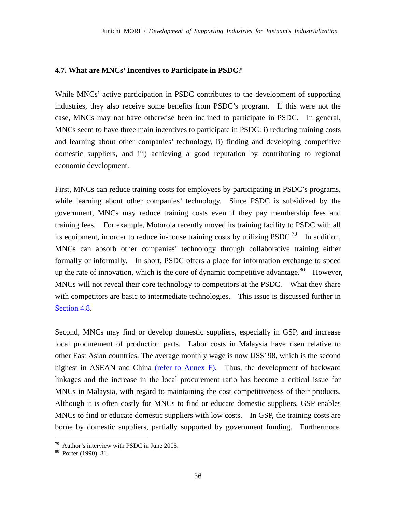#### **4.7. What are MNCs' Incentives to Participate in PSDC?**

While MNCs' active participation in PSDC contributes to the development of supporting industries, they also receive some benefits from PSDC's program. If this were not the case, MNCs may not have otherwise been inclined to participate in PSDC. In general, MNCs seem to have three main incentives to participate in PSDC: i) reducing training costs and learning about other companies' technology, ii) finding and developing competitive domestic suppliers, and iii) achieving a good reputation by contributing to regional economic development.

First, MNCs can reduce training costs for employees by participating in PSDC's programs, while learning about other companies' technology. Since PSDC is subsidized by the government, MNCs may reduce training costs even if they pay membership fees and training fees. For example, Motorola recently moved its training facility to PSDC with all its equipment, in order to reduce in-house training costs by utilizing PSDC.<sup>79</sup> In addition, MNCs can absorb other companies' technology through collaborative training either formally or informally. In short, PSDC offers a place for information exchange to speed up the rate of innovation, which is the core of dynamic competitive advantage.<sup>80</sup> However, MNCs will not reveal their core technology to competitors at the PSDC. What they share with competitors are basic to intermediate technologies. This issue is discussed further in Section 4.8.

Second, MNCs may find or develop domestic suppliers, especially in GSP, and increase local procurement of production parts. Labor costs in Malaysia have risen relative to other East Asian countries. The average monthly wage is now US\$198, which is the second highest in ASEAN and China (refer to Annex F). Thus, the development of backward linkages and the increase in the local procurement ratio has become a critical issue for MNCs in Malaysia, with regard to maintaining the cost competitiveness of their products. Although it is often costly for MNCs to find or educate domestic suppliers, GSP enables MNCs to find or educate domestic suppliers with low costs. In GSP, the training costs are borne by domestic suppliers, partially supported by government funding. Furthermore,

 $79$  Author's interview with PSDC in June 2005.

<sup>80</sup> Porter (1990), 81.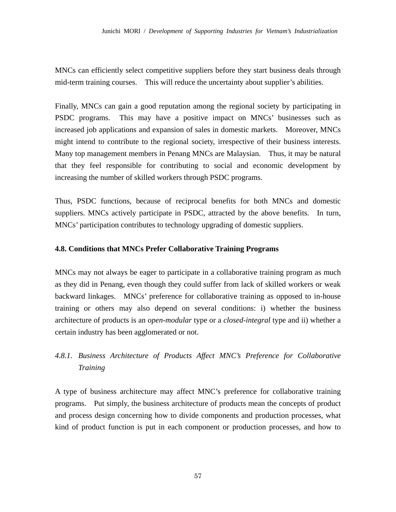MNCs can efficiently select competitive suppliers before they start business deals through mid-term training courses. This will reduce the uncertainty about supplier's abilities.

Finally, MNCs can gain a good reputation among the regional society by participating in PSDC programs. This may have a positive impact on MNCs' businesses such as increased job applications and expansion of sales in domestic markets. Moreover, MNCs might intend to contribute to the regional society, irrespective of their business interests. Many top management members in Penang MNCs are Malaysian. Thus, it may be natural that they feel responsible for contributing to social and economic development by increasing the number of skilled workers through PSDC programs.

Thus, PSDC functions, because of reciprocal benefits for both MNCs and domestic suppliers. MNCs actively participate in PSDC, attracted by the above benefits. In turn, MNCs' participation contributes to technology upgrading of domestic suppliers.

# **4.8. Conditions that MNCs Prefer Collaborative Training Programs**

MNCs may not always be eager to participate in a collaborative training program as much as they did in Penang, even though they could suffer from lack of skilled workers or weak backward linkages. MNCs' preference for collaborative training as opposed to in-house training or others may also depend on several conditions: i) whether the business architecture of products is an *open-modular* type or a *closed-integral* type and ii) whether a certain industry has been agglomerated or not.

# *4.8.1. Business Architecture of Products Affect MNC's Preference for Collaborative Training*

A type of business architecture may affect MNC's preference for collaborative training programs. Put simply, the business architecture of products mean the concepts of product and process design concerning how to divide components and production processes, what kind of product function is put in each component or production processes, and how to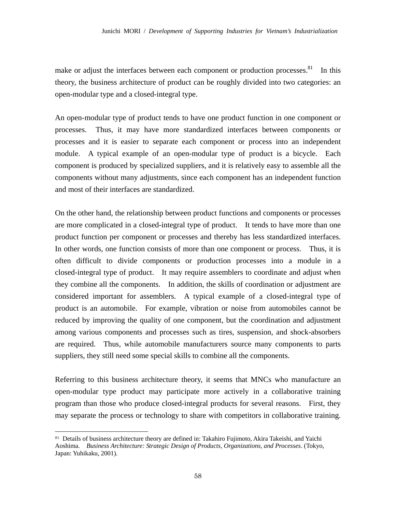make or adjust the interfaces between each component or production processes.<sup>81</sup> In this theory, the business architecture of product can be roughly divided into two categories: an open-modular type and a closed-integral type.

An open-modular type of product tends to have one product function in one component or processes. Thus, it may have more standardized interfaces between components or processes and it is easier to separate each component or process into an independent module. A typical example of an open-modular type of product is a bicycle. Each component is produced by specialized suppliers, and it is relatively easy to assemble all the components without many adjustments, since each component has an independent function and most of their interfaces are standardized.

On the other hand, the relationship between product functions and components or processes are more complicated in a closed-integral type of product. It tends to have more than one product function per component or processes and thereby has less standardized interfaces. In other words, one function consists of more than one component or process. Thus, it is often difficult to divide components or production processes into a module in a closed-integral type of product. It may require assemblers to coordinate and adjust when they combine all the components. In addition, the skills of coordination or adjustment are considered important for assemblers. A typical example of a closed-integral type of product is an automobile. For example, vibration or noise from automobiles cannot be reduced by improving the quality of one component, but the coordination and adjustment among various components and processes such as tires, suspension, and shock-absorbers are required. Thus, while automobile manufacturers source many components to parts suppliers, they still need some special skills to combine all the components.

Referring to this business architecture theory, it seems that MNCs who manufacture an open-modular type product may participate more actively in a collaborative training program than those who produce closed-integral products for several reasons. First, they may separate the process or technology to share with competitors in collaborative training.

<sup>81</sup> Details of business architecture theory are defined in: Takahiro Fujimoto, Akira Takeishi, and Yaichi Aoshima. *Business Architecture: Strategic Design of Products, Organizations, and Processes*. (Tokyo, Japan: Yuhikaku, 2001).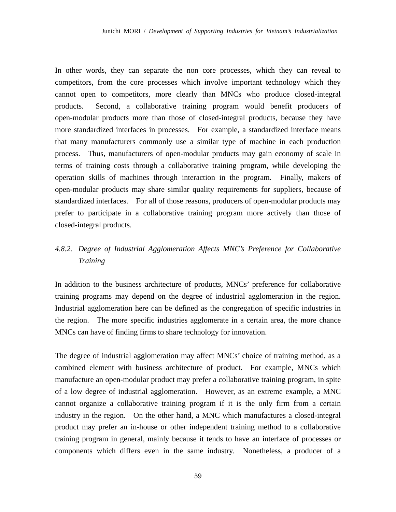In other words, they can separate the non core processes, which they can reveal to competitors, from the core processes which involve important technology which they cannot open to competitors, more clearly than MNCs who produce closed-integral products. Second, a collaborative training program would benefit producers of open-modular products more than those of closed-integral products, because they have more standardized interfaces in processes. For example, a standardized interface means that many manufacturers commonly use a similar type of machine in each production process. Thus, manufacturers of open-modular products may gain economy of scale in terms of training costs through a collaborative training program, while developing the operation skills of machines through interaction in the program. Finally, makers of open-modular products may share similar quality requirements for suppliers, because of standardized interfaces. For all of those reasons, producers of open-modular products may prefer to participate in a collaborative training program more actively than those of closed-integral products.

# *4.8.2. Degree of Industrial Agglomeration Affects MNC's Preference for Collaborative Training*

In addition to the business architecture of products, MNCs' preference for collaborative training programs may depend on the degree of industrial agglomeration in the region. Industrial agglomeration here can be defined as the congregation of specific industries in the region. The more specific industries agglomerate in a certain area, the more chance MNCs can have of finding firms to share technology for innovation.

The degree of industrial agglomeration may affect MNCs' choice of training method, as a combined element with business architecture of product. For example, MNCs which manufacture an open-modular product may prefer a collaborative training program, in spite of a low degree of industrial agglomeration. However, as an extreme example, a MNC cannot organize a collaborative training program if it is the only firm from a certain industry in the region. On the other hand, a MNC which manufactures a closed-integral product may prefer an in-house or other independent training method to a collaborative training program in general, mainly because it tends to have an interface of processes or components which differs even in the same industry. Nonetheless, a producer of a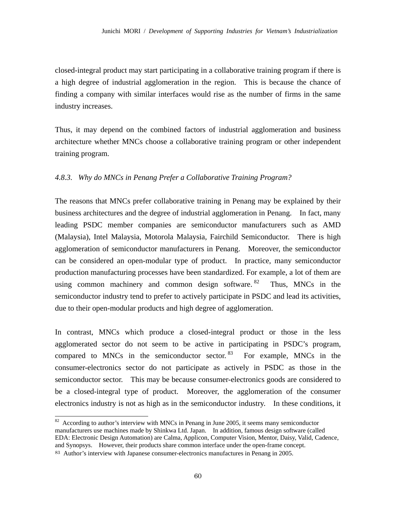closed-integral product may start participating in a collaborative training program if there is a high degree of industrial agglomeration in the region. This is because the chance of finding a company with similar interfaces would rise as the number of firms in the same industry increases.

Thus, it may depend on the combined factors of industrial agglomeration and business architecture whether MNCs choose a collaborative training program or other independent training program.

# *4.8.3. Why do MNCs in Penang Prefer a Collaborative Training Program?*

The reasons that MNCs prefer collaborative training in Penang may be explained by their business architectures and the degree of industrial agglomeration in Penang. In fact, many leading PSDC member companies are semiconductor manufacturers such as AMD (Malaysia), Intel Malaysia, Motorola Malaysia, Fairchild Semiconductor. There is high agglomeration of semiconductor manufacturers in Penang. Moreover, the semiconductor can be considered an open-modular type of product. In practice, many semiconductor production manufacturing processes have been standardized. For example, a lot of them are using common machinery and common design software. <sup>82</sup> Thus, MNCs in the semiconductor industry tend to prefer to actively participate in PSDC and lead its activities, due to their open-modular products and high degree of agglomeration.

In contrast, MNCs which produce a closed-integral product or those in the less agglomerated sector do not seem to be active in participating in PSDC's program, compared to MNCs in the semiconductor sector.  $83$  For example, MNCs in the consumer-electronics sector do not participate as actively in PSDC as those in the semiconductor sector. This may be because consumer-electronics goods are considered to be a closed-integral type of product. Moreover, the agglomeration of the consumer electronics industry is not as high as in the semiconductor industry. In these conditions, it

 $82$  According to author's interview with MNCs in Penang in June 2005, it seems many semiconductor manufacturers use machines made by Shinkwa Ltd. Japan. In addition, famous design software (called EDA: Electronic Design Automation) are Calma, Applicon, Computer Vision, Mentor, Daisy, Valid, Cadence, and Synopsys. However, their products share common interface under the open-frame concept.

<sup>83</sup> Author's interview with Japanese consumer-electronics manufactures in Penang in 2005.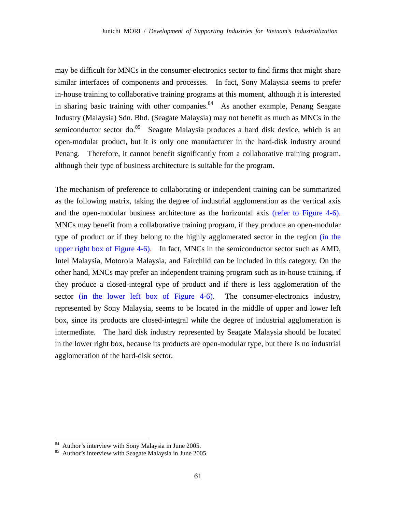may be difficult for MNCs in the consumer-electronics sector to find firms that might share similar interfaces of components and processes. In fact, Sony Malaysia seems to prefer in-house training to collaborative training programs at this moment, although it is interested in sharing basic training with other companies. $84$  As another example, Penang Seagate Industry (Malaysia) Sdn. Bhd. (Seagate Malaysia) may not benefit as much as MNCs in the semiconductor sector do.<sup>85</sup> Seagate Malaysia produces a hard disk device, which is an open-modular product, but it is only one manufacturer in the hard-disk industry around Penang. Therefore, it cannot benefit significantly from a collaborative training program, although their type of business architecture is suitable for the program.

The mechanism of preference to collaborating or independent training can be summarized as the following matrix, taking the degree of industrial agglomeration as the vertical axis and the open-modular business architecture as the horizontal axis (refer to Figure 4-6). MNCs may benefit from a collaborative training program, if they produce an open-modular type of product or if they belong to the highly agglomerated sector in the region (in the upper right box of Figure 4-6). In fact, MNCs in the semiconductor sector such as AMD, Intel Malaysia, Motorola Malaysia, and Fairchild can be included in this category. On the other hand, MNCs may prefer an independent training program such as in-house training, if they produce a closed-integral type of product and if there is less agglomeration of the sector (in the lower left box of Figure 4-6). The consumer-electronics industry, represented by Sony Malaysia, seems to be located in the middle of upper and lower left box, since its products are closed-integral while the degree of industrial agglomeration is intermediate. The hard disk industry represented by Seagate Malaysia should be located in the lower right box, because its products are open-modular type, but there is no industrial agglomeration of the hard-disk sector.

 $84$  Author's interview with Sony Malaysia in June 2005.

<sup>85</sup> Author's interview with Seagate Malaysia in June 2005.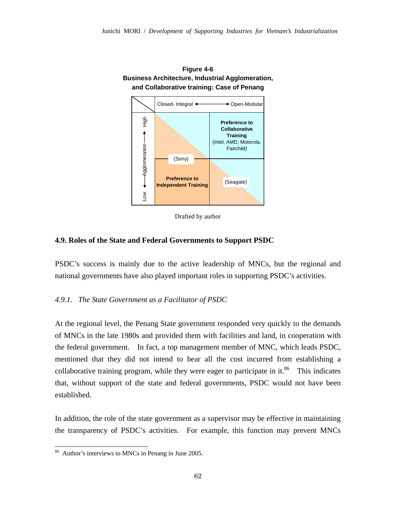

**Figure 4-6 Business Architecture, Industrial Agglomeration,** 

Drafted by author

#### **4.9. Roles of the State and Federal Governments to Support PSDC**

PSDC's success is mainly due to the active leadership of MNCs, but the regional and national governments have also played important roles in supporting PSDC's activities.

## *4.9.1. The State Government as a Facilitator of PSDC*

At the regional level, the Penang State government responded very quickly to the demands of MNCs in the late 1980s and provided them with facilities and land, in cooperation with the federal government. In fact, a top management member of MNC, which leads PSDC, mentioned that they did not intend to bear all the cost incurred from establishing a collaborative training program, while they were eager to participate in it. $86$  This indicates that, without support of the state and federal governments, PSDC would not have been established.

In addition, the role of the state government as a supervisor may be effective in maintaining the transparency of PSDC's activities. For example, this function may prevent MNCs

<sup>&</sup>lt;sup>86</sup> Author's interviews to MNCs in Penang in June 2005.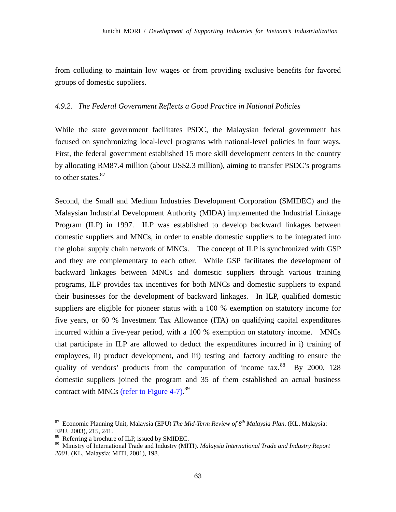from colluding to maintain low wages or from providing exclusive benefits for favored groups of domestic suppliers.

### *4.9.2. The Federal Government Reflects a Good Practice in National Policies*

While the state government facilitates PSDC, the Malaysian federal government has focused on synchronizing local-level programs with national-level policies in four ways. First, the federal government established 15 more skill development centers in the country by allocating RM87.4 million (about US\$2.3 million), aiming to transfer PSDC's programs to other states.<sup>87</sup>

Second, the Small and Medium Industries Development Corporation (SMIDEC) and the Malaysian Industrial Development Authority (MIDA) implemented the Industrial Linkage Program (ILP) in 1997. ILP was established to develop backward linkages between domestic suppliers and MNCs, in order to enable domestic suppliers to be integrated into the global supply chain network of MNCs. The concept of ILP is synchronized with GSP and they are complementary to each other. While GSP facilitates the development of backward linkages between MNCs and domestic suppliers through various training programs, ILP provides tax incentives for both MNCs and domestic suppliers to expand their businesses for the development of backward linkages. In ILP, qualified domestic suppliers are eligible for pioneer status with a 100 % exemption on statutory income for five years, or 60 % Investment Tax Allowance (ITA) on qualifying capital expenditures incurred within a five-year period, with a 100 % exemption on statutory income. MNCs that participate in ILP are allowed to deduct the expenditures incurred in i) training of employees, ii) product development, and iii) testing and factory auditing to ensure the quality of vendors' products from the computation of income tax.<sup>88</sup> By 2000, 128 domestic suppliers joined the program and 35 of them established an actual business contract with MNCs (refer to Figure 4-7).<sup>89</sup>

<sup>87</sup> Economic Planning Unit, Malaysia (EPU) *The Mid-Term Review of 8th Malaysia Plan*. (KL, Malaysia: EPU, 2003), 215, 241.

 $88$  Referring a brochure of ILP, issued by SMIDEC.

<sup>89</sup> Ministry of International Trade and Industry (MITI). *Malaysia International Trade and Industry Report 2001*. (KL, Malaysia: MITI, 2001), 198.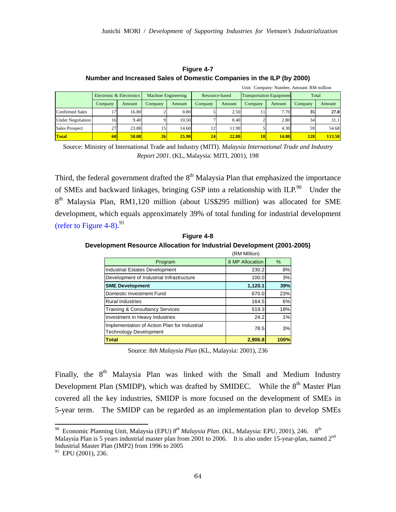|                          |                          |        |                            |              |                |        |                                 |              | Unit: Company: Number, Amount: RM million |        |
|--------------------------|--------------------------|--------|----------------------------|--------------|----------------|--------|---------------------------------|--------------|-------------------------------------------|--------|
|                          | Electronic & Electronics |        | <b>Machine Engineering</b> |              | Resource-based |        | <b>Transportation Equipment</b> |              | Total                                     |        |
|                          | Company                  | Amount | Company                    | Amount       | Company        | Amount | Company                         | Amount       | Company                                   | Amount |
| <b>Confirmed Sales</b>   |                          | 16.80  |                            | 0.80         |                | 2.50   |                                 | 7.70         | 35 <sup>1</sup>                           | 27.8   |
| <b>Under Negotiation</b> | 16                       | 9.40   |                            | 10.50        |                | 8.40   |                                 | 2.80         | 34                                        | 31.1   |
| <b>Sales Prospect</b>    | 27                       | 23.88  | 15                         | 14.60        | 12             | 11.90  |                                 | 4.30         | 59                                        | 54.68  |
| Total                    | 60                       | 50.08  | 26                         | <b>25.90</b> | 24             | 22.80  | 18                              | <b>14.80</b> | 128                                       | 113.58 |

**Figure 4-7 Number and Increased Sales of Domestic Companies in the ILP (by 2000)** 

Source: Ministry of International Trade and Industry (MITI). *Malaysia International Trade and Industry Report 2001*. (KL, Malaysia: MITI, 2001), 198

Third, the federal government drafted the  $8<sup>th</sup>$  Malaysia Plan that emphasized the importance of SMEs and backward linkages, bringing GSP into a relationship with ILP.<sup>90</sup> Under the 8<sup>th</sup> Malaysia Plan, RM1,120 million (about US\$295 million) was allocated for SME development, which equals approximately 39% of total funding for industrial development (refer to Figure 4-8).  $91$ 

**Figure 4-8 Development Resource Allocation for Industrial Development (2001-2005)** 

|                                                                               | (RM Million)    |      |
|-------------------------------------------------------------------------------|-----------------|------|
| Program                                                                       | 8 MP Allocation | %    |
| Industrial Estates Development                                                | 230.2           | 8%   |
| Development of Industrial Infrastructure                                      | 100.0           | 3%   |
| <b>SME Development</b>                                                        | 1,120.1         | 39%  |
| Domestic Investment Fund                                                      | 670.0           | 23%  |
| <b>Rural Industries</b>                                                       | 164.5           | 6%   |
| <b>Training &amp; Consultancy Services</b>                                    | 519.3           | 18%  |
| Investment in Heavy Industries                                                | 24.2            | 1%   |
| Implementation of Action Plan for Industrial<br><b>Technology Development</b> | 78.5            | 3%   |
| <b>Total</b>                                                                  | 2.906.8         | 100% |

Source: 8*th Malaysia Plan* (KL, Malaysia: 2001), 236

Finally, the 8<sup>th</sup> Malaysia Plan was linked with the Small and Medium Industry Development Plan (SMIDP), which was drafted by SMIDEC. While the  $8<sup>th</sup>$  Master Plan covered all the key industries, SMIDP is more focused on the development of SMEs in 5-year term. The SMIDP can be regarded as an implementation plan to develop SMEs

<sup>90</sup> Economic Planning Unit, Malaysia (EPU) *8th Malaysia Plan*. (KL, Malaysia: EPU, 2001), 246. 8th Malaysia Plan is 5 years industrial master plan from 2001 to 2006. It is also under 15-year-plan, named 2<sup>nd</sup> Industrial Master Plan (IMP2) from 1996 to 2005

<sup>&</sup>lt;sup>91</sup> EPU (2001), 236.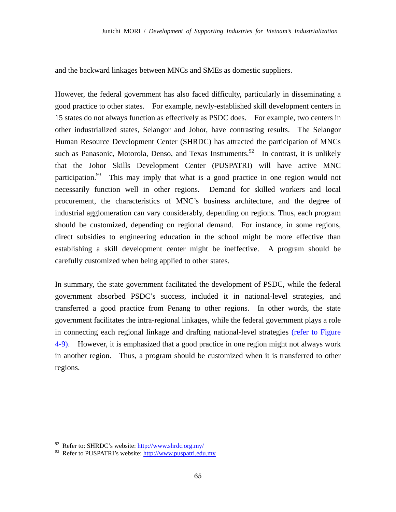and the backward linkages between MNCs and SMEs as domestic suppliers.

However, the federal government has also faced difficulty, particularly in disseminating a good practice to other states. For example, newly-established skill development centers in 15 states do not always function as effectively as PSDC does. For example, two centers in other industrialized states, Selangor and Johor, have contrasting results. The Selangor Human Resource Development Center (SHRDC) has attracted the participation of MNCs such as Panasonic, Motorola, Denso, and Texas Instruments.<sup>92</sup> In contrast, it is unlikely that the Johor Skills Development Center (PUSPATRI) will have active MNC participation.<sup>93</sup> This may imply that what is a good practice in one region would not necessarily function well in other regions. Demand for skilled workers and local procurement, the characteristics of MNC's business architecture, and the degree of industrial agglomeration can vary considerably, depending on regions. Thus, each program should be customized, depending on regional demand. For instance, in some regions, direct subsidies to engineering education in the school might be more effective than establishing a skill development center might be ineffective. A program should be carefully customized when being applied to other states.

In summary, the state government facilitated the development of PSDC, while the federal government absorbed PSDC's success, included it in national-level strategies, and transferred a good practice from Penang to other regions. In other words, the state government facilitates the intra-regional linkages, while the federal government plays a role in connecting each regional linkage and drafting national-level strategies (refer to Figure 4-9). However, it is emphasized that a good practice in one region might not always work in another region. Thus, a program should be customized when it is transferred to other regions.

 $92$  Refer to: SHRDC's website:  $\frac{http://www.shrdc.org.my/}{http://www.shrdc.org.my/}$ 

<sup>93</sup> Refer to PUSPATRI's website: http://www.puspatri.edu.my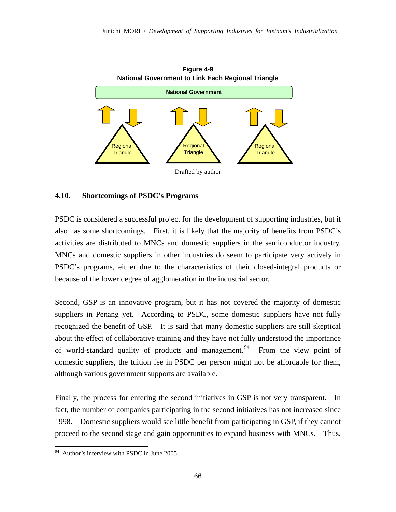

# **4.10. Shortcomings of PSDC's Programs**

PSDC is considered a successful project for the development of supporting industries, but it also has some shortcomings. First, it is likely that the majority of benefits from PSDC's activities are distributed to MNCs and domestic suppliers in the semiconductor industry. MNCs and domestic suppliers in other industries do seem to participate very actively in PSDC's programs, either due to the characteristics of their closed-integral products or because of the lower degree of agglomeration in the industrial sector.

Second, GSP is an innovative program, but it has not covered the majority of domestic suppliers in Penang yet. According to PSDC, some domestic suppliers have not fully recognized the benefit of GSP. It is said that many domestic suppliers are still skeptical about the effect of collaborative training and they have not fully understood the importance of world-standard quality of products and management.<sup>94</sup> From the view point of domestic suppliers, the tuition fee in PSDC per person might not be affordable for them, although various government supports are available.

Finally, the process for entering the second initiatives in GSP is not very transparent. In fact, the number of companies participating in the second initiatives has not increased since 1998. Domestic suppliers would see little benefit from participating in GSP, if they cannot proceed to the second stage and gain opportunities to expand business with MNCs. Thus,

<sup>-</sup> $94$  Author's interview with PSDC in June 2005.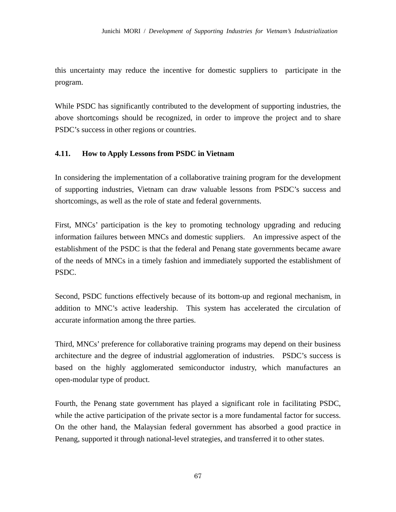this uncertainty may reduce the incentive for domestic suppliers to participate in the program.

While PSDC has significantly contributed to the development of supporting industries, the above shortcomings should be recognized, in order to improve the project and to share PSDC's success in other regions or countries.

# **4.11. How to Apply Lessons from PSDC in Vietnam**

In considering the implementation of a collaborative training program for the development of supporting industries, Vietnam can draw valuable lessons from PSDC's success and shortcomings, as well as the role of state and federal governments.

First, MNCs' participation is the key to promoting technology upgrading and reducing information failures between MNCs and domestic suppliers. An impressive aspect of the establishment of the PSDC is that the federal and Penang state governments became aware of the needs of MNCs in a timely fashion and immediately supported the establishment of PSDC.

Second, PSDC functions effectively because of its bottom-up and regional mechanism, in addition to MNC's active leadership. This system has accelerated the circulation of accurate information among the three parties.

Third, MNCs' preference for collaborative training programs may depend on their business architecture and the degree of industrial agglomeration of industries. PSDC's success is based on the highly agglomerated semiconductor industry, which manufactures an open-modular type of product.

Fourth, the Penang state government has played a significant role in facilitating PSDC, while the active participation of the private sector is a more fundamental factor for success. On the other hand, the Malaysian federal government has absorbed a good practice in Penang, supported it through national-level strategies, and transferred it to other states.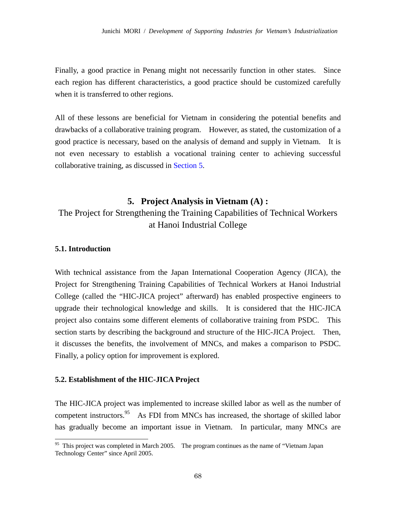Finally, a good practice in Penang might not necessarily function in other states. Since each region has different characteristics, a good practice should be customized carefully when it is transferred to other regions.

All of these lessons are beneficial for Vietnam in considering the potential benefits and drawbacks of a collaborative training program. However, as stated, the customization of a good practice is necessary, based on the analysis of demand and supply in Vietnam. It is not even necessary to establish a vocational training center to achieving successful collaborative training, as discussed in Section 5.

# **5. Project Analysis in Vietnam (A) :**

# The Project for Strengthening the Training Capabilities of Technical Workers at Hanoi Industrial College

# **5.1. Introduction**

-

With technical assistance from the Japan International Cooperation Agency (JICA), the Project for Strengthening Training Capabilities of Technical Workers at Hanoi Industrial College (called the "HIC-JICA project" afterward) has enabled prospective engineers to upgrade their technological knowledge and skills. It is considered that the HIC-JICA project also contains some different elements of collaborative training from PSDC. This section starts by describing the background and structure of the HIC-JICA Project. Then, it discusses the benefits, the involvement of MNCs, and makes a comparison to PSDC. Finally, a policy option for improvement is explored.

#### **5.2. Establishment of the HIC-JICA Project**

The HIC-JICA project was implemented to increase skilled labor as well as the number of competent instructors.<sup>95</sup> As FDI from MNCs has increased, the shortage of skilled labor has gradually become an important issue in Vietnam. In particular, many MNCs are

<sup>&</sup>lt;sup>95</sup> This project was completed in March 2005. The program continues as the name of "Vietnam Japan" Technology Center" since April 2005.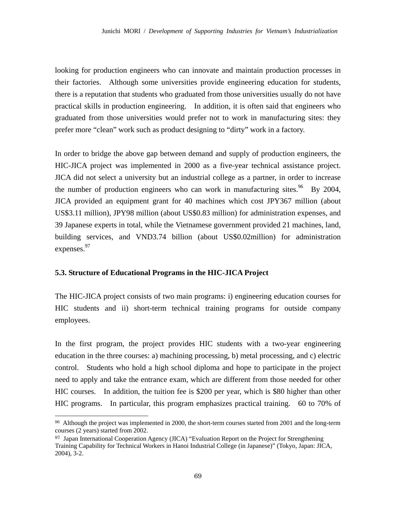looking for production engineers who can innovate and maintain production processes in their factories. Although some universities provide engineering education for students, there is a reputation that students who graduated from those universities usually do not have practical skills in production engineering. In addition, it is often said that engineers who graduated from those universities would prefer not to work in manufacturing sites: they prefer more "clean" work such as product designing to "dirty" work in a factory.

In order to bridge the above gap between demand and supply of production engineers, the HIC-JICA project was implemented in 2000 as a five-year technical assistance project. JICA did not select a university but an industrial college as a partner, in order to increase the number of production engineers who can work in manufacturing sites.<sup>96</sup> By 2004, JICA provided an equipment grant for 40 machines which cost JPY367 million (about US\$3.11 million), JPY98 million (about US\$0.83 million) for administration expenses, and 39 Japanese experts in total, while the Vietnamese government provided 21 machines, land, building services, and VND3.74 billion (about US\$0.02million) for administration expenses.<sup>97</sup>

## **5.3. Structure of Educational Programs in the HIC-JICA Project**

-

The HIC-JICA project consists of two main programs: i) engineering education courses for HIC students and ii) short-term technical training programs for outside company employees.

In the first program, the project provides HIC students with a two-year engineering education in the three courses: a) machining processing, b) metal processing, and c) electric control. Students who hold a high school diploma and hope to participate in the project need to apply and take the entrance exam, which are different from those needed for other HIC courses. In addition, the tuition fee is \$200 per year, which is \$80 higher than other HIC programs. In particular, this program emphasizes practical training. 60 to 70% of

<sup>96</sup> Although the project was implemented in 2000, the short-term courses started from 2001 and the long-term courses (2 years) started from 2002.

<sup>&</sup>lt;sup>97</sup> Japan International Cooperation Agency (JICA) "Evaluation Report on the Project for Strengthening Training Capability for Technical Workers in Hanoi Industrial College (in Japanese)" (Tokyo, Japan: JICA, 2004), 3-2.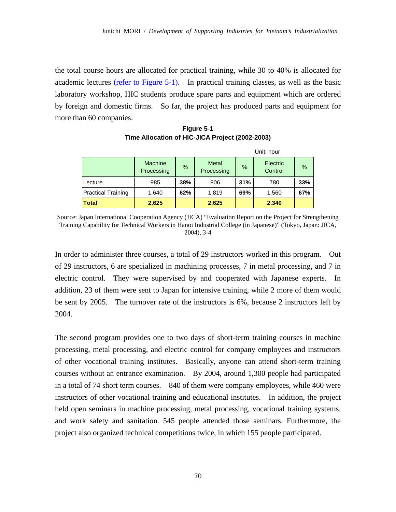the total course hours are allocated for practical training, while 30 to 40% is allocated for academic lectures (refer to Figure 5-1). In practical training classes, as well as the basic laboratory workshop, HIC students produce spare parts and equipment which are ordered by foreign and domestic firms. So far, the project has produced parts and equipment for more than 60 companies.

**Figure 5-1 Time Allocation of HIC-JICA Project (2002-2003)** 

|                           | Unit: hour                   |      |                            |               |                     |      |
|---------------------------|------------------------------|------|----------------------------|---------------|---------------------|------|
|                           | <b>Machine</b><br>Processing | $\%$ | <b>Metal</b><br>Processing | $\frac{9}{6}$ | Electric<br>Control | $\%$ |
| Lecture                   | 985                          | 38%  | 806                        | 31%           | 780                 | 33%  |
| <b>Practical Training</b> | 1,640                        | 62%  | 1,819                      | 69%           | 1,560               | 67%  |
| <b>Total</b>              | 2,625                        |      | 2,625                      |               | 2,340               |      |

Source: Japan International Cooperation Agency (JICA) "Evaluation Report on the Project for Strengthening Training Capability for Technical Workers in Hanoi Industrial College (in Japanese)" (Tokyo, Japan: JICA, 2004), 3-4

In order to administer three courses, a total of 29 instructors worked in this program. Out of 29 instructors, 6 are specialized in machining processes, 7 in metal processing, and 7 in electric control. They were supervised by and cooperated with Japanese experts. In addition, 23 of them were sent to Japan for intensive training, while 2 more of them would be sent by 2005. The turnover rate of the instructors is 6%, because 2 instructors left by 2004.

The second program provides one to two days of short-term training courses in machine processing, metal processing, and electric control for company employees and instructors of other vocational training institutes. Basically, anyone can attend short-term training courses without an entrance examination. By 2004, around 1,300 people had participated in a total of 74 short term courses. 840 of them were company employees, while 460 were instructors of other vocational training and educational institutes. In addition, the project held open seminars in machine processing, metal processing, vocational training systems, and work safety and sanitation. 545 people attended those seminars. Furthermore, the project also organized technical competitions twice, in which 155 people participated.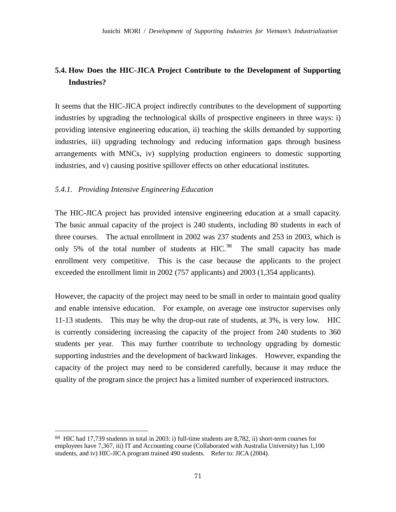# **5.4. How Does the HIC-JICA Project Contribute to the Development of Supporting Industries?**

It seems that the HIC-JICA project indirectly contributes to the development of supporting industries by upgrading the technological skills of prospective engineers in three ways: i) providing intensive engineering education, ii) teaching the skills demanded by supporting industries, iii) upgrading technology and reducing information gaps through business arrangements with MNCs, iv) supplying production engineers to domestic supporting industries, and v) causing positive spillover effects on other educational institutes.

# *5.4.1. Providing Intensive Engineering Education*

-

The HIC-JICA project has provided intensive engineering education at a small capacity. The basic annual capacity of the project is 240 students, including 80 students in each of three courses. The actual enrollment in 2002 was 237 students and 253 in 2003, which is only 5% of the total number of students at  $HIC<sup>98</sup>$ . The small capacity has made enrollment very competitive. This is the case because the applicants to the project exceeded the enrollment limit in 2002 (757 applicants) and 2003 (1,354 applicants).

However, the capacity of the project may need to be small in order to maintain good quality and enable intensive education. For example, on average one instructor supervises only 11-13 students. This may be why the drop-out rate of students, at 3%, is very low. HIC is currently considering increasing the capacity of the project from 240 students to 360 students per year. This may further contribute to technology upgrading by domestic supporting industries and the development of backward linkages. However, expanding the capacity of the project may need to be considered carefully, because it may reduce the quality of the program since the project has a limited number of experienced instructors.

<sup>98</sup> HIC had 17,739 students in total in 2003: i) full-time students are 8,782, ii) short-term courses for employees have 7,367, iii) IT and Accounting course (Collaborated with Australia University) has 1,100 students, and iv) HIC-JICA program trained 490 students. Refer to: JICA (2004).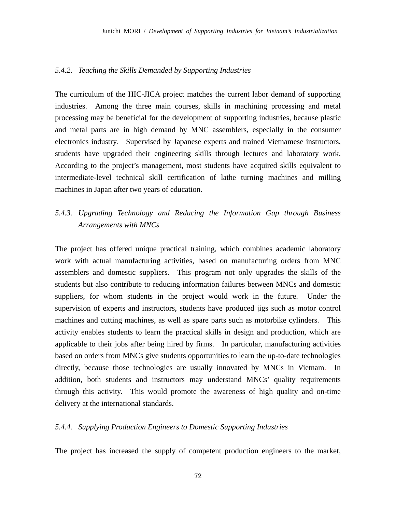#### *5.4.2. Teaching the Skills Demanded by Supporting Industries*

The curriculum of the HIC-JICA project matches the current labor demand of supporting industries. Among the three main courses, skills in machining processing and metal processing may be beneficial for the development of supporting industries, because plastic and metal parts are in high demand by MNC assemblers, especially in the consumer electronics industry. Supervised by Japanese experts and trained Vietnamese instructors, students have upgraded their engineering skills through lectures and laboratory work. According to the project's management, most students have acquired skills equivalent to intermediate-level technical skill certification of lathe turning machines and milling machines in Japan after two years of education.

## *5.4.3. Upgrading Technology and Reducing the Information Gap through Business Arrangements with MNCs*

The project has offered unique practical training, which combines academic laboratory work with actual manufacturing activities, based on manufacturing orders from MNC assemblers and domestic suppliers. This program not only upgrades the skills of the students but also contribute to reducing information failures between MNCs and domestic suppliers, for whom students in the project would work in the future. Under the supervision of experts and instructors, students have produced jigs such as motor control machines and cutting machines, as well as spare parts such as motorbike cylinders. This activity enables students to learn the practical skills in design and production, which are applicable to their jobs after being hired by firms. In particular, manufacturing activities based on orders from MNCs give students opportunities to learn the up-to-date technologies directly, because those technologies are usually innovated by MNCs in Vietnam. In addition, both students and instructors may understand MNCs' quality requirements through this activity. This would promote the awareness of high quality and on-time delivery at the international standards.

## *5.4.4. Supplying Production Engineers to Domestic Supporting Industries*

The project has increased the supply of competent production engineers to the market,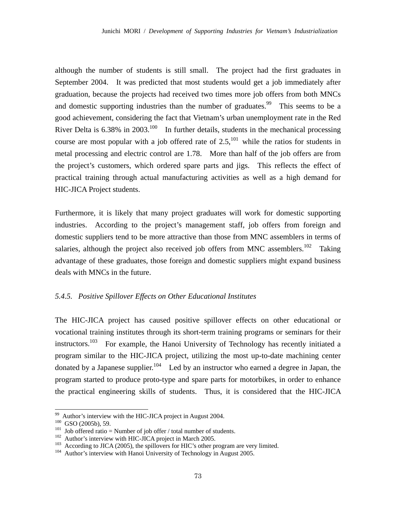although the number of students is still small. The project had the first graduates in September 2004. It was predicted that most students would get a job immediately after graduation, because the projects had received two times more job offers from both MNCs and domestic supporting industries than the number of graduates.<sup>99</sup> This seems to be a good achievement, considering the fact that Vietnam's urban unemployment rate in the Red River Delta is  $6.38\%$  in  $2003$ <sup>100</sup> In further details, students in the mechanical processing course are most popular with a job offered rate of  $2.5$ ,<sup>101</sup> while the ratios for students in metal processing and electric control are 1.78. More than half of the job offers are from the project's customers, which ordered spare parts and jigs. This reflects the effect of practical training through actual manufacturing activities as well as a high demand for HIC-JICA Project students.

Furthermore, it is likely that many project graduates will work for domestic supporting industries. According to the project's management staff, job offers from foreign and domestic suppliers tend to be more attractive than those from MNC assemblers in terms of salaries, although the project also received job offers from MNC assemblers.<sup>102</sup> Taking advantage of these graduates, those foreign and domestic suppliers might expand business deals with MNCs in the future.

#### *5.4.5. Positive Spillover Effects on Other Educational Institutes*

The HIC-JICA project has caused positive spillover effects on other educational or vocational training institutes through its short-term training programs or seminars for their instructors.<sup>103</sup> For example, the Hanoi University of Technology has recently initiated a program similar to the HIC-JICA project, utilizing the most up-to-date machining center donated by a Japanese supplier.<sup>104</sup> Led by an instructor who earned a degree in Japan, the program started to produce proto-type and spare parts for motorbikes, in order to enhance the practical engineering skills of students. Thus, it is considered that the HIC-JICA

-

 $99$  Author's interview with the HIC-JICA project in August 2004.

<sup>&</sup>lt;sup>100</sup> GSO (2005b), 59.<br>
<sup>101</sup> Job offered ratio = Number of job offer / total number of students.<br>
<sup>102</sup> Author's interview with HIC-JICA project in March 2005.<br>
<sup>102</sup> According to JICA (2005), the spillovers for HIC's ot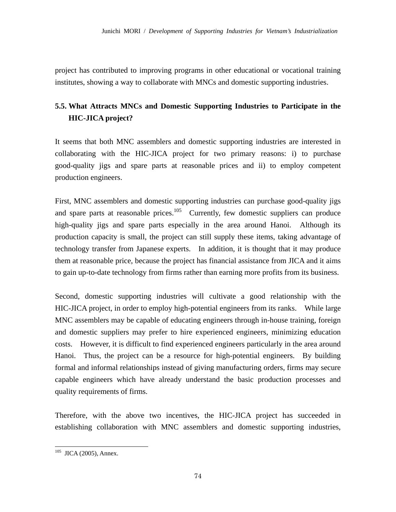project has contributed to improving programs in other educational or vocational training institutes, showing a way to collaborate with MNCs and domestic supporting industries.

# **5.5. What Attracts MNCs and Domestic Supporting Industries to Participate in the HIC-JICA project?**

It seems that both MNC assemblers and domestic supporting industries are interested in collaborating with the HIC-JICA project for two primary reasons: i) to purchase good-quality jigs and spare parts at reasonable prices and ii) to employ competent production engineers.

First, MNC assemblers and domestic supporting industries can purchase good-quality jigs and spare parts at reasonable prices.<sup>105</sup> Currently, few domestic suppliers can produce high-quality jigs and spare parts especially in the area around Hanoi. Although its production capacity is small, the project can still supply these items, taking advantage of technology transfer from Japanese experts. In addition, it is thought that it may produce them at reasonable price, because the project has financial assistance from JICA and it aims to gain up-to-date technology from firms rather than earning more profits from its business.

Second, domestic supporting industries will cultivate a good relationship with the HIC-JICA project, in order to employ high-potential engineers from its ranks. While large MNC assemblers may be capable of educating engineers through in-house training, foreign and domestic suppliers may prefer to hire experienced engineers, minimizing education costs. However, it is difficult to find experienced engineers particularly in the area around Hanoi. Thus, the project can be a resource for high-potential engineers. By building formal and informal relationships instead of giving manufacturing orders, firms may secure capable engineers which have already understand the basic production processes and quality requirements of firms.

Therefore, with the above two incentives, the HIC-JICA project has succeeded in establishing collaboration with MNC assemblers and domestic supporting industries,

-

 $105$  JICA (2005), Annex.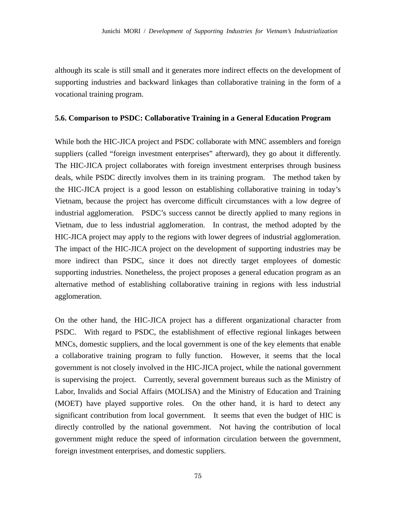although its scale is still small and it generates more indirect effects on the development of supporting industries and backward linkages than collaborative training in the form of a vocational training program.

## **5.6. Comparison to PSDC: Collaborative Training in a General Education Program**

While both the HIC-JICA project and PSDC collaborate with MNC assemblers and foreign suppliers (called "foreign investment enterprises" afterward), they go about it differently. The HIC-JICA project collaborates with foreign investment enterprises through business deals, while PSDC directly involves them in its training program. The method taken by the HIC-JICA project is a good lesson on establishing collaborative training in today's Vietnam, because the project has overcome difficult circumstances with a low degree of industrial agglomeration. PSDC's success cannot be directly applied to many regions in Vietnam, due to less industrial agglomeration. In contrast, the method adopted by the HIC-JICA project may apply to the regions with lower degrees of industrial agglomeration. The impact of the HIC-JICA project on the development of supporting industries may be more indirect than PSDC, since it does not directly target employees of domestic supporting industries. Nonetheless, the project proposes a general education program as an alternative method of establishing collaborative training in regions with less industrial agglomeration.

On the other hand, the HIC-JICA project has a different organizational character from PSDC. With regard to PSDC, the establishment of effective regional linkages between MNCs, domestic suppliers, and the local government is one of the key elements that enable a collaborative training program to fully function. However, it seems that the local government is not closely involved in the HIC-JICA project, while the national government is supervising the project. Currently, several government bureaus such as the Ministry of Labor, Invalids and Social Affairs (MOLISA) and the Ministry of Education and Training (MOET) have played supportive roles. On the other hand, it is hard to detect any significant contribution from local government. It seems that even the budget of HIC is directly controlled by the national government. Not having the contribution of local government might reduce the speed of information circulation between the government, foreign investment enterprises, and domestic suppliers.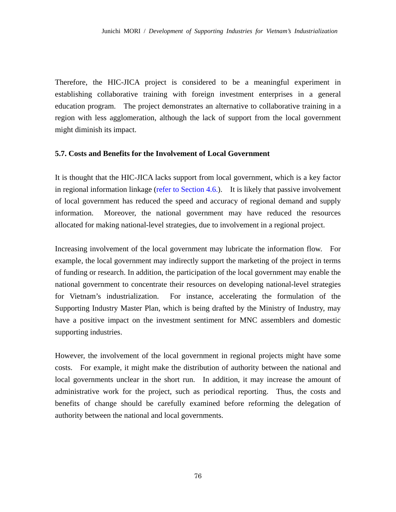Therefore, the HIC-JICA project is considered to be a meaningful experiment in establishing collaborative training with foreign investment enterprises in a general education program. The project demonstrates an alternative to collaborative training in a region with less agglomeration, although the lack of support from the local government might diminish its impact.

## **5.7. Costs and Benefits for the Involvement of Local Government**

It is thought that the HIC-JICA lacks support from local government, which is a key factor in regional information linkage (refer to Section 4.6.). It is likely that passive involvement of local government has reduced the speed and accuracy of regional demand and supply information. Moreover, the national government may have reduced the resources allocated for making national-level strategies, due to involvement in a regional project.

Increasing involvement of the local government may lubricate the information flow. For example, the local government may indirectly support the marketing of the project in terms of funding or research. In addition, the participation of the local government may enable the national government to concentrate their resources on developing national-level strategies for Vietnam's industrialization. For instance, accelerating the formulation of the Supporting Industry Master Plan, which is being drafted by the Ministry of Industry, may have a positive impact on the investment sentiment for MNC assemblers and domestic supporting industries.

However, the involvement of the local government in regional projects might have some costs. For example, it might make the distribution of authority between the national and local governments unclear in the short run. In addition, it may increase the amount of administrative work for the project, such as periodical reporting. Thus, the costs and benefits of change should be carefully examined before reforming the delegation of authority between the national and local governments.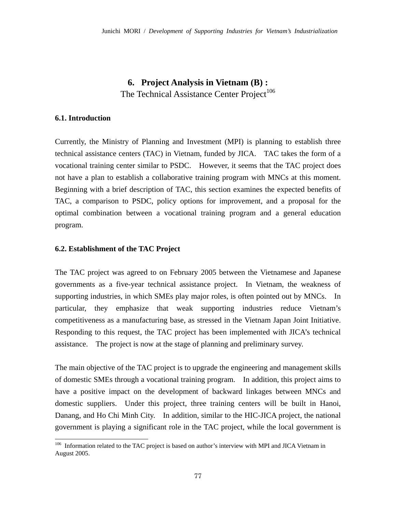# **6. Project Analysis in Vietnam (B) :**  The Technical Assistance Center Project<sup>106</sup>

### **6.1. Introduction**

-

Currently, the Ministry of Planning and Investment (MPI) is planning to establish three technical assistance centers (TAC) in Vietnam, funded by JICA. TAC takes the form of a vocational training center similar to PSDC. However, it seems that the TAC project does not have a plan to establish a collaborative training program with MNCs at this moment. Beginning with a brief description of TAC, this section examines the expected benefits of TAC, a comparison to PSDC, policy options for improvement, and a proposal for the optimal combination between a vocational training program and a general education program.

### **6.2. Establishment of the TAC Project**

The TAC project was agreed to on February 2005 between the Vietnamese and Japanese governments as a five-year technical assistance project. In Vietnam, the weakness of supporting industries, in which SMEs play major roles, is often pointed out by MNCs. In particular, they emphasize that weak supporting industries reduce Vietnam's competitiveness as a manufacturing base, as stressed in the Vietnam Japan Joint Initiative. Responding to this request, the TAC project has been implemented with JICA's technical assistance. The project is now at the stage of planning and preliminary survey.

The main objective of the TAC project is to upgrade the engineering and management skills of domestic SMEs through a vocational training program. In addition, this project aims to have a positive impact on the development of backward linkages between MNCs and domestic suppliers. Under this project, three training centers will be built in Hanoi, Danang, and Ho Chi Minh City. In addition, similar to the HIC-JICA project, the national government is playing a significant role in the TAC project, while the local government is

<sup>&</sup>lt;sup>106</sup> Information related to the TAC project is based on author's interview with MPI and JICA Vietnam in August 2005.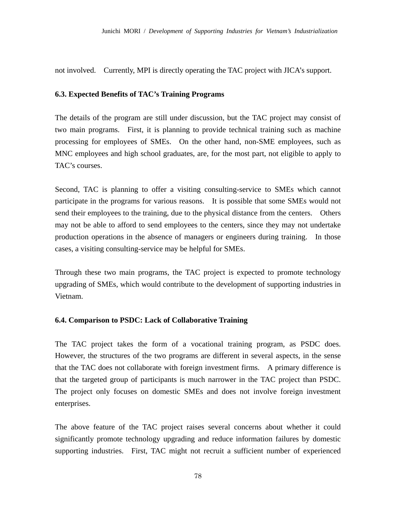not involved. Currently, MPI is directly operating the TAC project with JICA's support.

## **6.3. Expected Benefits of TAC's Training Programs**

The details of the program are still under discussion, but the TAC project may consist of two main programs. First, it is planning to provide technical training such as machine processing for employees of SMEs. On the other hand, non-SME employees, such as MNC employees and high school graduates, are, for the most part, not eligible to apply to TAC's courses.

Second, TAC is planning to offer a visiting consulting-service to SMEs which cannot participate in the programs for various reasons. It is possible that some SMEs would not send their employees to the training, due to the physical distance from the centers. Others may not be able to afford to send employees to the centers, since they may not undertake production operations in the absence of managers or engineers during training. In those cases, a visiting consulting-service may be helpful for SMEs.

Through these two main programs, the TAC project is expected to promote technology upgrading of SMEs, which would contribute to the development of supporting industries in Vietnam.

## **6.4. Comparison to PSDC: Lack of Collaborative Training**

The TAC project takes the form of a vocational training program, as PSDC does. However, the structures of the two programs are different in several aspects, in the sense that the TAC does not collaborate with foreign investment firms. A primary difference is that the targeted group of participants is much narrower in the TAC project than PSDC. The project only focuses on domestic SMEs and does not involve foreign investment enterprises.

The above feature of the TAC project raises several concerns about whether it could significantly promote technology upgrading and reduce information failures by domestic supporting industries. First, TAC might not recruit a sufficient number of experienced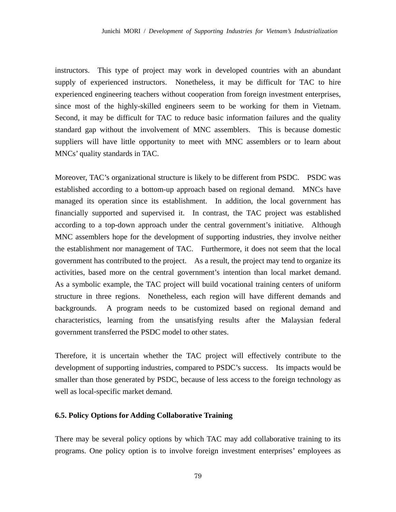instructors. This type of project may work in developed countries with an abundant supply of experienced instructors. Nonetheless, it may be difficult for TAC to hire experienced engineering teachers without cooperation from foreign investment enterprises, since most of the highly-skilled engineers seem to be working for them in Vietnam. Second, it may be difficult for TAC to reduce basic information failures and the quality standard gap without the involvement of MNC assemblers. This is because domestic suppliers will have little opportunity to meet with MNC assemblers or to learn about MNCs' quality standards in TAC.

Moreover, TAC's organizational structure is likely to be different from PSDC. PSDC was established according to a bottom-up approach based on regional demand. MNCs have managed its operation since its establishment. In addition, the local government has financially supported and supervised it. In contrast, the TAC project was established according to a top-down approach under the central government's initiative. Although MNC assemblers hope for the development of supporting industries, they involve neither the establishment nor management of TAC. Furthermore, it does not seem that the local government has contributed to the project. As a result, the project may tend to organize its activities, based more on the central government's intention than local market demand. As a symbolic example, the TAC project will build vocational training centers of uniform structure in three regions. Nonetheless, each region will have different demands and backgrounds. A program needs to be customized based on regional demand and characteristics, learning from the unsatisfying results after the Malaysian federal government transferred the PSDC model to other states.

Therefore, it is uncertain whether the TAC project will effectively contribute to the development of supporting industries, compared to PSDC's success. Its impacts would be smaller than those generated by PSDC, because of less access to the foreign technology as well as local-specific market demand.

## **6.5. Policy Options for Adding Collaborative Training**

There may be several policy options by which TAC may add collaborative training to its programs. One policy option is to involve foreign investment enterprises' employees as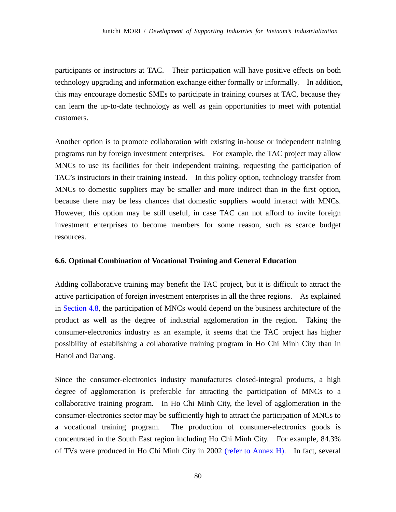participants or instructors at TAC. Their participation will have positive effects on both technology upgrading and information exchange either formally or informally. In addition, this may encourage domestic SMEs to participate in training courses at TAC, because they can learn the up-to-date technology as well as gain opportunities to meet with potential customers.

Another option is to promote collaboration with existing in-house or independent training programs run by foreign investment enterprises. For example, the TAC project may allow MNCs to use its facilities for their independent training, requesting the participation of TAC's instructors in their training instead. In this policy option, technology transfer from MNCs to domestic suppliers may be smaller and more indirect than in the first option, because there may be less chances that domestic suppliers would interact with MNCs. However, this option may be still useful, in case TAC can not afford to invite foreign investment enterprises to become members for some reason, such as scarce budget resources.

## **6.6. Optimal Combination of Vocational Training and General Education**

Adding collaborative training may benefit the TAC project, but it is difficult to attract the active participation of foreign investment enterprises in all the three regions. As explained in Section 4.8, the participation of MNCs would depend on the business architecture of the product as well as the degree of industrial agglomeration in the region. Taking the consumer-electronics industry as an example, it seems that the TAC project has higher possibility of establishing a collaborative training program in Ho Chi Minh City than in Hanoi and Danang.

Since the consumer-electronics industry manufactures closed-integral products, a high degree of agglomeration is preferable for attracting the participation of MNCs to a collaborative training program. In Ho Chi Minh City, the level of agglomeration in the consumer-electronics sector may be sufficiently high to attract the participation of MNCs to a vocational training program. The production of consumer-electronics goods is concentrated in the South East region including Ho Chi Minh City. For example, 84.3% of TVs were produced in Ho Chi Minh City in 2002 (refer to Annex H). In fact, several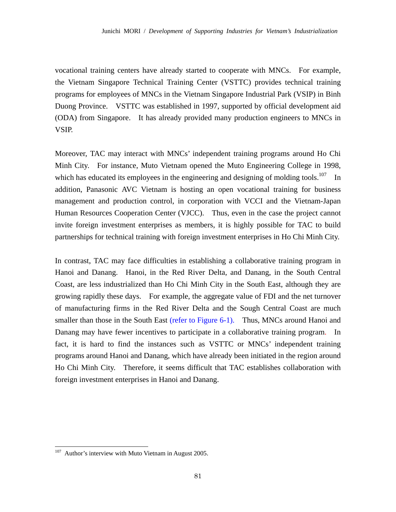vocational training centers have already started to cooperate with MNCs. For example, the Vietnam Singapore Technical Training Center (VSTTC) provides technical training programs for employees of MNCs in the Vietnam Singapore Industrial Park (VSIP) in Binh Duong Province. VSTTC was established in 1997, supported by official development aid (ODA) from Singapore. It has already provided many production engineers to MNCs in VSIP.

Moreover, TAC may interact with MNCs' independent training programs around Ho Chi Minh City. For instance, Muto Vietnam opened the Muto Engineering College in 1998, which has educated its employees in the engineering and designing of molding tools.<sup>107</sup> In addition, Panasonic AVC Vietnam is hosting an open vocational training for business management and production control, in corporation with VCCI and the Vietnam-Japan Human Resources Cooperation Center (VJCC). Thus, even in the case the project cannot invite foreign investment enterprises as members, it is highly possible for TAC to build partnerships for technical training with foreign investment enterprises in Ho Chi Minh City.

In contrast, TAC may face difficulties in establishing a collaborative training program in Hanoi and Danang. Hanoi, in the Red River Delta, and Danang, in the South Central Coast, are less industrialized than Ho Chi Minh City in the South East, although they are growing rapidly these days. For example, the aggregate value of FDI and the net turnover of manufacturing firms in the Red River Delta and the Sough Central Coast are much smaller than those in the South East (refer to Figure 6-1). Thus, MNCs around Hanoi and Danang may have fewer incentives to participate in a collaborative training program. In fact, it is hard to find the instances such as VSTTC or MNCs' independent training programs around Hanoi and Danang, which have already been initiated in the region around Ho Chi Minh City. Therefore, it seems difficult that TAC establishes collaboration with foreign investment enterprises in Hanoi and Danang.

 $107\,$ Author's interview with Muto Vietnam in August 2005.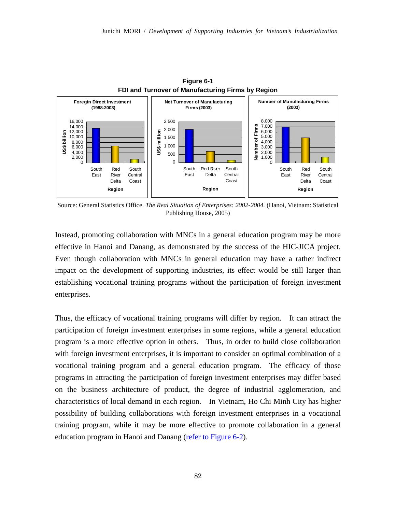

**Figure 6-1 FDI and Turnover of Manufacturing Firms by Region**

Source: General Statistics Office. *The Real Situation of Enterprises: 2002-2004.* (Hanoi, Vietnam: Statistical Publishing House, 2005)

Instead, promoting collaboration with MNCs in a general education program may be more effective in Hanoi and Danang, as demonstrated by the success of the HIC-JICA project. Even though collaboration with MNCs in general education may have a rather indirect impact on the development of supporting industries, its effect would be still larger than establishing vocational training programs without the participation of foreign investment enterprises.

Thus, the efficacy of vocational training programs will differ by region. It can attract the participation of foreign investment enterprises in some regions, while a general education program is a more effective option in others. Thus, in order to build close collaboration with foreign investment enterprises, it is important to consider an optimal combination of a vocational training program and a general education program. The efficacy of those programs in attracting the participation of foreign investment enterprises may differ based on the business architecture of product, the degree of industrial agglomeration, and characteristics of local demand in each region. In Vietnam, Ho Chi Minh City has higher possibility of building collaborations with foreign investment enterprises in a vocational training program, while it may be more effective to promote collaboration in a general education program in Hanoi and Danang (refer to Figure 6-2).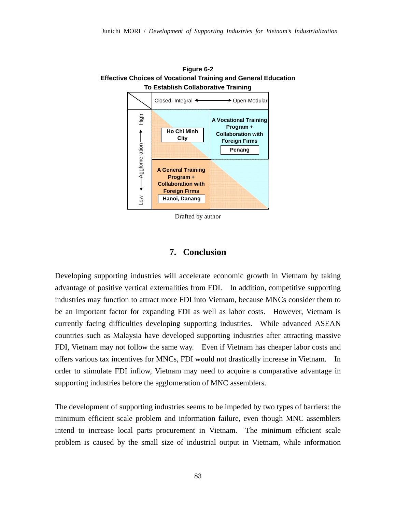

**Figure 6-2** 

Drafted by author

## **7. Conclusion**

Developing supporting industries will accelerate economic growth in Vietnam by taking advantage of positive vertical externalities from FDI. In addition, competitive supporting industries may function to attract more FDI into Vietnam, because MNCs consider them to be an important factor for expanding FDI as well as labor costs. However, Vietnam is currently facing difficulties developing supporting industries. While advanced ASEAN countries such as Malaysia have developed supporting industries after attracting massive FDI, Vietnam may not follow the same way. Even if Vietnam has cheaper labor costs and offers various tax incentives for MNCs, FDI would not drastically increase in Vietnam. In order to stimulate FDI inflow, Vietnam may need to acquire a comparative advantage in supporting industries before the agglomeration of MNC assemblers.

The development of supporting industries seems to be impeded by two types of barriers: the minimum efficient scale problem and information failure, even though MNC assemblers intend to increase local parts procurement in Vietnam. The minimum efficient scale problem is caused by the small size of industrial output in Vietnam, while information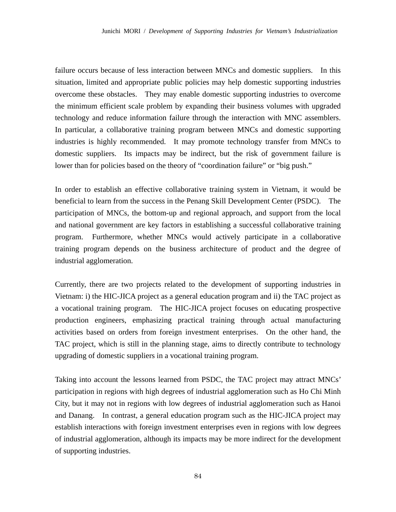failure occurs because of less interaction between MNCs and domestic suppliers. In this situation, limited and appropriate public policies may help domestic supporting industries overcome these obstacles. They may enable domestic supporting industries to overcome the minimum efficient scale problem by expanding their business volumes with upgraded technology and reduce information failure through the interaction with MNC assemblers. In particular, a collaborative training program between MNCs and domestic supporting industries is highly recommended. It may promote technology transfer from MNCs to domestic suppliers. Its impacts may be indirect, but the risk of government failure is lower than for policies based on the theory of "coordination failure" or "big push."

In order to establish an effective collaborative training system in Vietnam, it would be beneficial to learn from the success in the Penang Skill Development Center (PSDC). The participation of MNCs, the bottom-up and regional approach, and support from the local and national government are key factors in establishing a successful collaborative training program. Furthermore, whether MNCs would actively participate in a collaborative training program depends on the business architecture of product and the degree of industrial agglomeration.

Currently, there are two projects related to the development of supporting industries in Vietnam: i) the HIC-JICA project as a general education program and ii) the TAC project as a vocational training program. The HIC-JICA project focuses on educating prospective production engineers, emphasizing practical training through actual manufacturing activities based on orders from foreign investment enterprises. On the other hand, the TAC project, which is still in the planning stage, aims to directly contribute to technology upgrading of domestic suppliers in a vocational training program.

Taking into account the lessons learned from PSDC, the TAC project may attract MNCs' participation in regions with high degrees of industrial agglomeration such as Ho Chi Minh City, but it may not in regions with low degrees of industrial agglomeration such as Hanoi and Danang. In contrast, a general education program such as the HIC-JICA project may establish interactions with foreign investment enterprises even in regions with low degrees of industrial agglomeration, although its impacts may be more indirect for the development of supporting industries.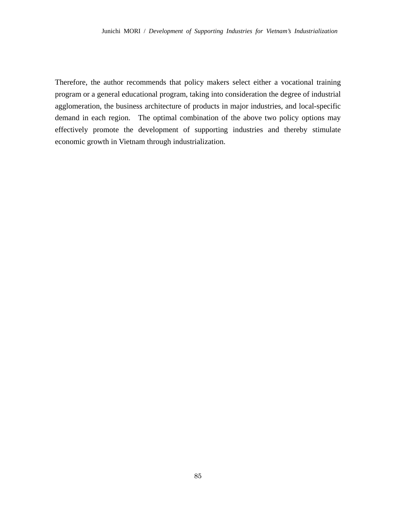Therefore, the author recommends that policy makers select either a vocational training program or a general educational program, taking into consideration the degree of industrial agglomeration, the business architecture of products in major industries, and local-specific demand in each region. The optimal combination of the above two policy options may effectively promote the development of supporting industries and thereby stimulate economic growth in Vietnam through industrialization.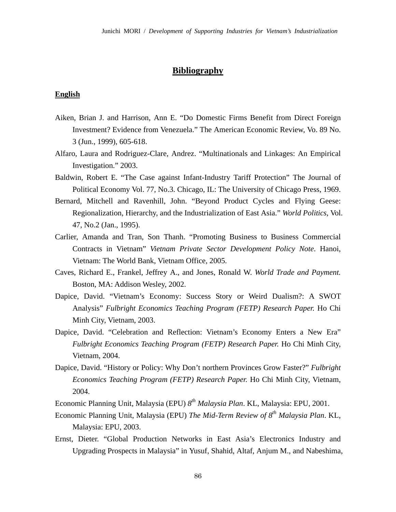## **Bibliography**

### **English**

- Aiken, Brian J. and Harrison, Ann E. "Do Domestic Firms Benefit from Direct Foreign Investment? Evidence from Venezuela." The American Economic Review, Vo. 89 No. 3 (Jun., 1999), 605-618.
- Alfaro, Laura and Rodriguez-Clare, Andrez. "Multinationals and Linkages: An Empirical Investigation." 2003.
- Baldwin, Robert E. "The Case against Infant-Industry Tariff Protection" The Journal of Political Economy Vol. 77, No.3. Chicago, IL: The University of Chicago Press, 1969.
- Bernard, Mitchell and Ravenhill, John. "Beyond Product Cycles and Flying Geese: Regionalization, Hierarchy, and the Industrialization of East Asia." *World Politics*, Vol. 47, No.2 (Jan., 1995).
- Carlier, Amanda and Tran, Son Thanh. "Promoting Business to Business Commercial Contracts in Vietnam" *Vietnam Private Sector Development Policy Note*. Hanoi, Vietnam: The World Bank, Vietnam Office, 2005.
- Caves, Richard E., Frankel, Jeffrey A., and Jones, Ronald W. *World Trade and Payment.*  Boston, MA: Addison Wesley, 2002.
- Dapice, David. "Vietnam's Economy: Success Story or Weird Dualism?: A SWOT Analysis" *Fulbright Economics Teaching Program (FETP) Research Paper.* Ho Chi Minh City, Vietnam, 2003.
- Dapice, David. "Celebration and Reflection: Vietnam's Economy Enters a New Era" *Fulbright Economics Teaching Program (FETP) Research Paper.* Ho Chi Minh City, Vietnam, 2004.
- Dapice, David. "History or Policy: Why Don't northern Provinces Grow Faster?" *Fulbright Economics Teaching Program (FETP) Research Paper.* Ho Chi Minh City, Vietnam, 2004.
- Economic Planning Unit, Malaysia (EPU) *8th Malaysia Plan*. KL, Malaysia: EPU, 2001.
- Economic Planning Unit, Malaysia (EPU) *The Mid-Term Review of 8th Malaysia Plan*. KL, Malaysia: EPU, 2003.
- Ernst, Dieter. "Global Production Networks in East Asia's Electronics Industry and Upgrading Prospects in Malaysia" in Yusuf, Shahid, Altaf, Anjum M., and Nabeshima,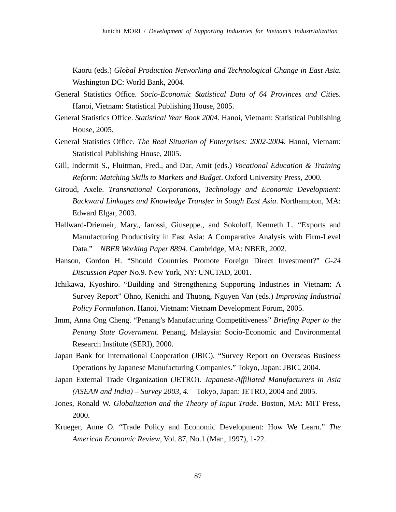Kaoru (eds.) *Global Production Networking and Technological Change in East Asia*. Washington DC: World Bank, 2004.

- General Statistics Office. *Socio-Economic Statistical Data of 64 Provinces and Citie*s. Hanoi, Vietnam: Statistical Publishing House, 2005.
- General Statistics Office. *Statistical Year Book 2004*. Hanoi, Vietnam: Statistical Publishing House, 2005.
- General Statistics Office. *The Real Situation of Enterprises: 2002-2004.* Hanoi, Vietnam: Statistical Publishing House, 2005.
- Gill, Indermit S., Fluitman, Fred., and Dar, Amit (eds.) *Vocational Education & Training Reform: Matching Skills to Markets and Budget*. Oxford University Press, 2000.
- Giroud, Axele. *Transnational Corporations, Technology and Economic Development: Backward Linkages and Knowledge Transfer in Sough East Asia*. Northampton, MA: Edward Elgar, 2003.
- Hallward-Driemeir, Mary., Iarossi, Giuseppe., and Sokoloff, Kenneth L. "Exports and Manufacturing Productivity in East Asia: A Comparative Analysis with Firm-Level Data." *NBER Working Paper 8894*. Cambridge, MA: NBER, 2002.
- Hanson, Gordon H. "Should Countries Promote Foreign Direct Investment?" *G-24 Discussion Paper* No.9. New York, NY: UNCTAD, 2001.
- Ichikawa, Kyoshiro. "Building and Strengthening Supporting Industries in Vietnam: A Survey Report" Ohno, Kenichi and Thuong, Nguyen Van (eds.) *Improving Industrial Policy Formulation*. Hanoi, Vietnam: Vietnam Development Forum, 2005.
- Imm, Anna Ong Cheng. "Penang's Manufacturing Competitiveness" *Briefing Paper to the Penang State Government*. Penang, Malaysia: Socio-Economic and Environmental Research Institute (SERI), 2000.
- Japan Bank for International Cooperation (JBIC). "Survey Report on Overseas Business Operations by Japanese Manufacturing Companies." Tokyo, Japan: JBIC, 2004.
- Japan External Trade Organization (JETRO). *Japanese-Affiliated Manufacturers in Asia (ASEAN and India) – Survey 2003, 4.* Tokyo, Japan: JETRO, 2004 and 2005.
- Jones, Ronald W. *Globalization and the Theory of Input Trade*. Boston, MA: MIT Press, 2000.
- Krueger, Anne O. "Trade Policy and Economic Development: How We Learn." *The American Economic Review*, Vol. 87, No.1 (Mar., 1997), 1-22.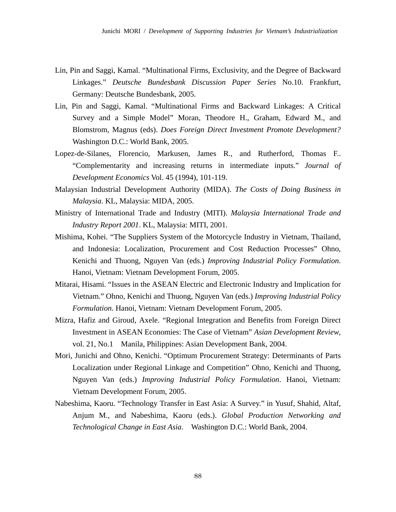- Lin, Pin and Saggi, Kamal. "Multinational Firms, Exclusivity, and the Degree of Backward Linkages." *Deutsche Bundesbank Discussion Paper Series* No.10. Frankfurt, Germany: Deutsche Bundesbank, 2005.
- Lin, Pin and Saggi, Kamal. "Multinational Firms and Backward Linkages: A Critical Survey and a Simple Model" Moran, Theodore H., Graham, Edward M., and Blomstrom, Magnus (eds). *Does Foreign Direct Investment Promote Development?*  Washington D.C.: World Bank, 2005.
- Lopez-de-Silanes, Florencio, Markusen, James R., and Rutherford, Thomas F.. "Complementarity and increasing returns in intermediate inputs." *Journal of Development Economics* Vol. 45 (1994), 101-119.
- Malaysian Industrial Development Authority (MIDA). *The Costs of Doing Business in Malaysia*. KL, Malaysia: MIDA, 2005.
- Ministry of International Trade and Industry (MITI). *Malaysia International Trade and Industry Report 2001*. KL, Malaysia: MITI, 2001.
- Mishima, Kohei. "The Suppliers System of the Motorcycle Industry in Vietnam, Thailand, and Indonesia: Localization, Procurement and Cost Reduction Processes" Ohno, Kenichi and Thuong, Nguyen Van (eds.) *Improving Industrial Policy Formulation*. Hanoi, Vietnam: Vietnam Development Forum, 2005.
- Mitarai, Hisami. "Issues in the ASEAN Electric and Electronic Industry and Implication for Vietnam." Ohno, Kenichi and Thuong, Nguyen Van (eds.) *Improving Industrial Policy Formulation*. Hanoi, Vietnam: Vietnam Development Forum, 2005.
- Mizra, Hafiz and Giroud, Axele. "Regional Integration and Benefits from Foreign Direct Investment in ASEAN Economies: The Case of Vietnam" *Asian Development Review*, vol. 21, No.1 Manila, Philippines: Asian Development Bank, 2004.
- Mori, Junichi and Ohno, Kenichi. "Optimum Procurement Strategy: Determinants of Parts Localization under Regional Linkage and Competition" Ohno, Kenichi and Thuong, Nguyen Van (eds.) *Improving Industrial Policy Formulation*. Hanoi, Vietnam: Vietnam Development Forum, 2005.
- Nabeshima, Kaoru. "Technology Transfer in East Asia: A Survey." in Yusuf, Shahid, Altaf, Anjum M., and Nabeshima, Kaoru (eds.). *Global Production Networking and Technological Change in East Asia*. Washington D.C.: World Bank, 2004.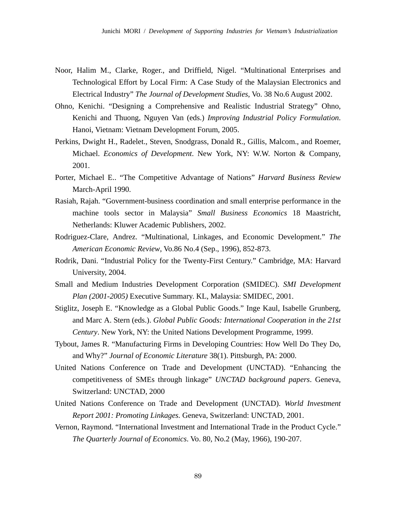- Noor, Halim M., Clarke, Roger., and Driffield, Nigel. "Multinational Enterprises and Technological Effort by Local Firm: A Case Study of the Malaysian Electronics and Electrical Industry" *The Journal of Development Studies*, Vo. 38 No.6 August 2002.
- Ohno, Kenichi. "Designing a Comprehensive and Realistic Industrial Strategy" Ohno, Kenichi and Thuong, Nguyen Van (eds.) *Improving Industrial Policy Formulation*. Hanoi, Vietnam: Vietnam Development Forum, 2005.
- Perkins, Dwight H., Radelet., Steven, Snodgrass, Donald R., Gillis, Malcom., and Roemer, Michael. *Economics of Development*. New York, NY: W.W. Norton & Company, 2001.
- Porter, Michael E.. "The Competitive Advantage of Nations" *Harvard Business Review* March-April 1990.
- Rasiah, Rajah. "Government-business coordination and small enterprise performance in the machine tools sector in Malaysia" *Small Business Economics* 18 Maastricht, Netherlands: Kluwer Academic Publishers, 2002.
- Rodriguez-Clare, Andrez. "Multinational, Linkages, and Economic Development." *The American Economic Review*, Vo.86 No.4 (Sep., 1996), 852-873.
- Rodrik, Dani. "Industrial Policy for the Twenty-First Century." Cambridge, MA: Harvard University, 2004.
- Small and Medium Industries Development Corporation (SMIDEC). *SMI Development Plan (2001-2005)* Executive Summary. KL, Malaysia: SMIDEC, 2001.
- Stiglitz, Joseph E. "Knowledge as a Global Public Goods." Inge Kaul, Isabelle Grunberg, and Marc A. Stern (eds.). *Global Public Goods: International Cooperation in the 21st Century*. New York, NY: the United Nations Development Programme, 1999.
- Tybout, James R. "Manufacturing Firms in Developing Countries: How Well Do They Do, and Why?" *Journal of Economic Literature* 38(1). Pittsburgh, PA: 2000.
- United Nations Conference on Trade and Development (UNCTAD). "Enhancing the competitiveness of SMEs through linkage" *UNCTAD background papers*. Geneva, Switzerland: UNCTAD, 2000
- United Nations Conference on Trade and Development (UNCTAD). *World Investment Report 2001: Promoting Linkages.* Geneva, Switzerland: UNCTAD, 2001.
- Vernon, Raymond. "International Investment and International Trade in the Product Cycle." *The Quarterly Journal of Economics*. Vo. 80, No.2 (May, 1966), 190-207.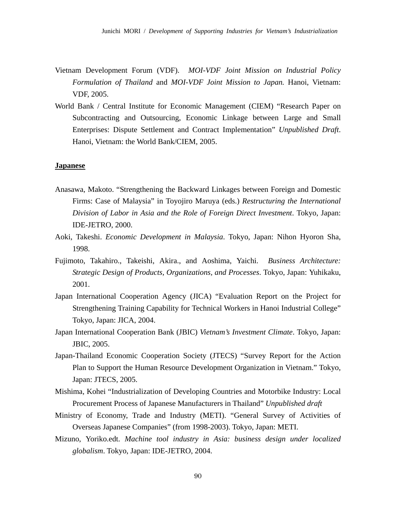- Vietnam Development Forum (VDF). *MOI-VDF Joint Mission on Industrial Policy Formulation of Thailand* and *MOI-VDF Joint Mission to Japan.* Hanoi, Vietnam: VDF, 2005.
- World Bank / Central Institute for Economic Management (CIEM) "Research Paper on Subcontracting and Outsourcing, Economic Linkage between Large and Small Enterprises: Dispute Settlement and Contract Implementation" *Unpublished Draft*. Hanoi, Vietnam: the World Bank/CIEM, 2005.

#### **Japanese**

- Anasawa, Makoto. "Strengthening the Backward Linkages between Foreign and Domestic Firms: Case of Malaysia" in Toyojiro Maruya (eds.) *Restructuring the International Division of Labor in Asia and the Role of Foreign Direct Investment*. Tokyo, Japan: IDE-JETRO, 2000.
- Aoki, Takeshi. *Economic Development in Malaysia*. Tokyo, Japan: Nihon Hyoron Sha, 1998.
- Fujimoto, Takahiro., Takeishi, Akira., and Aoshima, Yaichi. *Business Architecture: Strategic Design of Products, Organizations, and Processes*. Tokyo, Japan: Yuhikaku, 2001.
- Japan International Cooperation Agency (JICA) "Evaluation Report on the Project for Strengthening Training Capability for Technical Workers in Hanoi Industrial College" Tokyo, Japan: JICA, 2004.
- Japan International Cooperation Bank (JBIC) *Vietnam's Investment Climate*. Tokyo, Japan: JBIC, 2005.
- Japan-Thailand Economic Cooperation Society (JTECS) "Survey Report for the Action Plan to Support the Human Resource Development Organization in Vietnam." Tokyo, Japan: JTECS, 2005.
- Mishima, Kohei "Industrialization of Developing Countries and Motorbike Industry: Local Procurement Process of Japanese Manufacturers in Thailand" *Unpublished draft*
- Ministry of Economy, Trade and Industry (METI). "General Survey of Activities of Overseas Japanese Companies" (from 1998-2003). Tokyo, Japan: METI.
- Mizuno, Yoriko.edt. *Machine tool industry in Asia: business design under localized globalism*. Tokyo, Japan: IDE-JETRO, 2004.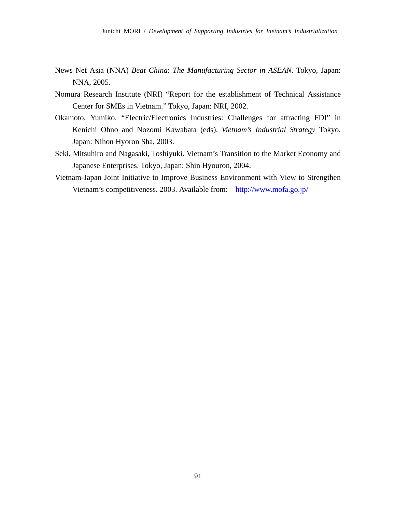- News Net Asia (NNA) *Beat China*: *The Manufacturing Sector in ASEAN.* Tokyo, Japan: NNA, 2005.
- Nomura Research Institute (NRI) "Report for the establishment of Technical Assistance Center for SMEs in Vietnam." Tokyo, Japan: NRI, 2002.
- Okamoto, Yumiko. "Electric/Electronics Industries: Challenges for attracting FDI" in Kenichi Ohno and Nozomi Kawabata (eds). *Vietnam's Industrial Strategy* Tokyo, Japan: Nihon Hyoron Sha, 2003.
- Seki, Mitsuhiro and Nagasaki, Toshiyuki. Vietnam's Transition to the Market Economy and Japanese Enterprises. Tokyo, Japan: Shin Hyouron, 2004.
- Vietnam-Japan Joint Initiative to Improve Business Environment with View to Strengthen Vietnam's competitiveness. 2003. Available from: http://www.mofa.go.jp/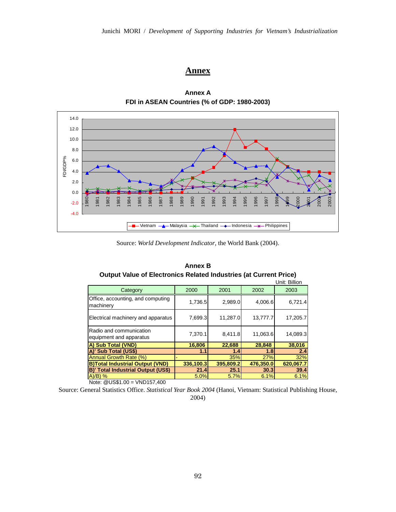## **Annex**



**Annex A FDI in ASEAN Countries (% of GDP: 1980-2003)**

Source: *World Development Indicator*, the World Bank (2004).

|                                                    |           |           |           | Unit: Billion |
|----------------------------------------------------|-----------|-----------|-----------|---------------|
| Category                                           | 2000      | 2001      | 2002      | 2003          |
| Office, accounting, and computing<br>machinery     | 1,736.5   | 2,989.0   | 4,006.6   | 6,721.4       |
| Electrical machinery and apparatus                 | 7,699.3   | 11,287.0  | 13,777.7  | 17,205.7      |
| Radio and communication<br>equipment and apparatus | 7.370.1   | 8.411.8   | 11.063.6  | 14.089.3      |
| A) Sub Total (VND)                                 | 16,806    | 22,688    | 28,848    | 38,016        |
| A)' Sub Total (US\$)                               | 1.1       | 1.4       | 1.8       | 2.4           |
| Annual Growth Rate (%)                             |           | 35%       | 27%       | 32%           |
| <b>B)Total Industrial Output (VND)</b>             | 336,100.3 | 395,809.2 | 476,350.0 | 620.067.7     |
| <b>B)' Total Industrial Output (US\$)</b>          | 21.4      | 25.1      | 30.3      | 39.4          |
| $A)/B)$ %                                          | 5.0%      | 5.7%      | 6.1%      | 6.1%          |

**Annex B Output Value of Electronics Related Industries (at Current Price)**

Note: @US\$1.00 = VND157,400

Source: General Statistics Office. *Statistical Year Book 2004* (Hanoi, Vietnam: Statistical Publishing House, 2004)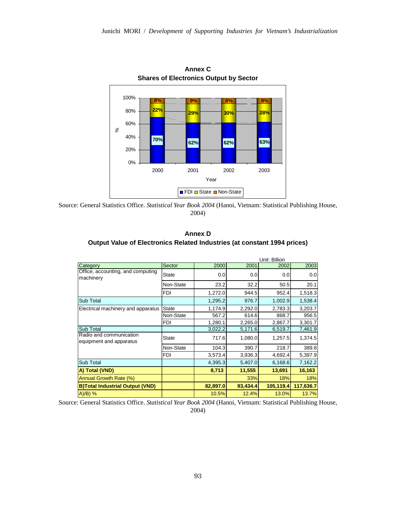

Source: General Statistics Office. *Statistical Year Book 2004* (Hanoi, Vietnam: Statistical Publishing House, 2004)

| Annex D                                                                  |  |
|--------------------------------------------------------------------------|--|
| Output Value of Electronics Related Industries (at constant 1994 prices) |  |

|                                                    |              | Unit: Billion |          |           |           |
|----------------------------------------------------|--------------|---------------|----------|-----------|-----------|
| Category                                           | Sector       | 2000          | 2001     | 2002      | 2003      |
| Office, accounting, and computing<br>machinery     | <b>State</b> | 0.0           | 0.0      | 0.0       | 0.0       |
|                                                    | Non-State    | 23.2          | 32.2     | 50.5      | 20.1      |
|                                                    | <b>FDI</b>   | 1,272.0       | 944.5    | 952.4     | 1,518.3   |
| Sub Total                                          |              | 1,295.2       | 976.7    | 1,002.9   | 1,538.4   |
| Electrical machinery and apparatus                 | <b>State</b> | 1,174.9       | 2,292.0  | 2,783.3   | 3,203.7   |
|                                                    | Non-State    | 567.2         | 614.6    | 868.7     | 956.5     |
|                                                    | <b>FDI</b>   | 1,280.1       | 2,265.0  | 2,867.7   | 3,301.7   |
| <b>Sub Total</b>                                   |              | 3,022.2       | 5,171.6  | 6,519.7   | 7,461.9   |
| Radio and communication<br>equipment and apparatus | State        | 717.6         | 1,080.0  | 1,257.5   | 1,374.5   |
|                                                    | Non-State    | 104.3         | 390.7    | 218.7     | 389.8     |
|                                                    | FDI          | 3,573.4       | 3,936.3  | 4,692.4   | 5,397.9   |
| Sub Total                                          |              | 4,395.3       | 5,407.0  | 6,168.6   | 7,162.2   |
| A) Total (VND)                                     |              | 8,713         | 11,555   | 13,691    | 16,163    |
| Annual Growth Rate (%)                             |              |               | 33%      | 18%       | 18%       |
| <b>B)Total Industrial Output (VND)</b>             |              | 82,897.0      | 93,434.4 | 105,119.4 | 117,636.7 |
| $A)/B$ ) %                                         |              | 10.5%         | 12.4%    | 13.0%     | 13.7%     |

Source: General Statistics Office. *Statistical Year Book 2004* (Hanoi, Vietnam: Statistical Publishing House, 2004)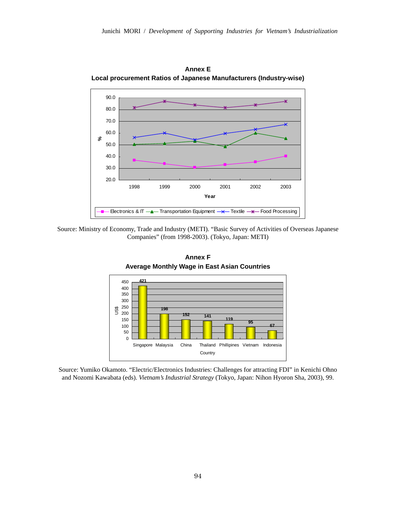

**Annex E Local procurement Ratios of Japanese Manufacturers (Industry-wise)** 

Source: Ministry of Economy, Trade and Industry (METI). "Basic Survey of Activities of Overseas Japanese Companies" (from 1998-2003). (Tokyo, Japan: METI)



**Annex F Average Monthly Wage in East Asian Countries** 

Source: Yumiko Okamoto. "Electric/Electronics Industries: Challenges for attracting FDI" in Kenichi Ohno and Nozomi Kawabata (eds). *Vietnam's Industrial Strategy* (Tokyo, Japan: Nihon Hyoron Sha, 2003), 99.